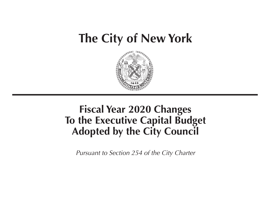# **The City of New York**



## **Fiscal Year 2020 Changes To the Executive Capital Budget Adopted by the City Council**

*Pursuant to Section 254 of the City Charter*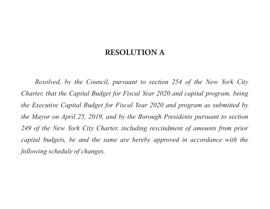### **RESOLUTION A**

*Resolved, by the Council, pursuant to section 254 of the New York City Charter, that the Capital Budget for Fiscal Year 2020 and capital program, being the Executive Capital Budget for Fiscal Year 2020 and program as submitted by the Mayor on April 25, 2019, and by the Borough Presidents pursuant to section*  249 of the New York City Charter, including rescindment of amounts from prior *capital budgets, be and the same are hereby approved in accordance with the following schedule of changes.*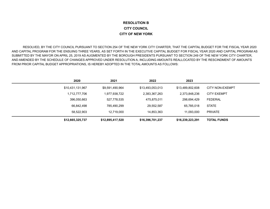#### **RESOLUTION BCITY COUNCILCITY OF NEW YORK**

 RESOLVED, BY THE CITY COUNCIL PURSUANT TO SECTION 254 OF THE NEW YORK CITY CHARTER, THAT THE CAPITAL BUDGET FOR THE FISCAL YEAR 2020 AND CAPITAL PROGRAM FOR THE ENSUING THREE YEARS, AS SET FORTH IN THE EXECUTIVE CAPITAL BUDGET FOR FISCAL YEAR 2020 AND CAPITAL PROGRAM AS SUBMITTED BY THE MAYOR ON APRIL 25, 2019 AS AUGMENTED BY THE BOROUGH PRESIDENTS PURSUANT TO SECTION 249 OF THE NEW YORK CITY CHARTER, AND AMENDED BY THE SCHEDULE OF CHANGES APPROVED UNDER RESOLUTION A, INCLUDING AMOUNTS REALLOCATED BY THE RESCINDMENT OF AMOUNTS FROM PRIOR CAPITAL BUDGET APPROPRIATIONS, IS HEREBY ADOPTED IN THE TOTAL AMOUNTS AS FOLLOWS:

| 2020             | 2021             | 2022             | 2023             |                        |
|------------------|------------------|------------------|------------------|------------------------|
| \$10,431,131,967 | \$9,591,490,964  | \$13,493,053,013 | \$13,489,802,608 | <b>CITY NON-EXEMPT</b> |
| 1,712,777,706    | 1,977,938,722    | 2,383,367,263    | 2,373,848,236    | <b>CITY EXEMPT</b>     |
| 396,050,663      | 527,778,535      | 475,875,011      | 298,694,429      | <b>FEDERAL</b>         |
| 66,842,498       | 785,490,299      | 29,552,587       | 65,785,018       | <b>STATE</b>           |
| 58,522,903       | 12,719,000       | 14,853,363       | 11,093,000       | <b>PRIVATE</b>         |
| \$12,665,325,737 | \$12,895,417,520 | \$16,396,701,237 | \$16,239,223,291 | <b>TOTAL FUNDS</b>     |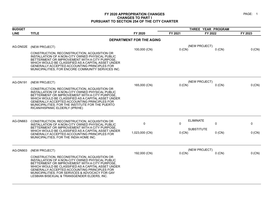| <b>BUDGET</b>   |                                                                                                                                                                                                                                                                                                                                                 |                                 | THREE YEAR PROGRAM |                               |         |
|-----------------|-------------------------------------------------------------------------------------------------------------------------------------------------------------------------------------------------------------------------------------------------------------------------------------------------------------------------------------------------|---------------------------------|--------------------|-------------------------------|---------|
| <b>LINE</b>     | <b>TITLE</b>                                                                                                                                                                                                                                                                                                                                    | FY 2020                         | FY 2021            | FY 2022                       | FY 2023 |
|                 |                                                                                                                                                                                                                                                                                                                                                 | <b>DEPARTMENT FOR THE AGING</b> |                    |                               |         |
| AG-DN02E        | (NEW PROJECT)                                                                                                                                                                                                                                                                                                                                   | 100,000 (CN)                    | 0(CN)              | (NEW PROJECT)<br>$0$ (CN)     | 0 (CN)  |
|                 | CONSTRUCTION, RECONSTRUCTION, ACQUISITION OR<br>INSTALLATION OF A NON-CITY OWNED PHYSICAL PUBLIC<br>BETTERMENT OR IMPROVEMENT WITH A CITY PURPOSE<br>WHICH WOULD BE CLASSIFIED AS A CAPITAL ASSET UNDER<br>GENERALLY ACCEPTED ACCOUNTING PRINCIPLES FOR<br>MUNICIPALITIES; FOR ENCORE COMMUNITY SERVICES INC.                                   |                                 |                    |                               |         |
| <b>AG-DN191</b> | (NEW PROJECT)                                                                                                                                                                                                                                                                                                                                   |                                 |                    | (NEW PROJECT)                 |         |
|                 | CONSTRUCTION, RECONSTRUCTION, ACQUISITION OR<br>INSTALLATION OF A NON-CITY OWNED PHYSICAL PUBLIC<br>BETTERMENT OR IMPROVEMENT WITH A CITY PURPOSE,<br>WHICH WOULD BE CLASSIFIED AS A CAPITAL ASSET UNDER<br>GENERALLY ACCEPTED ACCOUNTING PRINCIPLES FOR<br>MUNICIPALITIES; FOR THE INSTITUTE FOR THE PUERTO<br>RICAN/HISPANIC ELDERLY (IPR/HE) | 165,000 (CN)                    | $0$ (CN)           | $0$ (CN)                      | 0 (CN)  |
| AG-DN663        | CONSTRUCTION, RECONSTRUCTION, ACQUISITION OR<br>INSTALLATION OF A NON-CITY OWNED PHYSICAL PUBLIC                                                                                                                                                                                                                                                | 0                               | 0                  | <b>ELIMINATE</b><br>0         | 0       |
|                 | BETTERMENT OR IMPROVEMENT WITH A CITY PURPOSE,<br>WHICH WOULD BE CLASSIFIED AS A CAPITAL ASSET UNDER<br>GENERALLY ACCEPTED ACCOUNTING PRINCIPLES FOR<br>MUNICIPALITIES; FOR THE INDIA HOME INC.                                                                                                                                                 | 1,023,000 (CN)                  | 0 (CN)             | <b>SUBSTITUTE</b><br>$0$ (CN) | 0 (CN)  |
| AG-DN903        | (NEW PROJECT)<br>CONSTRUCTION, RECONSTRUCTION, ACQUISITION OR<br>INSTALLATION OF A NON-CITY OWNED PHYSICAL PUBLIC<br>BETTERMENT OR IMPROVEMENT WITH A CITY PURPOSE.<br>WHICH WOULD BE CLASSIFIED AS A CAPITAL ASSET UNDER<br>GENERALLY ACCEPTED ACCOUNTING PRINCIPLES FOR<br>MUNICIPALITIES; FOR SERVICES & ADVOCACY FOR GAY                    | 192,000 (CN)                    | $0$ (CN)           | (NEW PROJECT)<br>$0$ (CN)     | 0 (CN)  |
|                 | LESBIAN BISEXUAL & TRANSGENDER ELDERS, INC.                                                                                                                                                                                                                                                                                                     |                                 |                    |                               |         |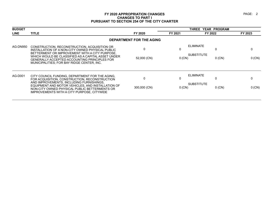| <b>BUDGET</b> |                                                                                                                                                    |                          |          | THREE YEAR PROGRAM                  |         |
|---------------|----------------------------------------------------------------------------------------------------------------------------------------------------|--------------------------|----------|-------------------------------------|---------|
| <b>LINE</b>   | <b>TITLE</b>                                                                                                                                       | FY 2020                  | FY 2021  | FY 2022                             | FY 2023 |
|               |                                                                                                                                                    | DEPARTMENT FOR THE AGING |          |                                     |         |
| AG-DN950      | CONSTRUCTION, RECONSTRUCTION, ACQUISITION OR<br>INSTALLATION OF A NON-CITY OWNED PHYSICAL PUBLIC<br>BETTERMENT OR IMPROVEMENT WITH A CITY PURPOSE, | $\Omega$                 | 0        | ELIMINATE<br>0<br><b>SUBSTITUTE</b> | 0       |
|               | WHICH WOULD BE CLASSIFIED AS A CAPITAL ASSET UNDER<br>GENERALLY ACCEPTED ACCOUNTING PRINCIPLES FOR<br>MUNICIPALITIES; FOR BAY RIDGE CENTER, INC.   | 52,000 (CN)              | 0(CN)    | $0$ (CN)                            | 0 (CN)  |
| AG-D001       | CITY COUNCIL FUNDING, DEPARTMENT FOR THE AGING,<br>FOR ACQUISITION, CONSTRUCTION, RECONSTRUCTION<br>AND IMPROVEMENTS, INCLUDING FURNISHINGS,       |                          | 0        | ELIMINATE                           | 0       |
|               | EQUIPMENT AND MOTOR VEHICLES, AND INSTALLATION OF<br>NON-CITY OWNED PHYSICAL PUBLIC BETTERMENTS OR<br>IMPROVEMENTS WITH A CITY PURPOSE, CITYWIDE   | 300,000 (CN)             | $0$ (CN) | <b>SUBSTITUTE</b><br>$0$ (CN)       | 0 (CN)  |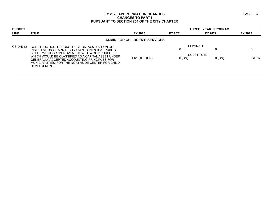| <b>BUDGET</b> |                                                                                                                                                                                                                                                                                                                                |                                      |               | <b>THREE YEAR PROGRAM</b>                         |          |
|---------------|--------------------------------------------------------------------------------------------------------------------------------------------------------------------------------------------------------------------------------------------------------------------------------------------------------------------------------|--------------------------------------|---------------|---------------------------------------------------|----------|
| <b>LINE</b>   | <b>TITLE</b>                                                                                                                                                                                                                                                                                                                   | FY 2020                              | FY 2021       | FY 2022                                           | FY 2023  |
|               |                                                                                                                                                                                                                                                                                                                                | <b>ADMIN FOR CHILDREN'S SERVICES</b> |               |                                                   |          |
| CS-DN312      | CONSTRUCTION, RECONSTRUCTION, ACQUISITION OR<br>INSTALLATION OF A NON-CITY OWNED PHYSICAL PUBLIC<br>BETTERMENT OR IMPROVEMENT WITH A CITY PURPOSE.<br>WHICH WOULD BE CLASSIFIED AS A CAPITAL ASSET UNDER<br>GENERALLY ACCEPTED ACCOUNTING PRINCIPLES FOR<br>MUNICIPALITIES: FOR THE NORTHSIDE CENTER FOR CHILD<br>DEVELOPMENT. | 1,610,000 (CN)                       | U<br>$0$ (CN) | <b>ELIMINATE</b><br><b>SUBSTITUTE</b><br>$0$ (CN) | $0$ (CN) |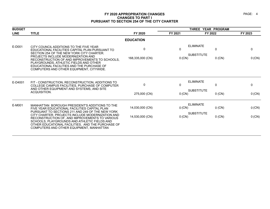| <b>BUDGET</b> |                                                                                                                                                                                                                                                     |                  | THREE YEAR PROGRAM |                                            |             |
|---------------|-----------------------------------------------------------------------------------------------------------------------------------------------------------------------------------------------------------------------------------------------------|------------------|--------------------|--------------------------------------------|-------------|
| <b>LINE</b>   | <b>TITLE</b>                                                                                                                                                                                                                                        | FY 2020          | FY 2021            | FY 2022                                    | FY 2023     |
|               |                                                                                                                                                                                                                                                     | <b>EDUCATION</b> |                    |                                            |             |
| E-D001        | CITY COUNCIL ADDITIONS TO THE FIVE YEAR<br>EDUCATIONAL FACILITIES CAPITAL PLAN PURSUANT TO<br>SECTION 254 OF THE NEW YORK CITY CHARTER.                                                                                                             | $\mathbf{0}$     | 0                  | <b>ELIMINATE</b><br>0<br><b>SUBSTITUTE</b> | $\mathbf 0$ |
|               | PROJECTS INCLUDE MODERNIZATION AND<br>RECONSTRUCTION OF AND IMPROVEMENTS TO SCHOOLS.<br>PLAYGROUNDS. ATHLETIC FIELDS AND OTHER<br>EDUCATIONAL FACILITIES AND THE PURCHASE OF<br>COMPUTERS AND OTHER EQUIPMENT. CITYWIDE.                            | 168,335,000 (CN) | 0 (CN)             | $0$ (CN)                                   | 0 (CN)      |
| E-D4001       | FIT - CONSTRUCTION, RECONSTRUCTION, ADDITIONS TO<br>COLLEGE CAMPUS FACILITIES, PURCHASE OF COMPUTER<br>AND OTHER EQUIPMENT AND SYSTEMS, AND SITE<br>ACQUISITION.                                                                                    | $\mathbf{0}$     | $\mathbf 0$        | <b>ELIMINATE</b><br>0                      | $\mathbf 0$ |
|               |                                                                                                                                                                                                                                                     | 275,000 (CN)     | 0 (CN)             | <b>SUBSTITUTE</b><br>$0$ (CN)              | 0 (CN)      |
| E-M001        | MANHATTAN BOROUGH PRESIDENT'S ADDITIONS TO THE<br>FIVE YEAR EDUCATIONAL FACILITIES CAPITAL PLAN<br>PURSUANT TO SECTIONS 211 AND 249 OF THE NEW YORK                                                                                                 | 14,030,000 (CN)  | 0 (CN)             | <b>ELIMINATE</b><br>$0$ (CN)               | 0 (CN)      |
|               | CITY CHARTER, PROJECTS INCLUDE MODERNIZATION AND<br>RECONSTRUCTION OF, AND IMPROVEMENTS TO VARIOUS<br>SCHOOLS, PLAYGROUNDS AND ATHLETIC FIELDS AND<br>OTHER EDUCATIONAL FACILITIES. AND THE PURCHASE OF<br>COMPUTERS AND OTHER EQUIPMENT. MANHATTAN | 14,530,000 (CN)  | 0 (CN)             | <b>SUBSTITUTE</b><br>$0$ (CN)              | 0 (CN)      |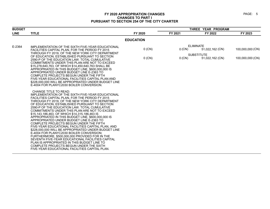| <b>BUDGET</b> |                                                                                                                                                                                                                                                                                                                                                                                                                                                                                                                                                                                                                                                                                                                                                                                                                                                                                                                                                        |                  |         | THREE YEAR PROGRAM                   |                  |
|---------------|--------------------------------------------------------------------------------------------------------------------------------------------------------------------------------------------------------------------------------------------------------------------------------------------------------------------------------------------------------------------------------------------------------------------------------------------------------------------------------------------------------------------------------------------------------------------------------------------------------------------------------------------------------------------------------------------------------------------------------------------------------------------------------------------------------------------------------------------------------------------------------------------------------------------------------------------------------|------------------|---------|--------------------------------------|------------------|
| <b>LINE</b>   | <b>TITLE</b>                                                                                                                                                                                                                                                                                                                                                                                                                                                                                                                                                                                                                                                                                                                                                                                                                                                                                                                                           | FY 2020          | FY 2021 | FY 2022                              | FY 2023          |
|               |                                                                                                                                                                                                                                                                                                                                                                                                                                                                                                                                                                                                                                                                                                                                                                                                                                                                                                                                                        | <b>EDUCATION</b> |         |                                      |                  |
| E-2364        | IMPLEMENTATION OF THE SIXTH FIVE-YEAR EDUCATIONAL<br>FACILITIES CAPITAL PLAN, FOR THE PERIOD FY 2015<br>THROUGH FY 2019. OF THE NEW YORK CITY DEPARTMENT                                                                                                                                                                                                                                                                                                                                                                                                                                                                                                                                                                                                                                                                                                                                                                                               | $0$ (CN)         | 0 (CN)  | <b>ELIMINATE</b><br>51,022,162 (CN)  | 100,000,000 (CN) |
|               | OF EDUCATION. ESTABLISHED PURSUANT TO SECTION<br>2590-P OF THE EDUCATION LAW. TOTAL CUMULATIVE<br>COMMITMENTS UNDER THIS PLAN ARE NOT TO EXCEED<br>\$15,278,640,763, OF WHICH \$14,450,640,763 SHALL BE<br>APPROPRIATED IN THIS BUDGET LINE, \$600,000,000 IS<br>APPROPRIATED UNDER BUDGET LINE E-2363 TO<br>COMPLETE PROJECTS BEGUN UNDER THE FIFTH<br>FIVE-YEAR EDUCATIONAL FACILITIES CAPITAL PLAN AND<br>\$228,000,000 WILL BE APPROPRIATED UNDER BUDGET LINE<br>E-4004 FOR PLANYC2030 BOILER CONVERSION.                                                                                                                                                                                                                                                                                                                                                                                                                                          | $0$ (CN)         | 0 (CN)  | <b>SUBSTITUTE</b><br>51,022,162 (CN) | 100,000,000 (CN) |
|               | <b>CHANGE TITLE TO READ:</b><br>IMPLEMENTATION OF THE SIXTH FIVE-YEAR EDUCATIONAL<br>FACILITIES CAPITAL PLAN, FOR THE PERIOD FY 2015<br>THROUGH FY 2019, OF THE NEW YORK CITY DEPARTMENT<br>OF EDUCATION, ESTABLISHED PURSUANT TO SECTION<br>2590-P OF THE EDUCATION LAW. TOTAL CUMULATIVE<br>COMMITMENTS UNDER THIS PLAN ARE NOT TO EXCEED<br>\$15,143,186,463, OF WHICH \$14,315,186,463 IS<br>APPROPRIATED IN THIS BUDGET LINE, \$600,000,000 IS<br>APPROPRIATED UNDER BUDGET LINE E-2363 TO<br>COMPLETE PROJECTS BEGUN UNDER THE FIFTH<br>FIVE-YEAR EDUCATIONAL FACILITIES CAPITAL PLAN, AND<br>\$228,000,000 WILL BE APPROPRIATED UNDER BUDGET LINE<br>E-4004 FOR PLANYC2030 BOILER CONVERSION;<br>FURTHERMORE, \$500,000,000 PROVIDED FOR IN THE<br>SEVENTH FIVE-YEAR EDUCATIONAL FACILITIES CAPITAL<br>PLAN IS APPROPRIATED IN THIS BUDGET LINE TO<br>COMPLETE PROJECTS BEGUN UNDER THE SIXTH<br>FIVE-YEAR EDUCATIONAL FACILITIES CAPITAL PLAN. |                  |         |                                      |                  |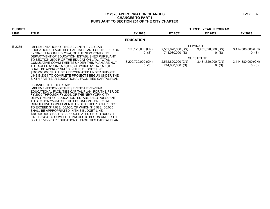| <b>BUDGET</b> |                                                                                                                                                                                                                                                                                                                                                                                                                                                                                                                                                                                                            |                                                                | THREE YEAR PROGRAM                                                             |                                                                                                         |                                                          |
|---------------|------------------------------------------------------------------------------------------------------------------------------------------------------------------------------------------------------------------------------------------------------------------------------------------------------------------------------------------------------------------------------------------------------------------------------------------------------------------------------------------------------------------------------------------------------------------------------------------------------------|----------------------------------------------------------------|--------------------------------------------------------------------------------|---------------------------------------------------------------------------------------------------------|----------------------------------------------------------|
| <b>LINE</b>   | <b>TITLE</b>                                                                                                                                                                                                                                                                                                                                                                                                                                                                                                                                                                                               | FY 2020                                                        | FY 2021                                                                        | FY 2022                                                                                                 | FY 2023                                                  |
|               |                                                                                                                                                                                                                                                                                                                                                                                                                                                                                                                                                                                                            | <b>EDUCATION</b>                                               |                                                                                |                                                                                                         |                                                          |
| E-2365        | IMPLEMENTATION OF THE SEVENTH FIVE-YEAR<br>EDUCATIONAL FACILITIES CAPITAL PLAN, FOR THE PERIOD<br>FY 2020 THROUGH FY 2024, OF THE NEW YORK CITY<br>DEPARTMENT OF EDUCATION, ESTABLISHED PURSUANT<br>TO SECTION 2590-P OF THE EDUCATION LAW. TOTAL<br>CUMULATIVE COMMITMENTS UNDER THIS PLAN ARE NOT<br>TO EXCEED \$17,075,500,000, OF WHICH \$16,575,500,000<br>SHALL BE APPROPRIATED IN THIS BUDGET LINE.<br>\$500,000,000 SHALL BE APPROPRIATED UNDER BUDGET<br>LINE E-2364 TO COMPLETE PROJECTS BEGUN UNDER THE<br>SIXTH FIVE-YEAR EDUCATIONAL FACILITIES CAPITAL PLAN.                                 | 3,193,120,000 (CN)<br>$0$ (S)<br>3,200,720,000 (CN)<br>$0$ (S) | 2,552,820,000 (CN)<br>744,080,000 (S)<br>2,552,820,000 (CN)<br>744,080,000 (S) | <b>ELIMINATE</b><br>3,431,320,000 (CN)<br>$0$ (S)<br><b>SUBSTITUTE</b><br>3,431,320,000 (CN)<br>$0($ S) | 3,414,380,000 (CN)<br>0(S)<br>3,414,380,000 (CN)<br>0(S) |
|               | <b>CHANGE TITLE TO READ:</b><br>IMPLEMENTATION OF THE SEVENTH FIVE-YEAR<br>EDUCATIONAL FACILITIES CAPITAL PLAN, FOR THE PERIOD<br>FY 2020 THROUGH FY 2024. OF THE NEW YORK CITY<br>DEPARTMENT OF EDUCATION, ESTABLISHED PURSUANT<br>TO SECTION 2590-P OF THE EDUCATION LAW. TOTAL<br>CUMULATIVE COMMITMENTS UNDER THIS PLAN ARE NOT<br>TO EXCEED \$17,083,100,000, OF WHICH \$16,583,100,000<br>SHALL BE APPROPRIATED IN THIS BUDGET LINE.<br>\$500,000,000 SHALL BE APPROPRIATED UNDER BUDGET<br>LINE E-2364 TO COMPLETE PROJECTS BEGUN UNDER THE<br>SIXTH FIVE-YEAR EDUCATIONAL FACILITIES CAPITAL PLAN. |                                                                |                                                                                |                                                                                                         |                                                          |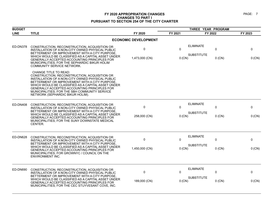| <b>BUDGET</b> |                                                                                                                                                                                                                                                                                                                                                                        |                             | THREE YEAR PROGRAM |                                       |               |             |
|---------------|------------------------------------------------------------------------------------------------------------------------------------------------------------------------------------------------------------------------------------------------------------------------------------------------------------------------------------------------------------------------|-----------------------------|--------------------|---------------------------------------|---------------|-------------|
| <b>LINE</b>   | <b>TITLE</b>                                                                                                                                                                                                                                                                                                                                                           | FY 2020                     | FY 2021            | FY 2022                               |               | FY 2023     |
|               |                                                                                                                                                                                                                                                                                                                                                                        | <b>ECONOMIC DEVELOPMENT</b> |                    |                                       |               |             |
| ED-DN378      | CONSTRUCTION, RECONSTRUCTION, ACQUISITION OR<br>INSTALLATION OF A NON-CITY OWNED PHYSICAL PUBLIC<br>BETTERMENT OR IMPROVEMENT WITH A CITY PURPOSE                                                                                                                                                                                                                      | $\pmb{0}$                   | $\mathbf{0}$       | <b>ELIMINATE</b>                      | 0             | 0           |
|               | WHICH WOULD BE CLASSIFIED AS A CAPITAL ASSET UNDER<br>GENERALLY ACCEPTED ACCOUNTING PRINCIPLES FOR<br>MUNICIPALITIES; FOR THE SEPHARDIC BIKUR HOLIM<br>COMMUNITY SERVICE NETWORK.                                                                                                                                                                                      | 1,473,000 (CN)              | $0$ (CN)           | <b>SUBSTITUTE</b>                     | $0$ (CN)      | 0 (CN)      |
|               | CHANGE TITLE TO READ:<br>CONSTRUCTION, RECONSTRUCTION, ACQUISITION OR<br>INSTALLATION OF A NON-CITY OWNED PHYSICAL PUBLIC<br>BETTERMENT OR IMPROVEMENT WITH A CITY PURPOSE.<br>WHICH WOULD BE CLASSIFIED AS A CAPITAL ASSET UNDER<br>GENERALLY ACCEPTED ACCOUNTING PRINCIPLES FOR<br>MUNICIPALITIES; FOR THE SBH COMMUNITY SERVICE<br>NETWORK (SEPHARDIC BIKUR HOLIM). |                             |                    |                                       |               |             |
| ED-DN408      | CONSTRUCTION, RECONSTRUCTION, ACQUISITION OR<br>INSTALLATION OF A NON-CITY OWNED PHYSICAL PUBLIC<br>BETTERMENT OR IMPROVEMENT WITH A CITY PURPOSE,<br>WHICH WOULD BE CLASSIFIED AS A CAPITAL ASSET UNDER<br>GENERALLY ACCEPTED ACCOUNTING PRINCIPLES FOR                                                                                                               | 0<br>258,000 (CN)           | $\Omega$<br>0 (CN) | <b>ELIMINATE</b><br><b>SUBSTITUTE</b> | 0<br>$0$ (CN) | 0<br>0 (CN) |
|               | MUNICIPALITIES; FOR THE SUNY DOWNSTATE MEDICAL<br>CENTER.                                                                                                                                                                                                                                                                                                              |                             |                    |                                       |               |             |
| ED-DN628      | CONSTRUCTION, RECONSTRUCTION, ACQUISITION OR<br>INSTALLATION OF A NON-CITY OWNED PHYSICAL PUBLIC                                                                                                                                                                                                                                                                       | 0                           | 0                  | <b>ELIMINATE</b>                      | 0             | 0           |
|               | BETTERMENT OR IMPROVEMENT WITH A CITY PURPOSE,<br>WHICH WOULD BE CLASSIFIED AS A CAPITAL ASSET UNDER<br>GENERALLY ACCEPTED ACCOUNTING PRINCIPLES FOR<br>MUNICIPALITIES; FOR GROWNYC / COUNCIL ON THE<br>ENVIRONMENT INC.                                                                                                                                               | 1,450,000 (CN)              | $0$ (CN)           | <b>SUBSTITUTE</b>                     | $0$ (CN)      | 0 (CN)      |
| ED-DN690      | CONSTRUCTION, RECONSTRUCTION, ACQUISITION OR<br>INSTALLATION OF A NON-CITY OWNED PHYSICAL PUBLIC                                                                                                                                                                                                                                                                       | 0                           | $\Omega$           | <b>ELIMINATE</b>                      | 0             | 0           |
|               | BETTERMENT OR IMPROVEMENT WITH A CITY PURPOSE.<br>WHICH WOULD BE CLASSIFIED AS A CAPITAL ASSET UNDER<br>GENERALLY ACCEPTED ACCOUNTING PRINCIPLES FOR<br>MUNICIPALITIES; FOR THE CEC STUYVESANT COVE, INC.                                                                                                                                                              | 189,000 (CN)                | 0 (CN)             | <b>SUBSTITUTE</b>                     | $0$ (CN)      | 0 (CN)      |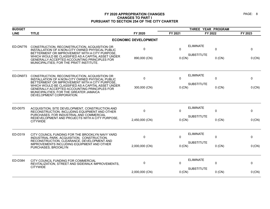#### PAGE: 8

| <b>BUDGET</b> |                                                                                                                                                                                                                             |                             | THREE YEAR PROGRAM            |                                       |          |         |
|---------------|-----------------------------------------------------------------------------------------------------------------------------------------------------------------------------------------------------------------------------|-----------------------------|-------------------------------|---------------------------------------|----------|---------|
| <b>LINE</b>   | <b>TITLE</b>                                                                                                                                                                                                                | FY 2020                     | FY 2021                       | FY 2022                               |          | FY 2023 |
|               |                                                                                                                                                                                                                             | <b>ECONOMIC DEVELOPMENT</b> |                               |                                       |          |         |
| ED-DN776      | CONSTRUCTION, RECONSTRUCTION, ACQUISITION OR<br>INSTALLATION OF A NON-CITY OWNED PHYSICAL PUBLIC<br>BETTERMENT OR IMPROVEMENT WITH A CITY PURPOSE,                                                                          | $\pmb{0}$                   | $\Omega$                      | <b>ELIMINATE</b><br><b>SUBSTITUTE</b> | 0        | 0       |
|               | WHICH WOULD BE CLASSIFIED AS A CAPITAL ASSET UNDER<br>GENERALLY ACCEPTED ACCOUNTING PRINCIPLES FOR<br>MUNICIPALITIES; FOR THE PRATT INSTITUTE.                                                                              | 890,000 (CN)                | 0 (CN)                        |                                       | $0$ (CN) | 0 (CN)  |
| ED-DN973      | CONSTRUCTION, RECONSTRUCTION, ACQUISITION OR<br>INSTALLATION OF A NON-CITY OWNED PHYSICAL PUBLIC                                                                                                                            | 0                           | $\Omega$                      | <b>ELIMINATE</b>                      | 0        | 0       |
|               | BETTERMENT OR IMPROVEMENT WITH A CITY PURPOSE.<br>WHICH WOULD BE CLASSIFIED AS A CAPITAL ASSET UNDER<br>GENERALLY ACCEPTED ACCOUNTING PRINCIPLES FOR<br>MUNICIPALITIES; FOR THE GREATER JAMAICA<br>DEVELOPMENT CORPORATION. | 300,000 (CN)                | $0$ (CN)                      | <b>SUBSTITUTE</b>                     | $0$ (CN) | 0 (CN)  |
| ED-D075       | ACQUISITION, SITE DEVELOPMENT, CONSTRUCTION AND<br>RECONSTRUCTION, INCLUDING EQUIPMENT AND OTHER                                                                                                                            | $\pmb{0}$                   | $\mathbf{0}$                  | <b>ELIMINATE</b>                      | 0        | 0       |
|               | PURCHASES, FOR INDUSTRIAL AND COMMERCIAL<br>REDEVELOPMENT AND PROJECTS WITH A CITY PURPOSE,<br><b>CITYWIDE</b>                                                                                                              | 2,450,000 (CN)              | <b>SUBSTITUTE</b><br>$0$ (CN) |                                       | $0$ (CN) | 0 (CN)  |
| ED-D319       | CITY COUNCIL FUNDING FOR THE BROOKLYN NAVY YARD<br>INDUSTRIAL PARK, ACQUISITION, CONSTRUCTION,                                                                                                                              | $\mathbf 0$                 | $\Omega$                      | <b>ELIMINATE</b>                      | 0        | 0       |
|               | RECONSTRUCTION, CLEARANCE, DEVELOPMENT AND<br>IMPROVEMENTS INCLUDING EQUIPMENT AND OTHER<br>PURCHASES, BROOKLYN                                                                                                             | 2,000,000 (CN)              | $0$ (CN)                      | <b>SUBSTITUTE</b>                     | $0$ (CN) | 0 (CN)  |
| ED-D384       | CITY COUNCIL FUNDING FOR COMMERCIAL<br>REVITALIZATION, STREET AND SIDEWALK IMPROVEMENTS,                                                                                                                                    | 0                           | 0                             | <b>ELIMINATE</b>                      | 0        | 0       |
|               | <b>CITYWIDE</b>                                                                                                                                                                                                             | 2,000,000 (CN)              | 0 (CN)                        | <b>SUBSTITUTE</b>                     | $0$ (CN) | 0 (CN)  |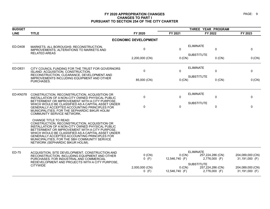| <b>BUDGET</b> |                                                                                                                                                                                                                                                                                                                                                                       |                             |                            | THREE YEAR PROGRAM                    |                                   |                                    |
|---------------|-----------------------------------------------------------------------------------------------------------------------------------------------------------------------------------------------------------------------------------------------------------------------------------------------------------------------------------------------------------------------|-----------------------------|----------------------------|---------------------------------------|-----------------------------------|------------------------------------|
| <b>LINE</b>   | <b>TITLE</b>                                                                                                                                                                                                                                                                                                                                                          | FY 2020                     | FY 2021                    | FY 2022                               |                                   | FY 2023                            |
|               |                                                                                                                                                                                                                                                                                                                                                                       | <b>ECONOMIC DEVELOPMENT</b> |                            |                                       |                                   |                                    |
| ED-D408       | MARKETS, ALL BOROUGHS: RECONSTRUCTION,<br>IMPROVEMENTS, ALTERATIONS TO MARKETS AND<br><b>RELATED AREAS</b>                                                                                                                                                                                                                                                            | $\mathbf 0$                 | $\mathbf 0$                | <b>ELIMINATE</b><br><b>SUBSTITUTE</b> | $\mathbf 0$                       | $\mathbf 0$                        |
|               |                                                                                                                                                                                                                                                                                                                                                                       | 2,200,000 (CN)              | 0 (CN)                     |                                       | $0$ (CN)                          | 0 (CN)                             |
| ED-D831       | CITY COUNCIL FUNDING FOR THE TRUST FOR GOVERNORS<br>ISLAND: ACQUISITION, CONSTRUCTION,<br>RECONSTRUCTION, CLEARANCE, DEVELOPMENT AND                                                                                                                                                                                                                                  | $\Omega$                    | $\mathbf{0}$               | <b>ELIMINATE</b><br><b>SUBSTITUTE</b> | $\mathbf 0$                       | $\mathbf{0}$                       |
|               | <b>IMPROVEMENTS INCLUDING EQUIPMENT AND OTHER</b><br>PURCHASES.                                                                                                                                                                                                                                                                                                       | 85,000 (CN)                 | 0 (CN)                     |                                       | $0$ (CN)                          | 0 (CN)                             |
| ED-KN378      | CONSTRUCTION, RECONSTRUCTION, ACQUISITION OR<br>INSTALLATION OF A NON-CITY OWNED PHYSICAL PUBLIC<br>BETTERMENT OR IMPROVEMENT WITH A CITY PURPOSE.                                                                                                                                                                                                                    | $\Omega$                    | $\mathbf{0}$               | <b>ELIMINATE</b>                      | $\mathbf 0$                       | $\Omega$                           |
|               | WHICH WOULD BE CLASSIFIED AS A CAPITAL ASSET UNDER<br>GENERALLY ACCEPTED ACCOUNTING PRINCIPLES FOR<br>MUNICIPALITIES; FOR THE SEPHARDIC BIKUR HOLIM<br><b>COMMUNITY SERVICE NETWORK.</b>                                                                                                                                                                              | $\Omega$                    | $\mathbf{0}$               | <b>SUBSTITUTE</b>                     | $\mathbf 0$                       | $\Omega$                           |
|               | CHANGE TITLE TO READ:<br>CONSTRUCTION, RECONSTRUCTION, ACQUISITION OR<br>INSTALLATION OF A NON-CITY OWNED PHYSICAL PUBLIC<br>BETTERMENT OR IMPROVEMENT WITH A CITY PURPOSE<br>WHICH WOULD BE CLASSIFIED AS A CAPITAL ASSET UNDER<br>GENERALLY ACCEPTED ACCOUNTING PRINCIPLES FOR<br>MUNICIPALITIES; FOR THE SBH COMMUNITY SERVICE<br>NETWORK (SEPHARDIC BIKUR HOLIM). |                             |                            |                                       |                                   |                                    |
| ED-75         | ACQUISITION, SITE DEVELOPMENT, CONSTRUCTION AND<br>RECONSTRUCTION, INCLUDING EQUIPMENT AND OTHER<br>PURCHASES, FOR INDUSTRIAL AND COMMERCIAL                                                                                                                                                                                                                          | $0$ (CN)<br>$0$ (F)         | 0 (CN)<br>12,546,740 (F)   | <b>ELIMINATE</b>                      | 257,224,286 (CN)<br>2,776,000 (F) | 204,089,000 (CN)<br>31,191,000 (F) |
|               | REDEVELOPMENT AND PROJECTS WITH A CITY PURPOSE,<br><b>CITYWIDE</b>                                                                                                                                                                                                                                                                                                    | 2,000,000 (CN)<br>$0$ (F)   | $0$ (CN)<br>12,546,740 (F) | <b>SUBSTITUTE</b>                     | 257,224,286 (CN)<br>2,776,000 (F) | 204,089,000 (CN)<br>31,191,000 (F) |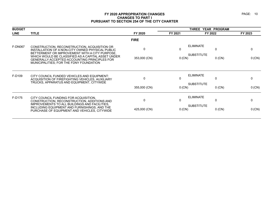| <b>BUDGET</b>  |                                                                                                                                                                                                                                                          |                          | THREE YEAR PROGRAM       |                                                                   |            |  |
|----------------|----------------------------------------------------------------------------------------------------------------------------------------------------------------------------------------------------------------------------------------------------------|--------------------------|--------------------------|-------------------------------------------------------------------|------------|--|
| <b>LINE</b>    | <b>TITLE</b>                                                                                                                                                                                                                                             | FY 2020                  | FY 2021                  | FY 2022                                                           | FY 2023    |  |
|                |                                                                                                                                                                                                                                                          | <b>FIRE</b>              |                          |                                                                   |            |  |
| <b>F-DN067</b> | CONSTRUCTION, RECONSTRUCTION, ACQUISITION OR<br>INSTALLATION OF A NON-CITY OWNED PHYSICAL PUBLIC<br>BETTERMENT OR IMPROVEMENT WITH A CITY PURPOSE,<br>WHICH WOULD BE CLASSIFIED AS A CAPITAL ASSET UNDER<br>GENERALLY ACCEPTED ACCOUNTING PRINCIPLES FOR | 0<br>353,000 (CN)        | $\mathbf{0}$<br>$0$ (CN) | <b>ELIMINATE</b><br>$\mathbf{0}$<br><b>SUBSTITUTE</b><br>$0$ (CN) | 0 (CN)     |  |
| F-D109         | MUNICIPALITIES; FOR THE FDNY FOUNDATION<br>CITY COUNCIL FUNDED VEHICLES AND EQUIPMENT:                                                                                                                                                                   |                          |                          | <b>ELIMINATE</b>                                                  |            |  |
|                | ACQUISITION OF FIREFIGHTING VEHICLES, AUXILIARY<br>TRUCKS, APPARATUS AND EQUIPMENT, CITYWIDE                                                                                                                                                             | $\Omega$<br>355,000 (CN) | 0<br>0 (CN)              | 0<br><b>SUBSTITUTE</b><br>$0$ (CN)                                | 0<br>0(CN) |  |
| F-D175         | CITY COUNCIL FUNDING FOR ACQUISITION.<br>CONSTRUCTION, RECONSTRUCTION, ADDITIONS AND<br>IMPROVEMENTS TO ALL BUILDINGS AND FACILITIES,<br>INCLUDING EQUIPMENT AND FURNISHINGS, AND THE                                                                    | $\mathbf{0}$             | 0                        | <b>ELIMINATE</b><br>0<br><b>SUBSTITUTE</b>                        | 0          |  |
|                | PURCHASE OF EQUIPMENT AND VEHICLES, CITYWIDE                                                                                                                                                                                                             | 425,000 (CN)             | 0 (CN)                   | $0$ (CN)                                                          | 0 (CN)     |  |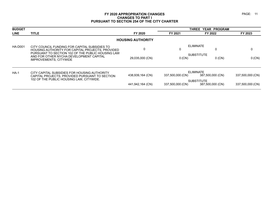| <b>BUDGET</b>  |                                                                                                                                                        |                          |                  | YEAR PROGRAM<br><b>THREE</b>          |                  |
|----------------|--------------------------------------------------------------------------------------------------------------------------------------------------------|--------------------------|------------------|---------------------------------------|------------------|
| <b>LINE</b>    | <b>TITLE</b>                                                                                                                                           | FY 2020                  | FY 2021          | FY 2022                               | FY 2023          |
|                |                                                                                                                                                        | <b>HOUSING AUTHORITY</b> |                  |                                       |                  |
| <b>HA-D001</b> | CITY COUNCIL FUNDING FOR CAPITAL SUBSIDIES TO<br>HOUSING AUTHORITY FOR CAPITAL PROJECTS, PROVIDED<br>PURSUANT TO SECTION 102 OF THE PUBLIC HOUSING LAW | $\mathbf{0}$             | 0                | <b>ELIMINATE</b>                      | 0                |
|                | AND FOR OTHER NYCHA DEVELOPMENT CAPITAL<br>IMPROVEMENTS, CITYWIDE                                                                                      | 29,035,000 (CN)          | $0$ (CN)         | <b>SUBSTITUTE</b><br>$0$ (CN)         | $0$ (CN)         |
| $HA-1$         | CITY CAPITAL SUBSIDIES FOR HOUSING AUTHORITY<br>CAPITAL PROJECTS, PROVIDED PURSUANT TO SECTION                                                         | 438,939,164 (CN)         | 337,500,000 (CN) | <b>ELIMINATE</b><br>387,500,000 (CN)  | 337,500,000 (CN) |
|                | 102 OF THE PUBLIC HOUSING LAW, CITYWIDE.                                                                                                               | 441,942,164 (CN)         | 337,500,000 (CN) | <b>SUBSTITUTE</b><br>387,500,000 (CN) | 337,500,000 (CN) |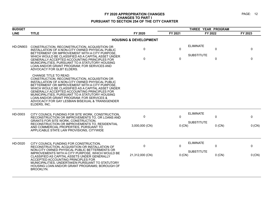| <b>BUDGET</b>   |                                                                                                                                                                                                                                                                                                                                                                                                                                                             |                                  | THREE YEAR PROGRAM      |                                       |                            |               |
|-----------------|-------------------------------------------------------------------------------------------------------------------------------------------------------------------------------------------------------------------------------------------------------------------------------------------------------------------------------------------------------------------------------------------------------------------------------------------------------------|----------------------------------|-------------------------|---------------------------------------|----------------------------|---------------|
| <b>LINE</b>     | <b>TITLE</b>                                                                                                                                                                                                                                                                                                                                                                                                                                                | FY 2020                          | FY 2021                 | FY 2022                               |                            | FY 2023       |
|                 |                                                                                                                                                                                                                                                                                                                                                                                                                                                             | <b>HOUSING &amp; DEVELOPMENT</b> |                         |                                       |                            |               |
| <b>HD-DN903</b> | CONSTRUCTION, RECONSTRUCTION, ACQUISITION OR<br>INSTALLATION OF A NON-CITY OWNED PHYSICAL PUBLIC<br>BETTERMENT OR IMPROVEMENT WITH A CITY PURPOSE,<br>WHICH WOULD BE CLASSIFIED AS A CAPITAL ASSET UNDER<br>GENERALLY ACCEPTED ACCOUNTING PRINCIPLES FOR<br>MUNICIPALITIES, PURSUANT TO A STATUTORY HOUSING<br>LOAN AND/OR GRANT PROGRAM; FOR SERVICES AND<br>ADVOCACY FOR GLBT ELDERS.                                                                     | 0<br>$\Omega$                    | $\Omega$<br>$\mathbf 0$ | <b>ELIMINATE</b><br><b>SUBSTITUTE</b> | $\mathbf 0$<br>$\mathbf 0$ | 0<br>$\Omega$ |
|                 | <b>CHANGE TITLE TO READ:</b><br>CONSTRUCTION, RECONSTRUCTION, ACQUISITION OR<br>INSTALLATION OF A NON-CITY OWNED PHYSICAL PUBLIC<br>BETTERMENT OR IMPROVEMENT WITH A CITY PURPOSE.<br>WHICH WOULD BE CLASSIFIED AS A CAPITAL ASSET UNDER<br>GENERALLY ACCEPTED ACCOUNTING PRINCIPLES FOR<br>MUNICIPALITIES, PURSUANT TO A STATUTORY HOUSING<br>LOAN AND/OR GRANT PROGRAM: FOR SERVICES &<br>ADVOCACY FOR GAY LESBIAN BISEXUAL & TRANSGENDER<br>ELDERS, INC. |                                  |                         |                                       |                            |               |
| HD-D003         | CITY COUNCIL FUNDING FOR SITE WORK, CONSTRUCTION,<br>RECONSTRUCTION OR IMPROVEMENTS TO, OR LOANS AND<br><b>GRANTS FOR SITE WORK, CONSTRUCTION,</b><br>RECONSTRUCTION OR IMPROVEMENTS TO, RESIDENTIAL<br>AND COMMERCIAL PROPERTIES, PURSUANT TO<br>APPLICABLE STATE LAW PROVISIONS, CITYWIDE                                                                                                                                                                 | 0<br>3,000,000 (CN)              | 0<br>0 (CN)             | <b>ELIMINATE</b><br><b>SUBSTITUTE</b> | 0<br>$0$ (CN)              | 0<br>0 (CN)   |
| HD-D020         | CITY COUNCIL FUNDING FOR CONSTRUCTION,<br>RECONSTRUCTION, ACQUISITION OR INSTALLATION OF<br>NON-CITY OWNED PHYSICAL PUBLIC BETTERMENTS OR<br>IMPROVEMENTS WITH A CITY PURPOSE, WHICH WOULD BE<br>CLASSIFIED AS CAPITAL ASSETS UNDER GENERALLY<br>ACCEPTED ACCOUNTING PRINCIPLES FOR<br>MUNICIPALITIES, UNDERTAKEN PURSUANT TO STATUTORY<br>HOUSING LOAN AND/OR GRANT PROGRAMS; BOROUGH OF<br><b>BROOKLYN.</b>                                               | $\Omega$<br>21,312,000 (CN)      | 0<br>0 (CN)             | <b>ELIMINATE</b><br><b>SUBSTITUTE</b> | 0<br>$0$ (CN)              | 0<br>0 (CN)   |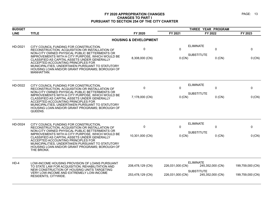| <b>BUDGET</b>  |                                                                                                                                                                                                                                                                                                                                                                                                         |                                      |                                      | THREE YEAR PROGRAM                                                            |                                      |
|----------------|---------------------------------------------------------------------------------------------------------------------------------------------------------------------------------------------------------------------------------------------------------------------------------------------------------------------------------------------------------------------------------------------------------|--------------------------------------|--------------------------------------|-------------------------------------------------------------------------------|--------------------------------------|
| <b>LINE</b>    | <b>TITLE</b>                                                                                                                                                                                                                                                                                                                                                                                            | FY 2020                              | FY 2021                              | FY 2022                                                                       | FY 2023                              |
|                |                                                                                                                                                                                                                                                                                                                                                                                                         | <b>HOUSING &amp; DEVELOPMENT</b>     |                                      |                                                                               |                                      |
| <b>HD-D021</b> | CITY COUNCIL FUNDING FOR CONSTRUCTION,<br>RECONSTRUCTION, ACQUISITION OR INSTALLATION OF<br>NON-CITY OWNED PHYSICAL PUBLIC BETTERMENTS OR<br>IMPROVEMENTS WITH A CITY PURPOSE, WHICH WOULD BE<br>CLASSIFIED AS CAPITAL ASSETS UNDER GENERALLY<br>ACCEPTED ACCOUNTING PRINCIPLES FOR<br>MUNICIPALITIES, UNDERTAKEN PURSUANT TO STATUTORY<br>HOUSING LOAN AND/OR GRANT PROGRAMS; BOROUGH OF<br>MANHATTAN. | 0<br>8,308,000 (CN)                  | 0<br>0(CN)                           | <b>ELIMINATE</b><br>0<br><b>SUBSTITUTE</b><br>$0$ (CN)                        | 0<br>0 (CN)                          |
| <b>HD-D022</b> | CITY COUNCIL FUNDING FOR CONSTRUCTION,<br>RECONSTRUCTION, ACQUISITION OR INSTALLATION OF<br>NON-CITY OWNED PHYSICAL PUBLIC BETTERMENTS OR<br>IMPROVEMENTS WITH A CITY PURPOSE, WHICH WOULD BE<br>CLASSIFIED AS CAPITAL ASSETS UNDER GENERALLY<br>ACCEPTED ACCOUNTING PRINCIPLES FOR<br>MUNICIPALITIES, UNDERTAKEN PURSUANT TO STATUTORY<br>HOUSING LOAN AND/OR GRANT PROGRAMS; BOROUGH OF<br>QUEENS.    | 0<br>7,178,000 (CN)                  | 0<br>0 (CN)                          | <b>ELIMINATE</b><br>0<br><b>SUBSTITUTE</b><br>$0$ (CN)                        | 0<br>0 (CN)                          |
| <b>HD-D024</b> | CITY COUNCIL FUNDING FOR CONSTRUCTION,<br>RECONSTRUCTION, ACQUISITION OR INSTALLATION OF<br>NON-CITY OWNED PHYSICAL PUBLIC BETTERMENTS OR<br>IMPROVEMENTS WITH A CITY PURPOSE, WHICH WOULD BE<br>CLASSIFIED AS CAPITAL ASSETS UNDER GENERALLY<br>ACCEPTED ACCOUNTING PRINCIPLES FOR<br>MUNICIPALITIES, UNDERTAKEN PURSUANT TO STATUTORY<br>HOUSING LOAN AND/OR GRANT PROGRAMS; BOROUGH OF<br>THE BRONX. | $\Omega$<br>10,301,000 (CN)          | 0<br>0 (CN)                          | <b>ELIMINATE</b><br>$\Omega$<br><b>SUBSTITUTE</b><br>$0$ (CN)                 | $\Omega$<br>0 (CN)                   |
| $HD-4$         | LOW-INCOME HOUSING PROVISION OF LOANS PURSUANT<br>TO STATE LAW FOR ACQUISITION, REHABILITATION AND<br>NEW CONSTRUCTION OF HOUSING UNITS TARGETING<br>VERY LOW-INCOME AND EXTREMELY LOW-INCOME<br>RESIDENTS, CITYWIDE.                                                                                                                                                                                   | 208,478,129 (CN)<br>253,478,129 (CN) | 226,031,000 (CN)<br>226.031.000 (CN) | <b>ELIMINATE</b><br>245,352,000 (CN)<br><b>SUBSTITUTE</b><br>245,352,000 (CN) | 199,759,000 (CN)<br>199,759,000 (CN) |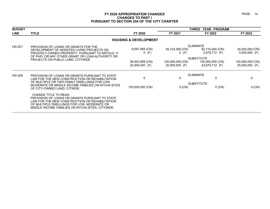| <b>BUDGET</b> |                                                                                                                                                                                                                                    |                                   |                                    | <b>THREE YEAR PROGRAM</b>                               |                                    |  |  |
|---------------|------------------------------------------------------------------------------------------------------------------------------------------------------------------------------------------------------------------------------------|-----------------------------------|------------------------------------|---------------------------------------------------------|------------------------------------|--|--|
| <b>LINE</b>   | <b>TITLE</b>                                                                                                                                                                                                                       | FY 2020                           | FY 2021                            | FY 2022                                                 | FY 2023                            |  |  |
|               |                                                                                                                                                                                                                                    | <b>HOUSING &amp; DEVELOPMENT</b>  |                                    |                                                         |                                    |  |  |
| HD-201        | PROVISION OF LOANS OR GRANTS FOR THE<br>DEVELOPMENT OF ASSISTED LIVING PROJECTS ON<br>PRIVATELY-OWNED PROPERTY, PURSUANT TO ARTICLE 11<br>OF PHFL OR ANY OTHER GRANT OR LOAN AUTHORITY OR                                          | 9,097,569 (CN)<br>$0$ (F)         | 55,724,000 (CN)<br>$0$ (F)         | <b>ELIMINATE</b><br>50,774,000 (CN)<br>2,879,712 (F)    | 25,000,000 (CN)<br>$5,000,000$ (F) |  |  |
|               | PROJECTS ON PUBLIC LAND, CITYWIDE                                                                                                                                                                                                  | 36,943,569 (CN)<br>20,000,000 (F) | 100,000,000 (CN)<br>20,000,000 (F) | <b>SUBSTITUTE</b><br>100,000,000 (CN)<br>22,879,712 (F) | 100,000,000 (CN)<br>25,000,000 (F) |  |  |
| HD-206        | PROVISION OF LOANS OR GRANTS PURSUANT TO STATE<br>LAW FOR THE NEW CONSTRUCTION OR REHABILITATION                                                                                                                                   | $\mathbf{0}$                      | 0                                  | <b>ELIMINATE</b><br>0                                   | 0                                  |  |  |
|               | OF MULTIPLE OR TWO FAMILY DWELLINGS FOR LOW.<br>MODERATE OR MIDDLE INCOME FAMILIES ON NYCHA SITES<br>OF CITY-OWNED LAND, CITWIDE.                                                                                                  | 150,000,000 (CN)                  | 0 (CN)                             | <b>SUBSTITUTE</b><br>$0$ (CN)                           | 0 (CN)                             |  |  |
|               | <b>CHANGE TITLE TO READ:</b><br>PROVISION OF LOANS OR GRANTS PURSUANT TO STATE<br>LAW FOR THE NEW CONSTRUCTION OR REHABILITATION<br>OF MULTIPLE DWELLINGS FOR LOW, MODERATE OR<br>MIDDLE INCOME FAMILIES ON NYCHA SITES, CITYWIDE. |                                   |                                    |                                                         |                                    |  |  |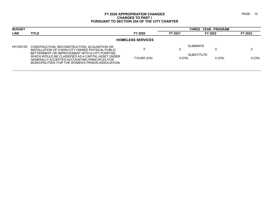| <b>BUDGET</b> |                                                                                                                                                                                                                                                                                                                 |                          |               | THREE YEAR PROGRAM                         |          |
|---------------|-----------------------------------------------------------------------------------------------------------------------------------------------------------------------------------------------------------------------------------------------------------------------------------------------------------------|--------------------------|---------------|--------------------------------------------|----------|
| <b>LINE</b>   | <b>TITLE</b>                                                                                                                                                                                                                                                                                                    | FY 2020                  | FY 2021       | FY 2022                                    | FY 2023  |
|               |                                                                                                                                                                                                                                                                                                                 | <b>HOMELESS SERVICES</b> |               |                                            |          |
| HH-DN129      | CONSTRUCTION, RECONSTRUCTION, ACQUISITION OR<br>INSTALLATION OF A NON-CITY OWNED PHYSICAL PUBLIC<br>BETTERMENT OR IMPROVEMENT WITH A CITY PURPOSE.<br>WHICH WOULD BE CLASSIFIED AS A CAPITAL ASSET UNDER<br>GENERALLY ACCEPTED ACCOUNTING PRINCIPLES FOR<br>MUNICIPALITIES: FOR THE WOMEN'S PRISON ASSOCIATION. | 719,000 (CN)             | U<br>$0$ (CN) | ELIMINATE<br><b>SUBSTITUTE</b><br>$0$ (CN) | $0$ (CN) |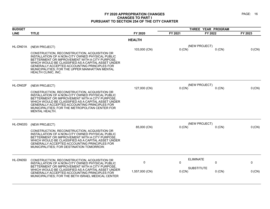| <b>BUDGET</b> |                                                                                                                                                                                                                                                                                                                                          |                | THREE YEAR PROGRAM |                           |         |
|---------------|------------------------------------------------------------------------------------------------------------------------------------------------------------------------------------------------------------------------------------------------------------------------------------------------------------------------------------------|----------------|--------------------|---------------------------|---------|
| <b>LINE</b>   | <b>TITLE</b>                                                                                                                                                                                                                                                                                                                             | FY 2020        | FY 2021            | FY 2022                   | FY 2023 |
|               |                                                                                                                                                                                                                                                                                                                                          | <b>HEALTH</b>  |                    |                           |         |
| HL-DN01A      | (NEW PROJECT)                                                                                                                                                                                                                                                                                                                            | 103,000 (CN)   | $0$ (CN)           | (NEW PROJECT)<br>$0$ (CN) | 0 (CN)  |
|               | CONSTRUCTION, RECONSTRUCTION, ACQUISITION OR<br>INSTALLATION OF A NON-CITY OWNED PHYSICAL PUBLIC<br>BETTERMENT OR IMPROVEMENT WITH A CITY PURPOSE.<br>WHICH WOULD BE CLASSIFIED AS A CAPITAL ASSET UNDER<br>GENERALLY ACCEPTED ACCOUNTING PRINCIPLES FOR<br>MUNICIPALITIES; FOR THE UPPER MANHATTAN MENTAL<br><b>HEALTH CLINIC, INC.</b> |                |                    |                           |         |
| HL-DN02F      | (NEW PROJECT)                                                                                                                                                                                                                                                                                                                            |                |                    | (NEW PROJECT)             |         |
|               | CONSTRUCTION, RECONSTRUCTION, ACQUISITION OR<br>INSTALLATION OF A NON-CITY OWNED PHYSICAL PUBLIC<br>BETTERMENT OR IMPROVEMENT WITH A CITY PURPOSE.<br>WHICH WOULD BE CLASSIFIED AS A CAPITAL ASSET UNDER<br>GENERALLY ACCEPTED ACCOUNTING PRINCIPLES FOR<br>MUNICIPALITIES; FOR THE METROPOLITAN CENTER FOR<br><b>MENTAL HEALTH.</b>     | 127,000 (CN)   | $0$ (CN)           | $0$ (CN)                  | 0 (CN)  |
| HL-DN02G      | (NEW PROJECT)                                                                                                                                                                                                                                                                                                                            |                |                    | (NEW PROJECT)             |         |
|               | CONSTRUCTION, RECONSTRUCTION, ACQUISITION OR<br>INSTALLATION OF A NON-CITY OWNED PHYSICAL PUBLIC<br>BETTERMENT OR IMPROVEMENT WITH A CITY PURPOSE.<br>WHICH WOULD BE CLASSIFIED AS A CAPITAL ASSET UNDER<br>GENERALLY ACCEPTED ACCOUNTING PRINCIPLES FOR<br>MUNICIPALITIES; FOR DESTINATION TOMORROW.                                    | 85,000 (CN)    | 0 (CN)             | $0$ (CN)                  | 0 (CN)  |
| HL-DN050      | CONSTRUCTION, RECONSTRUCTION, ACQUISITION OR                                                                                                                                                                                                                                                                                             | 0              | $\Omega$           | <b>ELIMINATE</b><br>0     | 0       |
|               | INSTALLATION OF A NON-CITY OWNED PHYSICAL PUBLIC<br>BETTERMENT OR IMPROVEMENT WITH A CITY PURPOSE,                                                                                                                                                                                                                                       |                |                    | <b>SUBSTITUTE</b>         |         |
|               | WHICH WOULD BE CLASSIFIED AS A CAPITAL ASSET UNDER<br>GENERALLY ACCEPTED ACCOUNTING PRINCIPLES FOR<br>MUNICIPALITIES; FOR THE BETH ISRAEL MEDICAL CENTER                                                                                                                                                                                 | 1,557,000 (CN) | 0 (CN)             | $0$ (CN)                  | 0 (CN)  |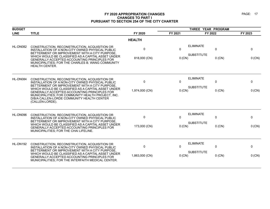| <b>BUDGET</b> |                                                                                                                                                                                                                           |                |              | THREE YEAR PROGRAM                    |              |              |
|---------------|---------------------------------------------------------------------------------------------------------------------------------------------------------------------------------------------------------------------------|----------------|--------------|---------------------------------------|--------------|--------------|
| <b>LINE</b>   | <b>TITLE</b>                                                                                                                                                                                                              | FY 2020        | FY 2021      | FY 2022                               |              | FY 2023      |
|               |                                                                                                                                                                                                                           | <b>HEALTH</b>  |              |                                       |              |              |
| HL-DN082      | CONSTRUCTION, RECONSTRUCTION, ACQUISITION OR<br>INSTALLATION OF A NON-CITY OWNED PHYSICAL PUBLIC<br>BETTERMENT OR IMPROVEMENT WITH A CITY PURPOSE.                                                                        | $\Omega$       | $\mathbf{0}$ | <b>ELIMINATE</b><br><b>SUBSTITUTE</b> | $\Omega$     | $\mathbf{0}$ |
|               | WHICH WOULD BE CLASSIFIED AS A CAPITAL ASSET UNDER<br><b>GENERALLY ACCEPTED ACCOUNTING PRINCIPLES FOR</b><br>MUNICIPALITIES; FOR THE CHARLES B. WANG COMMUNITY<br><b>HEALTH CENTER.</b>                                   | 818,000 (CN)   | 0 (CN)       |                                       | $0$ (CN)     | 0 (CN)       |
| HL-DN084      | CONSTRUCTION, RECONSTRUCTION, ACQUISITION OR<br>INSTALLATION OF A NON-CITY OWNED PHYSICAL PUBLIC<br>BETTERMENT OR IMPROVEMENT WITH A CITY PURPOSE.                                                                        | 0              | $\mathbf{0}$ | <b>ELIMINATE</b>                      | $\mathbf 0$  | $\Omega$     |
|               | WHICH WOULD BE CLASSIFIED AS A CAPITAL ASSET UNDER<br>GENERALLY ACCEPTED ACCOUNTING PRINCIPLES FOR<br>MUNICIPALITIES; FOR COMMUNITY HEALTH PROJECT, INC.<br>D/B/A CALLEN-LORDE COMMUNITY HEALTH CENTER<br>(CALLEN-LORDE). | 1,974,000 (CN) | 0 (CN)       | <b>SUBSTITUTE</b>                     | $0$ (CN)     | 0 (CN)       |
| HL-DN096      | CONSTRUCTION, RECONSTRUCTION, ACQUISITION OR<br>INSTALLATION OF A NON-CITY OWNED PHYSICAL PUBLIC                                                                                                                          | 0              | $\Omega$     | <b>ELIMINATE</b>                      | 0            | $\mathbf 0$  |
|               | BETTERMENT OR IMPROVEMENT WITH A CITY PURPOSE.<br>WHICH WOULD BE CLASSIFIED AS A CAPITAL ASSET UNDER<br><b>GENERALLY ACCEPTED ACCOUNTING PRINCIPLES FOR</b><br>MUNICIPALITIES: FOR THE CHAI LIFELINE.                     | 173,000 (CN)   | $0$ (CN)     | <b>SUBSTITUTE</b>                     | $0$ (CN)     | 0 (CN)       |
| HL-DN192      | CONSTRUCTION, RECONSTRUCTION, ACQUISITION OR<br>INSTALLATION OF A NON-CITY OWNED PHYSICAL PUBLIC                                                                                                                          | $\mathbf 0$    | $\Omega$     | <b>ELIMINATE</b>                      | $\mathbf{0}$ | $\mathbf{0}$ |
|               | BETTERMENT OR IMPROVEMENT WITH A CITY PURPOSE.<br>WHICH WOULD BE CLASSIFIED AS A CAPITAL ASSET UNDER<br>GENERALLY ACCEPTED ACCOUNTING PRINCIPLES FOR<br>MUNICIPALITIES; FOR THE INTERFAITH MEDICAL CENTER.                | 1,863,000 (CN) | $0$ (CN)     | <b>SUBSTITUTE</b>                     | $0$ (CN)     | 0 (CN)       |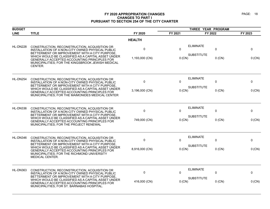| <b>BUDGET</b> |                                                                                                                                                                                                    |                | THREE YEAR PROGRAM |                   |          |         |
|---------------|----------------------------------------------------------------------------------------------------------------------------------------------------------------------------------------------------|----------------|--------------------|-------------------|----------|---------|
| <b>LINE</b>   | <b>TITLE</b>                                                                                                                                                                                       | FY 2020        | FY 2021            | FY 2022           |          | FY 2023 |
|               |                                                                                                                                                                                                    | <b>HEALTH</b>  |                    |                   |          |         |
| HL-DN228      | CONSTRUCTION, RECONSTRUCTION, ACQUISITION OR<br>INSTALLATION OF A NON-CITY OWNED PHYSICAL PUBLIC<br>BETTERMENT OR IMPROVEMENT WITH A CITY PURPOSE.                                                 | 0              | 0                  | <b>ELIMINATE</b>  | 0        | 0       |
|               | WHICH WOULD BE CLASSIFIED AS A CAPITAL ASSET UNDER<br>GENERALLY ACCEPTED ACCOUNTING PRINCIPLES FOR<br>MUNICIPALITIES; FOR THE KINGSBROOK JEWISH MEDICAL<br>CENTER.                                 | 1,193,000 (CN) | $0$ (CN)           | <b>SUBSTITUTE</b> | $0$ (CN) | 0 (CN)  |
| HL-DN254      | CONSTRUCTION, RECONSTRUCTION, ACQUISITION OR<br>INSTALLATION OF A NON-CITY OWNED PHYSICAL PUBLIC<br>BETTERMENT OR IMPROVEMENT WITH A CITY PURPOSE.                                                 | $\pmb{0}$      | $\mathbf 0$        | <b>ELIMINATE</b>  | 0        | 0       |
|               | WHICH WOULD BE CLASSIFIED AS A CAPITAL ASSET UNDER<br>GENERALLY ACCEPTED ACCOUNTING PRINCIPLES FOR<br>MUNICIPALITIES; FOR THE MAIMONIDES MEDICAL CENTER                                            | 3,196,000 (CN) | $0$ (CN)           | <b>SUBSTITUTE</b> | $0$ (CN) | 0 (CN)  |
| HL-DN336      | CONSTRUCTION, RECONSTRUCTION, ACQUISITION OR<br>INSTALLATION OF A NON-CITY OWNED PHYSICAL PUBLIC                                                                                                   | $\mathbf 0$    | $\Omega$           | <b>ELIMINATE</b>  | 0        | 0       |
|               | BETTERMENT OR IMPROVEMENT WITH A CITY PURPOSE.<br>WHICH WOULD BE CLASSIFIED AS A CAPITAL ASSET UNDER<br>GENERALLY ACCEPTED ACCOUNTING PRINCIPLES FOR<br>MUNICIPALITIES; FOR THE PROJECT RENEWAL    | 749,000 (CN)   | 0 (CN)             | <b>SUBSTITUTE</b> | $0$ (CN) | 0 (CN)  |
| HL-DN346      | CONSTRUCTION, RECONSTRUCTION, ACQUISITION OR<br>INSTALLATION OF A NON-CITY OWNED PHYSICAL PUBLIC<br>BETTERMENT OR IMPROVEMENT WITH A CITY PURPOSE.                                                 | 0              | $\mathbf{0}$       | <b>ELIMINATE</b>  | 0        | 0       |
|               | WHICH WOULD BE CLASSIFIED AS A CAPITAL ASSET UNDER<br>GENERALLY ACCEPTED ACCOUNTING PRINCIPLES FOR<br>MUNICIPALITIES; FOR THE RICHMOND UNIVERSITY<br>MEDICAL CENTER.                               | 8,916,000 (CN) | $0$ (CN)           | <b>SUBSTITUTE</b> | $0$ (CN) | 0 (CN)  |
| HL-DN363      | CONSTRUCTION, RECONSTRUCTION, ACQUISITION OR<br>INSTALLATION OF A NON-CITY OWNED PHYSICAL PUBLIC                                                                                                   | 0              | $\Omega$           | <b>ELIMINATE</b>  | 0        | 0       |
|               | BETTERMENT OR IMPROVEMENT WITH A CITY PURPOSE.<br>WHICH WOULD BE CLASSIFIED AS A CAPITAL ASSET UNDER<br>GENERALLY ACCEPTED ACCOUNTING PRINCIPLES FOR<br>MUNICIPALITIES; FOR ST. BARNABAS HOSPITAL. | 416,000 (CN)   | 0 (CN)             | <b>SUBSTITUTE</b> | $0$ (CN) | 0 (CN)  |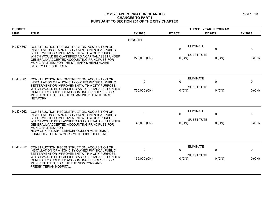| <b>BUDGET</b> |                                                                                                                                                                                                                                                                                                                                                                                 |                             | THREE YEAR PROGRAM     |                                                                  |                        |  |
|---------------|---------------------------------------------------------------------------------------------------------------------------------------------------------------------------------------------------------------------------------------------------------------------------------------------------------------------------------------------------------------------------------|-----------------------------|------------------------|------------------------------------------------------------------|------------------------|--|
| <b>LINE</b>   | <b>TITLE</b>                                                                                                                                                                                                                                                                                                                                                                    | FY 2020                     | FY 2021                | FY 2022                                                          | FY 2023                |  |
|               |                                                                                                                                                                                                                                                                                                                                                                                 | <b>HEALTH</b>               |                        |                                                                  |                        |  |
| HL-DN367      | CONSTRUCTION, RECONSTRUCTION, ACQUISITION OR<br>INSTALLATION OF A NON-CITY OWNED PHYSICAL PUBLIC<br>BETTERMENT OR IMPROVEMENT WITH A CITY PURPOSE,<br>WHICH WOULD BE CLASSIFIED AS A CAPITAL ASSET UNDER<br>GENERALLY ACCEPTED ACCOUNTING PRINCIPLES FOR<br>MUNICIPALITIES; FOR THE ST. MARY'S HEALTHCARE<br>SYSTEM FOR CHILDREN.                                               | 0<br>273,000 (CN)           | $\mathbf{0}$<br>0 (CN) | <b>ELIMINATE</b><br>$\Omega$<br><b>SUBSTITUTE</b><br>$0$ (CN)    | 0<br>0 (CN)            |  |
| HL-DN561      | CONSTRUCTION, RECONSTRUCTION, ACQUISITION OR<br>INSTALLATION OF A NON-CITY OWNED PHYSICAL PUBLIC<br>BETTERMENT OR IMPROVEMENT WITH A CITY PURPOSE.<br>WHICH WOULD BE CLASSIFIED AS A CAPITAL ASSET UNDER<br>GENERALLY ACCEPTED ACCOUNTING PRINCIPLES FOR<br>MUNICIPALITIES; FOR THE COMMUNITY HEALTHCARE<br>NETWORK.                                                            | $\mathbf 0$<br>750,000 (CN) | $\Omega$<br>0 (CN)     | <b>ELIMINATE</b><br>$\Omega$<br><b>SUBSTITUTE</b><br>$0$ (CN)    | $\Omega$<br>0 (CN)     |  |
| HL-DN562      | CONSTRUCTION, RECONSTRUCTION, ACQUISITION OR<br>INSTALLATION OF A NON-CITY OWNED PHYSICAL PUBLIC<br>BETTERMENT OR IMPROVEMENT WITH A CITY PURPOSE.<br>WHICH WOULD BE CLASSIFIED AS A CAPITAL ASSET UNDER<br>GENERALLY ACCEPTED ACCOUNTING PRINCIPLES FOR<br><b>MUNICIPALITIES; FOR</b><br>NEWYORK-PRESBYTERIAN/BROOKLYN METHODIST,<br>FORMERLY THE NEW YORK METHODIST HOSPITAL. | 0<br>43,000 (CN)            | $\Omega$<br>$0$ (CN)   | <b>ELIMINATE</b><br>$\mathbf 0$<br><b>SUBSTITUTE</b><br>$0$ (CN) | 0<br>$0$ (CN)          |  |
| HL-DN652      | CONSTRUCTION, RECONSTRUCTION, ACQUISITION OR<br>INSTALLATION OF A NON-CITY OWNED PHYSICAL PUBLIC<br>BETTERMENT OR IMPROVEMENT WITH A CITY PURPOSE.<br>WHICH WOULD BE CLASSIFIED AS A CAPITAL ASSET UNDER<br>GENERALLY ACCEPTED ACCOUNTING PRINCIPLES FOR<br>MUNICIPALITIES; FOR THE THE NEW YORK AND<br>PRESBYTERIAN HOSPITAL.                                                  | 0<br>135,000 (CN)           | $\Omega$<br>$0$ (CN)   | <b>ELIMINATE</b><br>$\Omega$<br><b>SUBSTITUTE</b><br>$0$ (CN)    | $\mathbf{0}$<br>0 (CN) |  |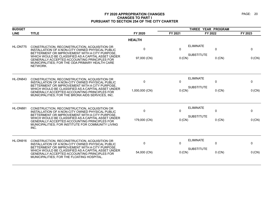| <b>BUDGET</b> |                                                                                                                                                                                                           |                |         | THREE YEAR PROGRAM                                   |             |
|---------------|-----------------------------------------------------------------------------------------------------------------------------------------------------------------------------------------------------------|----------------|---------|------------------------------------------------------|-------------|
| <b>LINE</b>   | <b>TITLE</b>                                                                                                                                                                                              | FY 2020        | FY 2021 | FY 2022                                              | FY 2023     |
|               |                                                                                                                                                                                                           | <b>HEALTH</b>  |         |                                                      |             |
| HL-DN775      | CONSTRUCTION, RECONSTRUCTION, ACQUISITION OR<br>INSTALLATION OF A NON-CITY OWNED PHYSICAL PUBLIC<br>BETTERMENT OR IMPROVEMENT WITH A CITY PURPOSE,                                                        | $\Omega$       | 0       | <b>ELIMINATE</b><br>$\mathbf 0$<br><b>SUBSTITUTE</b> | $\mathbf 0$ |
|               | WHICH WOULD BE CLASSIFIED AS A CAPITAL ASSET UNDER<br>GENERALLY ACCEPTED ACCOUNTING PRINCIPLES FOR<br>MUNICIPALITIES; FOR THE ODA PRIMARY HEALTH CARE<br>NETWORK.                                         | 97,000 (CN)    | 0 (CN)  | $0$ (CN)                                             | 0 (CN)      |
| HL-DN843      | CONSTRUCTION, RECONSTRUCTION, ACQUISITION OR<br>INSTALLATION OF A NON-CITY OWNED PHYSICAL PUBLIC<br>BETTERMENT OR IMPROVEMENT WITH A CITY PURPOSE.                                                        | $\mathbf 0$    | 0       | <b>ELIMINATE</b><br>$\Omega$                         | 0           |
|               | WHICH WOULD BE CLASSIFIED AS A CAPITAL ASSET UNDER<br>GENERALLY ACCEPTED ACCOUNTING PRINCIPLES FOR<br>MUNICIPALITIES; FOR THE BRONX AIDS SERVICES, INC.                                                   | 1,000,000 (CN) | 0 (CN)  | <b>SUBSTITUTE</b><br>$0$ (CN)                        | 0 (CN)      |
| HL-DN881      | CONSTRUCTION, RECONSTRUCTION, ACQUISITION OR<br>INSTALLATION OF A NON-CITY OWNED PHYSICAL PUBLIC<br>BETTERMENT OR IMPROVEMENT WITH A CITY PURPOSE,                                                        | $\Omega$       | 0       | <b>ELIMINATE</b><br>$\Omega$                         | $\Omega$    |
|               | WHICH WOULD BE CLASSIFIED AS A CAPITAL ASSET UNDER<br>GENERALLY ACCEPTED ACCOUNTING PRINCIPLES FOR<br>MUNICIPALITIES: FOR INSTITUTE FOR COMMUNITY LIVING<br>INC.                                          | 179,000 (CN)   | 0 (CN)  | <b>SUBSTITUTE</b><br>$0$ (CN)                        | 0 (CN)      |
| HL-DN916      | CONSTRUCTION, RECONSTRUCTION, ACQUISITION OR<br>INSTALLATION OF A NON-CITY OWNED PHYSICAL PUBLIC                                                                                                          | 0              | 0       | <b>ELIMINATE</b><br>0                                | 0           |
|               | BETTERMENT OR IMPROVEMENT WITH A CITY PURPOSE,<br>WHICH WOULD BE CLASSIFIED AS A CAPITAL ASSET UNDER<br><b>GENERALLY ACCEPTED ACCOUNTING PRINCIPLES FOR</b><br>MUNICIPALITIES; FOR THE FLOATING HOSPITAL. | 54,000 (CN)    | 0 (CN)  | <b>SUBSTITUTE</b><br>$0$ (CN)                        | 0 (CN)      |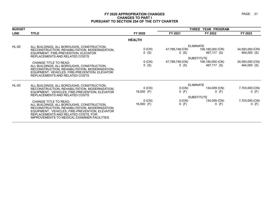| <b>BUDGET</b> |                                                                                                                                                                                                                                                                       |                          | THREE YEAR PROGRAM      |                                                                          |                                |  |
|---------------|-----------------------------------------------------------------------------------------------------------------------------------------------------------------------------------------------------------------------------------------------------------------------|--------------------------|-------------------------|--------------------------------------------------------------------------|--------------------------------|--|
| <b>LINE</b>   | <b>TITLE</b>                                                                                                                                                                                                                                                          | FY 2020                  | FY 2021                 | FY 2022                                                                  | FY 2023                        |  |
|               |                                                                                                                                                                                                                                                                       | <b>HEALTH</b>            |                         |                                                                          |                                |  |
| <b>HL-82</b>  | ALL BUILDINGS, ALL BOROUGHS, CONSTRUCTION,<br>RECONSTRUCTION, REHABILITATION, MODERNIZATION,<br>EQUIPMENT, FIRE-PREVENTION, ELEVATOR<br>REPLACEMENTS AND RELATED COSTS                                                                                                | $0$ (CN)<br>$0$ (S)      | 47,799,748 (CN)<br>0(S) | <b>ELIMINATE</b><br>106,180,000 (CN)<br>467,117 (S)<br><b>SUBSTITUTE</b> | 34,593,000 (CN)<br>464,000 (S) |  |
|               | <b>CHANGE TITLE TO READ:</b><br>ALL BUILDINGS, ALL BOROUGHS, CONSTRUCTION,<br>RECONSTRUCTION, REHABILITATION, MODERNIZATION,<br>EQUIPMENT, VEHICLES, FIRE-PREVENTION, ELEVATOR<br>REPLACEMENTS AND RELATED COSTS                                                      | $0$ (CN)<br>$0$ (S)      | 47,799,748 (CN)<br>0(S) | 106,180,000 (CN)<br>467,117 (S)                                          | 34,593,000 (CN)<br>464,000 (S) |  |
| <b>HL-83</b>  | ALL BUILDINGS, ALL BOROUGHS, CONSTRUCTION,<br>RECONSTRUCTION, REHABILITATION, MODERNIZATION,<br>EQUIPMENT, VEHICLES, FIRE-PREVENTION, ELEVATOR<br>REPLACEMENTS AND RELATED COSTS                                                                                      | $0$ (CN)<br>16,500 $(F)$ | 0 (CN)<br>0(F)          | <b>ELIMINATE</b><br>134,009 (CN)<br>$0$ (F)<br><b>SUBSTITUTE</b>         | 7,703,000 (CN)<br>$0$ (F)      |  |
|               | <b>CHANGE TITLE TO READ:</b><br>ALL BUILDINGS, ALL BOROUGHS, CONSTRUCTION,<br>RECONSTRUCTION, REHABILITATION, MODERNIZATION,<br>EQUIPMENT, VEHICLES, FIRE-PREVENTION, ELEVATOR<br>REPLACEMENTS AND RELATED COSTS, FOR<br>IMPROVEMENTS TO MEDICAL EXAMINER FACILITIES. | $0$ (CN)<br>16,500 (F)   | 0 (CN)<br>0(F)          | 134,009 (CN)<br>$0$ (F)                                                  | 7,703,000 (CN)<br>$0$ (F)      |  |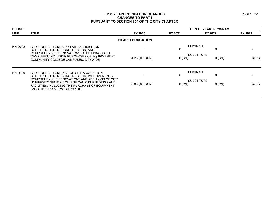| <b>BUDGET</b> |                                                                                                                                                                                      |                         |          | THREE YEAR PROGRAM            |         |
|---------------|--------------------------------------------------------------------------------------------------------------------------------------------------------------------------------------|-------------------------|----------|-------------------------------|---------|
| <b>LINE</b>   | <b>TITLE</b>                                                                                                                                                                         | FY 2020                 | FY 2021  | FY 2022                       | FY 2023 |
|               |                                                                                                                                                                                      | <b>HIGHER EDUCATION</b> |          |                               |         |
| HN-D002       | CITY COUNCIL FUNDS FOR SITE ACQUISITION.<br>CONSTRUCTION, RECONSTRUCTION, AND                                                                                                        | $\Omega$                |          | <b>ELIMINATE</b>              |         |
|               | COMPREHENSIVE RENOVATIONS TO BUILDINGS AND<br>CAMPUSES, INCLUDING PURCHASES OF EQUIPMENT AT<br>COMMUNITY COLLEGE CAMPUSES, CITYWIDE                                                  | 31,258,000 (CN)         | $0$ (CN) | <b>SUBSTITUTE</b><br>$0$ (CN) | 0 (CN)  |
| HN-D300       | CITY COUNCIL FUNDING FOR SITE ACQUISITION.<br>CONSTRUCTION, RECONSTRUCTION, IMPROVEMENTS,                                                                                            | $\Omega$                | 0        | <b>ELIMINATE</b><br>0         |         |
|               | COMPREHENSIVE RENOVATIONS AND ADDITIONS OF CITY<br>UNIVERSITY SENIOR COLLEGE CAMPUS BUILDINGS AND<br>FACILITIES, INCLUDING THE PURCHASE OF EQUIPMENT<br>AND OTHER SYSTEMS, CITYWIDE. | 33,800,000 (CN)         | 0 (CN)   | <b>SUBSTITUTE</b><br>$0$ (CN) | 0 (CN)  |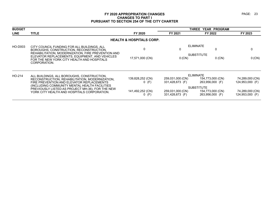| <b>BUDGET</b> |                                                                                                                                                                    |                                     |                                     | THREE YEAR PROGRAM                  |                                    |
|---------------|--------------------------------------------------------------------------------------------------------------------------------------------------------------------|-------------------------------------|-------------------------------------|-------------------------------------|------------------------------------|
| <b>LINE</b>   | <b>TITLE</b>                                                                                                                                                       | FY 2020                             | FY 2021                             | FY 2022                             | FY 2023                            |
|               |                                                                                                                                                                    | <b>HEALTH &amp; HOSPITALS CORP.</b> |                                     |                                     |                                    |
| HO-D003       | CITY COUNCIL FUNDING FOR ALL BUILDINGS, ALL<br>BOROUGHS, CONSTRUCTION, RECONSTRUCTION,                                                                             |                                     |                                     | <b>ELIMINATE</b>                    | 0                                  |
|               | REHABILITATION, MODERNIZATION, FIRE PREVENTION AND<br>ELEVATOR REPLACEMENTS, EQUIPMENT, AND VEHICLES<br>FOR THE NEW YORK CITY HEALTH AND HOSPITALS<br>CORPORATION. | 17,571,000 (CN)                     | 0 (CN)                              | <b>SUBSTITUTE</b><br>$0$ (CN)       | $0$ (CN)                           |
| HO-214        | ALL BUILDINGS, ALL BOROUGHS, CONSTRUCTION,                                                                                                                         |                                     |                                     | <b>ELIMINATE</b>                    |                                    |
|               | RECONSTRUCTION, REHABILITATION, MODERNIZATION.<br>FIRE PREVENTION AND ELEVATOR REPLACEMENTS                                                                        | 139,828,252 (CN)<br>$0$ (F)         | 259,031,000 (CN)<br>331,428,673 (F) | 154,773,000 (CN)<br>263,956,000 (F) | 74,289,000 (CN)<br>124,953,000 (F) |
|               | (INCLUDING COMMUNITY MENTAL HEALTH FACILITIES<br>PREVIOUSLY LISTED AS PROJECT MH-36), FOR THE NEW                                                                  |                                     |                                     | <b>SUBSTITUTE</b>                   |                                    |
|               | YORK CITY HEALTH AND HOSPITALS CORPORATION.                                                                                                                        | 141,492,252 (CN)<br>$0$ (F)         | 259,031,000 (CN)<br>331,428,673 (F) | 154,773,000 (CN)<br>263,956,000 (F) | 74,289,000 (CN)<br>124,953,000 (F) |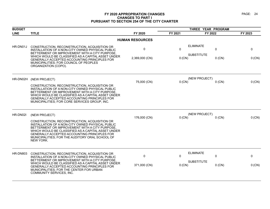| <b>BUDGET</b> |                                                                                                                                                                                                                                                                                                                                           |                        | THREE YEAR PROGRAM |                                                        |             |
|---------------|-------------------------------------------------------------------------------------------------------------------------------------------------------------------------------------------------------------------------------------------------------------------------------------------------------------------------------------------|------------------------|--------------------|--------------------------------------------------------|-------------|
| <b>LINE</b>   | <b>TITLE</b>                                                                                                                                                                                                                                                                                                                              | FY 2020                | FY 2021            | FY 2022                                                | FY 2023     |
|               |                                                                                                                                                                                                                                                                                                                                           | <b>HUMAN RESOURCES</b> |                    |                                                        |             |
| HR-DN01J      | CONSTRUCTION, RECONSTRUCTION, ACQUISITION OR<br>INSTALLATION OF A NON-CITY OWNED PHYSICAL PUBLIC<br>BETTERMENT OR IMPROVEMENT WITH A CITY PURPOSE,<br>WHICH WOULD BE CLASSIFIED AS A CAPITAL ASSET UNDER<br>GENERALLY ACCEPTED ACCOUNTING PRINCIPLES FOR<br>MUNICIPALITIES; FOR COUNCIL OF PEOPLES<br>ORGANIZATION (COPO).                | 0<br>2,369,000 (CN)    | $\Omega$<br>0 (CN) | <b>ELIMINATE</b><br>0<br><b>SUBSTITUTE</b><br>$0$ (CN) | 0<br>0 (CN) |
| HR-DN02H      | (NEW PROJECT)<br>CONSTRUCTION, RECONSTRUCTION, ACQUISITION OR<br>INSTALLATION OF A NON-CITY OWNED PHYSICAL PUBLIC<br>BETTERMENT OR IMPROVEMENT WITH A CITY PURPOSE<br>WHICH WOULD BE CLASSIFIED AS A CAPITAL ASSET UNDER<br>GENERALLY ACCEPTED ACCOUNTING PRINCIPLES FOR<br>MUNICIPALITIES; FOR CORE SERVICES GROUP, INC.                 | 75,000 (CN)            | $0$ (CN)           | (NEW PROJECT)<br>$0$ (CN)                              | 0 (CN)      |
| HR-DN02I      | (NEW PROJECT)<br>CONSTRUCTION, RECONSTRUCTION, ACQUISITION OR<br>INSTALLATION OF A NON-CITY OWNED PHYSICAL PUBLIC<br>BETTERMENT OR IMPROVEMENT WITH A CITY PURPOSE,<br>WHICH WOULD BE CLASSIFIED AS A CAPITAL ASSET UNDER<br>GENERALLY ACCEPTED ACCOUNTING PRINCIPLES FOR<br>MUNICIPALITIES; FOR THE AUDITORY ORAL SCHOOL OF<br>NEW YORK. | 176,000 (CN)           | $0$ (CN)           | (NEW PROJECT)<br>$0$ (CN)                              | 0 (CN)      |
| HR-DN803      | CONSTRUCTION, RECONSTRUCTION, ACQUISITION OR<br>INSTALLATION OF A NON-CITY OWNED PHYSICAL PUBLIC<br>BETTERMENT OR IMPROVEMENT WITH A CITY PURPOSE,<br>WHICH WOULD BE CLASSIFIED AS A CAPITAL ASSET UNDER<br>GENERALLY ACCEPTED ACCOUNTING PRINCIPLES FOR<br>MUNICIPALITIES; FOR THE CENTER FOR URBAN<br>COMMUNITY SERVICES, INC.          | 0<br>371,000 (CN)      | $\Omega$<br>0 (CN) | <b>ELIMINATE</b><br>0<br><b>SUBSTITUTE</b><br>$0$ (CN) | 0<br>0 (CN) |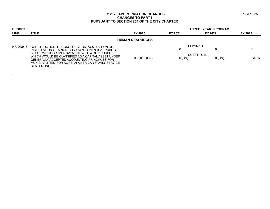| <b>BUDGET</b> |                                                                                                                                                                                                                                                                                                                                |                        |          | THREE YEAR PROGRAM                         |          |  |  |  |
|---------------|--------------------------------------------------------------------------------------------------------------------------------------------------------------------------------------------------------------------------------------------------------------------------------------------------------------------------------|------------------------|----------|--------------------------------------------|----------|--|--|--|
| <b>LINE</b>   | <b>TITLE</b>                                                                                                                                                                                                                                                                                                                   | FY 2020                | FY 2021  | FY 2022                                    | FY 2023  |  |  |  |
|               |                                                                                                                                                                                                                                                                                                                                | <b>HUMAN RESOURCES</b> |          |                                            |          |  |  |  |
| HR-DN918      | CONSTRUCTION, RECONSTRUCTION, ACQUISITION OR<br>INSTALLATION OF A NON-CITY OWNED PHYSICAL PUBLIC<br>BETTERMENT OR IMPROVEMENT WITH A CITY PURPOSE,<br>WHICH WOULD BE CLASSIFIED AS A CAPITAL ASSET UNDER<br>GENERALLY ACCEPTED ACCOUNTING PRINCIPLES FOR<br>MUNICIPALITIES: FOR KOREAN-AMERICAN FAMILY SERVICE<br>CENTER. INC. | 360,000 (CN)           | $0$ (CN) | ELIMINATE<br><b>SUBSTITUTE</b><br>$0$ (CN) | $0$ (CN) |  |  |  |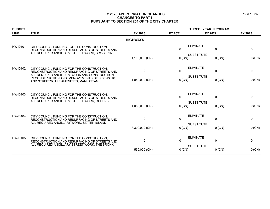| <b>BUDGET</b>  |                                                                                                                                              |                 | THREE YEAR PROGRAM |                                  |              |
|----------------|----------------------------------------------------------------------------------------------------------------------------------------------|-----------------|--------------------|----------------------------------|--------------|
| <b>LINE</b>    | <b>TITLE</b>                                                                                                                                 | FY 2020         | FY 2021            | FY 2022                          | FY 2023      |
|                |                                                                                                                                              | <b>HIGHWAYS</b> |                    |                                  |              |
| <b>HW-D101</b> | CITY COUNCIL FUNDING FOR THE CONSTRUCTION,<br>RECONSTRUCTION AND RESURFACING OF STREETS AND<br>ALL REQUIRED ANCILLARY STREET WORK, BROOKLYN. | 0               | $\mathbf{0}$       | <b>ELIMINATE</b><br>$\mathbf{0}$ | $\mathbf{0}$ |
|                |                                                                                                                                              | 1,100,000 (CN)  | $0$ (CN)           | <b>SUBSTITUTE</b><br>$0$ (CN)    | $0$ (CN)     |
| <b>HW-D102</b> | CITY COUNCIL FUNDING FOR THE CONSTRUCTION,<br>RECONSTRUCTION AND RESURFACING OF STREETS AND                                                  | 0               | $\mathbf 0$        | <b>ELIMINATE</b><br>$\mathbf 0$  | $\mathbf 0$  |
|                | ALL REQUIRED ANCILLARY WORK AND CONSTRUCTION,<br>RECONSTRUCTION AND IMPROVEMENTS OF SIDEWALKS<br>AND STREETSCAPE AMENITIES, MANHATTAN.       | 1,050,000 (CN)  | $0$ (CN)           | <b>SUBSTITUTE</b><br>$0$ (CN)    | 0 (CN)       |
| <b>HW-D103</b> | CITY COUNCIL FUNDING FOR THE CONSTRUCTION,<br>RECONSTRUCTION AND RESURFACING OF STREETS AND                                                  | 0               | $\Omega$           | <b>ELIMINATE</b><br>$\mathbf 0$  | 0            |
|                | ALL REQUIRED ANCILLARY STREET WORK, QUEENS                                                                                                   | 1,050,000 (CN)  | $0$ (CN)           | <b>SUBSTITUTE</b><br>$0$ (CN)    | $0$ (CN)     |
| <b>HW-D104</b> | CITY COUNCIL FUNDING FOR THE CONSTRUCTION,<br>RECONSTRUCTION AND RESURFACING OF STREETS AND<br>ALL REQUIRED ANCILLARY WORK, STATEN ISLAND    | 0               | $\mathbf{0}$       | <b>ELIMINATE</b><br>$\mathbf 0$  | 0            |
|                |                                                                                                                                              | 13,300,000 (CN) | 0 (CN)             | <b>SUBSTITUTE</b><br>$0$ (CN)    | 0 (CN)       |
| <b>HW-D105</b> | CITY COUNCIL FUNDING FOR THE CONSTRUCTION,<br>RECONSTRUCTION AND RESURFACING OF STREETS AND<br>ALL REQUIRED ANCILLARY STREET WORK, THE BRONX | $\mathbf 0$     | $\Omega$           | <b>ELIMINATE</b><br>$\mathbf{0}$ | 0            |
|                |                                                                                                                                              | 550,000 (CN)    | $0$ (CN)           | <b>SUBSTITUTE</b><br>$0$ (CN)    | $0$ (CN)     |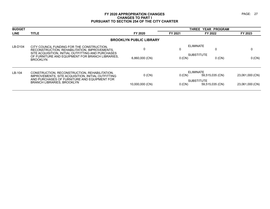| <b>BUDGET</b> |                                                                                                                                                   |                                | <b>THREE</b><br><b>YEAR PROGRAM</b> |                                      |                 |
|---------------|---------------------------------------------------------------------------------------------------------------------------------------------------|--------------------------------|-------------------------------------|--------------------------------------|-----------------|
| <b>LINE</b>   | <b>TITLE</b>                                                                                                                                      | FY 2020                        | FY 2021                             | FY 2022                              | FY 2023         |
|               |                                                                                                                                                   | <b>BROOKLYN PUBLIC LIBRARY</b> |                                     |                                      |                 |
| LB-D104       | CITY COUNCIL FUNDING FOR THE CONSTRUCTION.<br>RECONSTRUCTION, REHABILITATION, IMPROVEMENTS,<br>SITE ACQUISITION, INITIAL OUTFITTING AND PURCHASES | $\Omega$                       |                                     | <b>ELIMINATE</b>                     |                 |
|               | OF FURNITURE AND EQUIPMENT FOR BRANCH LIBRARIES.<br><b>BROOKLYN</b>                                                                               | 6,860,000 (CN)                 | 0 (CN)                              | <b>SUBSTITUTE</b><br>$0$ (CN)        | 0 (CN)          |
| $LB-104$      | CONSTRUCTION, RECONSTRUCTION, REHABILITATION,<br>IMPROVEMENTS, SITE ACQUISITION, INITIAL OUTFITTING                                               | $0$ (CN)                       | $0$ (CN)                            | <b>ELIMINATE</b><br>59.515.035 (CN)  | 23,061,000 (CN) |
|               | AND PURCHASES OF FURNITURE AND EQUIPMENT FOR<br><b>BRANCH LIBRARIES, BROOKLYN</b>                                                                 | 10,000,000 (CN)                | $0$ (CN)                            | <b>SUBSTITUTE</b><br>59,515,035 (CN) | 23,061,000 (CN) |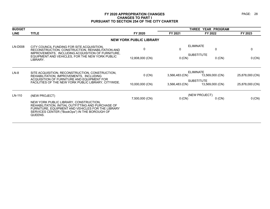| <b>BUDGET</b> |                                                                                                                                                                                                               |                                | THREE YEAR PROGRAM                                    |                                      |                 |
|---------------|---------------------------------------------------------------------------------------------------------------------------------------------------------------------------------------------------------------|--------------------------------|-------------------------------------------------------|--------------------------------------|-----------------|
| <b>LINE</b>   | <b>TITLE</b>                                                                                                                                                                                                  | FY 2020                        | FY 2021                                               | FY 2022                              | FY 2023         |
|               |                                                                                                                                                                                                               | <b>NEW YORK PUBLIC LIBRARY</b> |                                                       |                                      |                 |
| LN-D008       | CITY COUNCIL FUNDING FOR SITE ACQUISITION.<br>RECONSTRUCTION, CONSTRUCTION, REHABILITATION AND                                                                                                                | $\Omega$                       | 0                                                     | <b>ELIMINATE</b><br>0                | $\mathbf{0}$    |
|               | IMPROVEMENTS, INCLUDING ACQUISITION OF FURNITURE,<br>EQUIPMENT AND VEHICLES, FOR THE NEW YORK PUBLIC<br>LIBRARY.                                                                                              | 12,808,000 (CN)                | 0 (CN)                                                | <b>SUBSTITUTE</b><br>$0$ (CN)        | 0(CN)           |
| $LN-8$        | SITE ACQUISITION, RECONSTRUCTION, CONSTRUCTION,<br>REHABILITATION, IMPROVEMENTS, INCLUDING<br>ACQUISITION OF FURNITURE AND EQUIPMENT FOR<br>FACILITIES OF THE NEW YORK PUBLIC LIBRARY, CITYWIDE.              | $0$ (CN)                       | <b>ELIMINATE</b><br>3,566,483 (CN)<br>13,569,000 (CN) |                                      | 25,878,000 (CN) |
|               |                                                                                                                                                                                                               | 10,000,000 (CN)                | 3,566,483 (CN)                                        | <b>SUBSTITUTE</b><br>13,569,000 (CN) | 25,878,000 (CN) |
| LN-110        | (NEW PROJECT)                                                                                                                                                                                                 | 7,500,000 (CN)                 | (NEW PROJECT)                                         |                                      | 0(CN)           |
|               | NEW YORK PUBLIC LIBRARY, CONSTRUCTION,<br>REHABILITATION, INITIAL OUTFITTING AND PURCHASE OF<br>FURNITURE, EQUIPMENT AND VEHICLES FOR THE LIBRARY<br>SERVICES CENTER ("BookOps") IN THE BOROUGH OF<br>QUEENS. |                                | 0 (CN)                                                | $0$ (CN)                             |                 |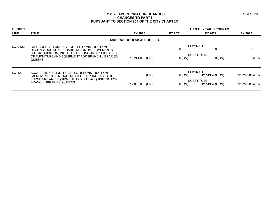| <b>BUDGET</b> |                                                                                                                                                   |                          | THREE YEAR PROGRAM |                                      |                 |
|---------------|---------------------------------------------------------------------------------------------------------------------------------------------------|--------------------------|--------------------|--------------------------------------|-----------------|
| <b>LINE</b>   | <b>TITLE</b>                                                                                                                                      | FY 2020                  | FY 2021            | FY 2022                              | FY 2023         |
|               |                                                                                                                                                   | QUEENS BOROUGH PUB. LIB. |                    |                                      |                 |
| LQ-D122       | CITY COUNCIL FUNDING FOR THE CONSTRUCTION.<br>RECONSTRUCTION, REHABILITATION, IMPROVEMENTS,<br>SITE ACQUISITION, INITIAL OUTFITTING AND PURCHASES | $\Omega$                 |                    | <b>ELIMINATE</b>                     |                 |
|               | OF FURNITURE AND EQUIPMENT FOR BRANCH LIBRARIES.<br><b>QUEENS</b>                                                                                 | 16,241,000 (CN)          | $0$ (CN)           | <b>SUBSTITUTE</b><br>$0$ (CN)        | 0 (CN)          |
| $LQ-122$      | ACQUISITION, CONSTRUCTION, RECONSTRUCTION,<br>IMPROVEMENTS. INITIAL OUTFITTING. PURCHASES OF                                                      | $0$ (CN)                 | $0$ (CN)           | <b>ELIMINATE</b><br>42,149,268 (CN)  | 72,722,000 (CN) |
|               | FURNITURE AND EQUIPMENT AND SITE ACQUISITION FOR<br><b>BRANCH LIBRARIES, QUEENS</b>                                                               | 12,000,000 (CN)          | 0 (CN)             | <b>SUBSTITUTE</b><br>42,149,268 (CN) | 72,722,000 (CN) |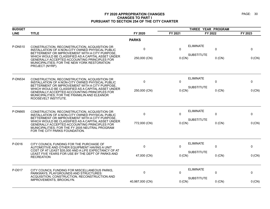| <b>BUDGET</b>  |                                                                                                                                                                                                                                                  |                 | THREE YEAR PROGRAM          |                   |          |         |
|----------------|--------------------------------------------------------------------------------------------------------------------------------------------------------------------------------------------------------------------------------------------------|-----------------|-----------------------------|-------------------|----------|---------|
| <b>LINE</b>    | <b>TITLE</b>                                                                                                                                                                                                                                     | FY 2020         | FY 2021                     | FY 2022           |          | FY 2023 |
|                |                                                                                                                                                                                                                                                  | <b>PARKS</b>    |                             |                   |          |         |
| P-DN510        | CONSTRUCTION, RECONSTRUCTION, ACQUISITION OR<br>INSTALLATION OF A NON-CITY OWNED PHYSICAL PUBLIC<br>BETTERMENT OR IMPROVEMENT WITH A CITY PURPOSE,                                                                                               | $\mathbf 0$     | $\Omega$                    | <b>ELIMINATE</b>  | 0        | 0       |
|                | WHICH WOULD BE CLASSIFIED AS A CAPITAL ASSET UNDER<br>GENERALLY ACCEPTED ACCOUNTING PRINCIPLES FOR<br>MUNICIPALITIES; FOR THE NEW YORK RESTORATION<br>PROJECT (NYRP).                                                                            | 250,000 (CN)    | $0$ (CN)                    | <b>SUBSTITUTE</b> | $0$ (CN) | 0 (CN)  |
| <b>P-DN534</b> | CONSTRUCTION, RECONSTRUCTION, ACQUISITION OR<br>INSTALLATION OF A NON-CITY OWNED PHYSICAL PUBLIC                                                                                                                                                 | $\mathbf 0$     | $\Omega$                    | <b>ELIMINATE</b>  | 0        | 0       |
|                | BETTERMENT OR IMPROVEMENT WITH A CITY PURPOSE,<br>WHICH WOULD BE CLASSIFIED AS A CAPITAL ASSET UNDER<br>GENERALLY ACCEPTED ACCOUNTING PRINCIPLES FOR<br>MUNICIPALITIES; FOR THE FRANKLIN AND ELEANOR<br>ROOSEVELT INSTITUTE.                     | 250,000 (CN)    | <b>SUBSTITUTE</b><br>0 (CN) |                   | $0$ (CN) | 0 (CN)  |
| <b>P-DN665</b> | CONSTRUCTION, RECONSTRUCTION, ACQUISITION OR<br>INSTALLATION OF A NON-CITY OWNED PHYSICAL PUBLIC                                                                                                                                                 | $\mathbf 0$     | $\Omega$                    | <b>ELIMINATE</b>  | 0        | 0       |
|                | BETTERMENT OR IMPROVEMENT WITH A CITY PURPOSE.<br>WHICH WOULD BE CLASSIFIED AS A CAPITAL ASSET UNDER<br><b>GENERALLY ACCEPTED ACCOUNTING PRINCIPLES FOR</b><br>MUNICIPALITIES; FOR THE FY 2005 NEUTRAL PROGRAM<br>FOR THE CITY PARKS FOUNDATION. | 772,000 (CN)    | 0 (CN)                      | <b>SUBSTITUTE</b> | $0$ (CN) | 0 (CN)  |
| P-D016         | CITY COUNCIL FUNDING FOR THE PURCHASE OF<br>AUTOMOTIVE AND OTHER EQUIPMENT HAVING A UNIT                                                                                                                                                         | 0               | $\Omega$                    | <b>ELIMINATE</b>  | 0        | 0       |
|                | COST OF AT LEAST \$35,000 AND A LIFE EXPECTANCY OF AT<br>LEAST FIVE YEARS FOR USE BY THE DEPT OF PARKS AND<br><b>RECREATION</b>                                                                                                                  | 47,000 (CN)     | $0$ (CN)                    | <b>SUBSTITUTE</b> | $0$ (CN) | 0 (CN)  |
| P-D017         | CITY COUNCIL FUNDING FOR MISCELLANEOUS PARKS,<br>PARKWAYS, PLAYGROUNDS AND STRUCTURES:                                                                                                                                                           | $\mathbf 0$     | $\Omega$                    | <b>ELIMINATE</b>  | 0        | 0       |
|                | ACQUISITION, CONSTRUCTION, RECONSTRUCTION AND<br>IMPROVEMENTS, BROOKLYN.                                                                                                                                                                         | 40,987,000 (CN) | 0 (CN)                      | <b>SUBSTITUTE</b> | $0$ (CN) | 0 (CN)  |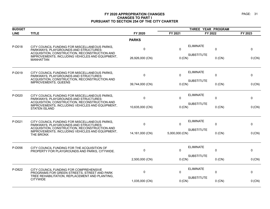| <b>BUDGET</b> |                                                                                                                                         |                 | THREE YEAR PROGRAM                  |                   |          |         |
|---------------|-----------------------------------------------------------------------------------------------------------------------------------------|-----------------|-------------------------------------|-------------------|----------|---------|
| <b>LINE</b>   | <b>TITLE</b>                                                                                                                            | FY 2020         | FY 2021                             | FY 2022           |          | FY 2023 |
|               |                                                                                                                                         | <b>PARKS</b>    |                                     |                   |          |         |
| P-D018        | CITY COUNCIL FUNDING FOR MISCELLANEOUS PARKS,<br>PARKWAYS, PLAYGROUNDS AND STRUCTURES:<br>ACQUISITION, CONSTRUCTION, RECONSTRUCTION AND | $\mathbf 0$     | $\mathbf{0}$                        | <b>ELIMINATE</b>  | 0        | 0       |
|               | IMPROVEMENTS, INCLUDING VEHICLES AND EQUIPMENT,<br><b>MANHATTAN</b>                                                                     | 26,926,000 (CN) | 0 (CN)                              | <b>SUBSTITUTE</b> | $0$ (CN) | 0 (CN)  |
| P-D019        | CITY COUNCIL FUNDING FOR MISCELLANEOUS PARKS,<br>PARKWAYS, PLAYGROUNDS AND STRUCTURES:                                                  | $\mathbf 0$     | $\mathbf{0}$                        | <b>ELIMINATE</b>  | 0        | 0       |
|               | ACQUISITION, CONSTRUCTION, RECONSTRUCTION AND<br><b>IMPROVEMENTS, QUEENS</b>                                                            | 39,744,000 (CN) | $0$ (CN)                            | <b>SUBSTITUTE</b> | $0$ (CN) | 0 (CN)  |
| P-D020        | CITY COUNCIL FUNDING FOR MISCELLANEOUS PARKS,<br><b>PARKWAYS, PLAYGROUNDS AND STRUCTURES:</b>                                           | $\mathbf{0}$    | $\Omega$                            | <b>ELIMINATE</b>  | 0        | 0       |
|               | ACQUISITION, CONSTRUCTION, RECONSTRUCTION AND<br>IMPROVEMENTS, INCLUDING VEHICLES AND EQUIPMENT,<br><b>STATEN ISLAND</b>                | 10,635,000 (CN) | 0 (CN)                              | <b>SUBSTITUTE</b> | $0$ (CN) | 0 (CN)  |
| P-D021        | CITY COUNCIL FUNDING FOR MISCELLANEOUS PARKS,<br><b>PARKWAYS, PLAYGROUNDS AND STRUCTURES:</b>                                           | $\mathbf 0$     | $\mathbf{0}$                        | <b>ELIMINATE</b>  | 0        | 0       |
|               | ACQUISITION, CONSTRUCTION, RECONSTRUCTION AND<br>IMPROVEMENTS, INCLUDING VEHICLES AND EQUIPMENT,<br>THE BRONX                           | 14,161,000 (CN) | <b>SUBSTITUTE</b><br>5,000,000 (CN) |                   | $0$ (CN) | 0 (CN)  |
| P-D056        | CITY COUNCIL FUNDING FOR THE ACQUISITION OF<br>PROPERTY FOR PLAYGROUNDS AND PARKS, CITYWIDE.                                            | 0               | $\Omega$                            | <b>ELIMINATE</b>  | 0        | 0       |
|               |                                                                                                                                         | 2,500,000 (CN)  | 0 (CN)                              | <b>SUBSTITUTE</b> | $0$ (CN) | 0 (CN)  |
| P-D822        | CITY COUNCIL FUNDING FOR COMPREHENSIVE<br>PROGRAMS FOR GREEN STREETS, STREET AND PARK                                                   | $\mathbf{0}$    | $\mathbf{0}$                        | <b>ELIMINATE</b>  | 0        | 0       |
|               | TREE REHABILITATION, REPLACEMENT AND PLANTING,<br><b>CITYWIDE</b>                                                                       | 1,035,000 (CN)  | 0 (CN)                              | <b>SUBSTITUTE</b> | $0$ (CN) | 0 (CN)  |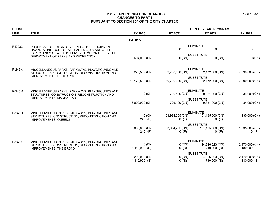| <b>BUDGET</b> |                                                                                                                                 |                                 | THREE YEAR PROGRAM         |                                      |                               |  |
|---------------|---------------------------------------------------------------------------------------------------------------------------------|---------------------------------|----------------------------|--------------------------------------|-------------------------------|--|
| <b>LINE</b>   | <b>TITLE</b>                                                                                                                    | FY 2020                         | FY 2021                    | FY 2022                              | FY 2023                       |  |
|               |                                                                                                                                 | <b>PARKS</b>                    |                            |                                      |                               |  |
| P-D933        | PURCHASE OF AUTOMOTIVE AND OTHER EQUIPMENT<br>HAVING A UNIT COST OF AT LEAST \$35,000 AND A LIFE                                | $\mathbf 0$                     | $\mathbf 0$                | <b>ELIMINATE</b><br>0                | 0                             |  |
|               | EXPECTANCY OF AT LEAST FIVE YEARS FOR USE BY THE<br>DEPARTMENT OF PARKS AND RECREATION                                          | 604,000 (CN)                    | 0 (CN)                     | <b>SUBSTITUTE</b><br>$0$ (CN)        | 0 (CN)                        |  |
| P-245K        | MISCELLANEOUS PARKS, PARKWAYS, PLAYGROUNDS AND                                                                                  |                                 |                            | <b>ELIMINATE</b>                     |                               |  |
|               | STRUCTURES: CONSTRUCTION, RECONSTRUCTION AND                                                                                    | 3,278,592 (CN)                  | 59,786,000 (CN)            | 82,172,000 (CN)                      | 17,690,000 (CN)               |  |
|               | <b>IMPROVEMENTS, BROOKLYN</b>                                                                                                   | 10,178,592 (CN)                 | 59,786,000 (CN)            | <b>SUBSTITUTE</b><br>82,172,000 (CN) | 17,690,000 (CN)               |  |
| P-245M        | MISCELLANEOUS PARKS, PARKWAYS, PLAYGROUNDS AND<br>STUCTURES: CONSTRUCTION, RECONSTRUCTION AND<br><b>IMPROVEMENTS, MANHATTAN</b> |                                 | <b>ELIMINATE</b>           |                                      |                               |  |
|               |                                                                                                                                 | $0$ (CN)                        | 726,109 (CN)               | 9,831,000 (CN)                       | 34,000 (CN)                   |  |
|               |                                                                                                                                 | 6,000,000 (CN)                  | 726,109 (CN)               | <b>SUBSTITUTE</b><br>9,831,000 (CN)  | 34,000 (CN)                   |  |
| P-245Q        | MISCELLANEOUS PARKS, PARKWAYS, PLAYGROUNDS AND                                                                                  |                                 | <b>ELIMINATE</b>           |                                      |                               |  |
|               | STRUCTURES: CONSTRUCTION, RECONSTRUCTION AND<br><b>IMPROVEMENTS, QUEENS</b>                                                     | $0$ (CN)<br>249 (F)             | 63,994,265 (CN)<br>$0$ (F) | 151,135,000 (CN)<br>$0$ (F)          | 1,235,000 (CN)<br>$0$ (F)     |  |
|               |                                                                                                                                 |                                 |                            | <b>SUBSTITUTE</b>                    |                               |  |
|               |                                                                                                                                 | 3,000,000 (CN)<br>249 (F)       | 63,994,265 (CN)<br>$0$ (F) | 151,135,000 (CN)<br>$0$ (F)          | 1,235,000 (CN)<br>$0$ (F)     |  |
| $P-245X$      | MISCELLANEOUS PARKS, PARKWAYS, PLAYGROUNDS AND                                                                                  |                                 | <b>ELIMINATE</b>           |                                      |                               |  |
|               | STRUCTURES: CONSTRUCTION, RECONSTRUCTION AND<br>IMPROVEMENTS, THE BRONX                                                         | $0$ (CN)<br>1,119,999 (S)       | 0 (CN)<br>0(S)             | 24,326,523 (CN)<br>710,000 (S)       | 2,470,000 (CN)<br>180,000 (S) |  |
|               |                                                                                                                                 |                                 |                            | <b>SUBSTITUTE</b>                    |                               |  |
|               |                                                                                                                                 | 3,200,000 (CN)<br>1,119,999 (S) | 0(CN)<br>$0$ (S)           | 24,326,523 (CN)<br>710,000 (S)       | 2,470,000 (CN)<br>180,000 (S) |  |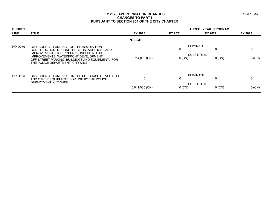| <b>BUDGET</b> |                                                                                                                                      |                |          | THREE YEAR PROGRAM            |         |  |
|---------------|--------------------------------------------------------------------------------------------------------------------------------------|----------------|----------|-------------------------------|---------|--|
| <b>LINE</b>   | <b>TITLE</b>                                                                                                                         | FY 2020        | FY 2021  | FY 2022                       | FY 2023 |  |
|               |                                                                                                                                      | <b>POLICE</b>  |          |                               |         |  |
| PO-D079       | CITY COUNCIL FUNDING FOR THE ACQUISITION.<br>CONSTRUCTION, RECONSTRUCTION, ADDITIONS AND<br>IMPROVEMENTS TO PROPERTY, INCLUDING SITE | $\Omega$       | 0        | ELIMINATE<br>0                | 0       |  |
|               | IMPROVEMENTS, WATERFRONT DEVELOPMENT,<br>OFF-STREET PARKING, BUILDINGS AND EQUIPMENT, FOR<br>THE POLICE DEPARTMENT. CITYWIDE         | 714,000 (CN)   | $0$ (CN) | <b>SUBSTITUTE</b><br>$0$ (CN) | 0 (CN)  |  |
| PO-D185       | CITY COUNCIL FUNDING FOR THE PURCHASE OF VEHICLES<br>AND OTHER EQUIPMENT FOR USE BY THE POLICE                                       | 0              | 0        | <b>ELIMINATE</b><br>0         | 0       |  |
|               | DEPARTMENT, CITYWIDE                                                                                                                 | 5,041,000 (CN) | $0$ (CN) | <b>SUBSTITUTE</b><br>$0$ (CN) | 0 (CN)  |  |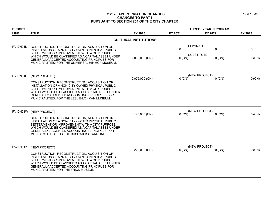| <b>BUDGET</b> |                                                                                                                                                                                                                                                                                                                                   |                              | THREE YEAR PROGRAM                       |                                           |             |
|---------------|-----------------------------------------------------------------------------------------------------------------------------------------------------------------------------------------------------------------------------------------------------------------------------------------------------------------------------------|------------------------------|------------------------------------------|-------------------------------------------|-------------|
| <b>LINE</b>   | <b>TITLE</b>                                                                                                                                                                                                                                                                                                                      | FY 2020                      | FY 2021                                  | FY 2022                                   | FY 2023     |
|               |                                                                                                                                                                                                                                                                                                                                   | <b>CULTURAL INSTITUTIONS</b> |                                          |                                           |             |
| PV-DN01L      | CONSTRUCTION, RECONSTRUCTION, ACQUISITION OR<br>INSTALLATION OF A NON-CITY OWNED PHYSICAL PUBLIC<br>BETTERMENT OR IMPROVEMENT WITH A CITY PURPOSE.<br>WHICH WOULD BE CLASSIFIED AS A CAPITAL ASSET UNDER<br>GENERALLY ACCEPTED ACCOUNTING PRINCIPLES FOR<br>MUNICIPALITIES; FOR THE UNIVERSAL HIP HOP MUSEUM.                     | 0<br>2,000,000 (CN)          | <b>ELIMINATE</b><br>$\Omega$<br>$0$ (CN) | $\Omega$<br><b>SUBSTITUTE</b><br>$0$ (CN) | 0<br>0 (CN) |
| PV-DN01P      | (NEW PROJECT)<br>CONSTRUCTION, RECONSTRUCTION, ACQUISITION OR<br>INSTALLATION OF A NON-CITY OWNED PHYSICAL PUBLIC<br>BETTERMENT OR IMPROVEMENT WITH A CITY PURPOSE,<br>WHICH WOULD BE CLASSIFIED AS A CAPITAL ASSET UNDER<br><b>GENERALLY ACCEPTED ACCOUNTING PRINCIPLES FOR</b><br>MUNICIPALITIES; FOR THE LESLIE-LOHMAN MUSEUM. | 2,075,000 (CN)               | 0 (CN)                                   | (NEW PROJECT)<br>$0$ (CN)                 | 0 (CN)      |
| PV-DN01W      | (NEW PROJECT)<br>CONSTRUCTION, RECONSTRUCTION, ACQUISITION OR<br>INSTALLATION OF A NON-CITY OWNED PHYSICAL PUBLIC<br>BETTERMENT OR IMPROVEMENT WITH A CITY PURPOSE.<br>WHICH WOULD BE CLASSIFIED AS A CAPITAL ASSET UNDER<br>GENERALLY ACCEPTED ACCOUNTING PRINCIPLES FOR<br>MUNICIPALITIES; FOR THE BUSHWICK STARR, INC.         | 145,000 (CN)                 | 0 (CN)                                   | (NEW PROJECT)<br>$0$ (CN)                 | 0 (CN)      |
| PV-DN01Z      | (NEW PROJECT)<br>CONSTRUCTION, RECONSTRUCTION, ACQUISITION OR<br>INSTALLATION OF A NON-CITY OWNED PHYSICAL PUBLIC<br>BETTERMENT OR IMPROVEMENT WITH A CITY PURPOSE.<br>WHICH WOULD BE CLASSIFIED AS A CAPITAL ASSET UNDER<br>GENERALLY ACCEPTED ACCOUNTING PRINCIPLES FOR<br>MUNICIPALITIES; FOR THE FRICK MUSEUM.                | 220,000 (CN)                 | 0 (CN)                                   | (NEW PROJECT)<br>$0$ (CN)                 | 0 (CN)      |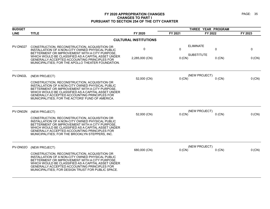| <b>BUDGET</b> |                                                                                                                                                                                                                                                                                                                                 |                              | THREE YEAR PROGRAM                           |                                    |             |
|---------------|---------------------------------------------------------------------------------------------------------------------------------------------------------------------------------------------------------------------------------------------------------------------------------------------------------------------------------|------------------------------|----------------------------------------------|------------------------------------|-------------|
| <b>LINE</b>   | <b>TITLE</b>                                                                                                                                                                                                                                                                                                                    | FY 2020                      | FY 2021                                      | FY 2022                            | FY 2023     |
|               |                                                                                                                                                                                                                                                                                                                                 | <b>CULTURAL INSTITUTIONS</b> |                                              |                                    |             |
| PV-DN027      | CONSTRUCTION, RECONSTRUCTION, ACQUISITION OR<br>INSTALLATION OF A NON-CITY OWNED PHYSICAL PUBLIC<br>BETTERMENT OR IMPROVEMENT WITH A CITY PURPOSE.<br>WHICH WOULD BE CLASSIFIED AS A CAPITAL ASSET UNDER<br>GENERALLY ACCEPTED ACCOUNTING PRINCIPLES FOR<br>MUNICIPALITIES; FOR THE APOLLO THEATER FOUNDATION.                  | 0<br>2,285,000 (CN)          | <b>ELIMINATE</b><br>$\mathbf{0}$<br>$0$ (CN) | 0<br><b>SUBSTITUTE</b><br>$0$ (CN) | 0<br>0 (CN) |
| PV-DN02L      | (NEW PROJECT)<br>CONSTRUCTION, RECONSTRUCTION, ACQUISITION OR<br>INSTALLATION OF A NON-CITY OWNED PHYSICAL PUBLIC<br>BETTERMENT OR IMPROVEMENT WITH A CITY PURPOSE,<br>WHICH WOULD BE CLASSIFIED AS A CAPITAL ASSET UNDER<br>GENERALLY ACCEPTED ACCOUNTING PRINCIPLES FOR<br>MUNICIPALITIES; FOR THE ACTORS' FUND OF AMERICA.   | 52,000 (CN)                  | 0 (CN)                                       | (NEW PROJECT)<br>$0$ (CN)          | 0 (CN)      |
| PV-DN02N      | (NEW PROJECT)<br>CONSTRUCTION, RECONSTRUCTION, ACQUISITION OR<br>INSTALLATION OF A NON-CITY OWNED PHYSICAL PUBLIC<br>BETTERMENT OR IMPROVEMENT WITH A CITY PURPOSE.<br>WHICH WOULD BE CLASSIFIED AS A CAPITAL ASSET UNDER<br>GENERALLY ACCEPTED ACCOUNTING PRINCIPLES FOR<br>MUNICIPALITIES; FOR THE BROOKLYN STEPPERS, INC.    | 52,000 (CN)                  | 0(CN)                                        | (NEW PROJECT)<br>$0$ (CN)          | 0 (CN)      |
| PV-DN02O      | (NEW PROJECT)<br>CONSTRUCTION, RECONSTRUCTION, ACQUISITION OR<br>INSTALLATION OF A NON-CITY OWNED PHYSICAL PUBLIC<br>BETTERMENT OR IMPROVEMENT WITH A CITY PURPOSE.<br>WHICH WOULD BE CLASSIFIED AS A CAPITAL ASSET UNDER<br>GENERALLY ACCEPTED ACCOUNTING PRINCIPLES FOR<br>MUNICIPALITIES; FOR DESIGN TRUST FOR PUBLIC SPACE. | 680,000 (CN)                 | 0 (CN)                                       | (NEW PROJECT)<br>$0$ (CN)          | 0 (CN)      |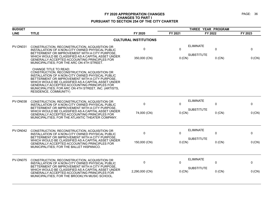| <b>BUDGET</b>   |                                                                                                                                                                                                                                                                                                                                                                     |                               |                          | THREE YEAR PROGRAM                    |               |             |
|-----------------|---------------------------------------------------------------------------------------------------------------------------------------------------------------------------------------------------------------------------------------------------------------------------------------------------------------------------------------------------------------------|-------------------------------|--------------------------|---------------------------------------|---------------|-------------|
| <b>LINE</b>     | <b>TITLE</b>                                                                                                                                                                                                                                                                                                                                                        | FY 2020                       | FY 2021                  | FY 2022                               |               | FY 2023     |
|                 |                                                                                                                                                                                                                                                                                                                                                                     | <b>CULTURAL INSTITUTIONS</b>  |                          |                                       |               |             |
| <b>PV-DN031</b> | CONSTRUCTION, RECONSTRUCTION, ACQUISITION OR<br>INSTALLATION OF A NON-CITY OWNED PHYSICAL PUBLIC<br>BETTERMENT OR IMPROVEMENT WITH A CITY PURPOSE.<br>WHICH WOULD BE CLASSIFIED AS A CAPITAL ASSET UNDER<br>GENERALLY ACCEPTED ACCOUNTING PRINCIPLES FOR<br>MUNICIPALITIES; FOR THE ARC ON 4TH STREET.                                                              | $\mathbf 0$<br>350,000 (CN)   | $\Omega$<br>$0$ (CN)     | <b>ELIMINATE</b><br><b>SUBSTITUTE</b> | 0<br>$0$ (CN) | 0<br>0 (CN) |
|                 | CHANGE TITLE TO READ:<br>CONSTRUCTION, RECONSTRUCTION, ACQUISITION OR<br>INSTALLATION OF A NON-CITY OWNED PHYSICAL PUBLIC<br>BETTERMENT OR IMPROVEMENT WITH A CITY PURPOSE,<br>WHICH WOULD BE CLASSIFIED AS A CAPITAL ASSET UNDER<br>GENERALLY ACCEPTED ACCOUNTING PRINCIPLES FOR<br>MUNICIPALITIES; FOR ARC ON 4TH STREET, INC. (ARTISTS,<br>RESIDENCE, COMMUNITY) |                               |                          |                                       |               |             |
| <b>PV-DN038</b> | CONSTRUCTION, RECONSTRUCTION, ACQUISITION OR<br>INSTALLATION OF A NON-CITY OWNED PHYSICAL PUBLIC<br>BETTERMENT OR IMPROVEMENT WITH A CITY PURPOSE,<br>WHICH WOULD BE CLASSIFIED AS A CAPITAL ASSET UNDER<br><b>GENERALLY ACCEPTED ACCOUNTING PRINCIPLES FOR</b><br>MUNICIPALITIES; FOR THE ATLANTIC THEATER COMPANY.                                                | $\mathbf 0$<br>74,000 (CN)    | $\Omega$<br>$0$ (CN)     | <b>ELIMINATE</b><br><b>SUBSTITUTE</b> | 0<br>$0$ (CN) | 0<br>0 (CN) |
| PV-DN042        | CONSTRUCTION, RECONSTRUCTION, ACQUISITION OR<br>INSTALLATION OF A NON-CITY OWNED PHYSICAL PUBLIC<br>BETTERMENT OR IMPROVEMENT WITH A CITY PURPOSE<br>WHICH WOULD BE CLASSIFIED AS A CAPITAL ASSET UNDER<br>GENERALLY ACCEPTED ACCOUNTING PRINCIPLES FOR<br>MUNICIPALITIES; FOR THE BALLET HISPANICO.                                                                | 0<br>150,000 (CN)             | $\mathbf{0}$<br>$0$ (CN) | <b>ELIMINATE</b><br><b>SUBSTITUTE</b> | 0<br>$0$ (CN) | 0<br>0 (CN) |
| PV-DN075        | CONSTRUCTION, RECONSTRUCTION, ACQUISITION OR<br>INSTALLATION OF A NON-CITY OWNED PHYSICAL PUBLIC<br>BETTERMENT OR IMPROVEMENT WITH A CITY PURPOSE,<br>WHICH WOULD BE CLASSIFIED AS A CAPITAL ASSET UNDER<br>GENERALLY ACCEPTED ACCOUNTING PRINCIPLES FOR<br>MUNICIPALITIES; FOR THE BROOKLYN MUSIC SCHOOL.                                                          | $\mathbf 0$<br>2,290,000 (CN) | $\mathbf{0}$<br>0 (CN)   | <b>ELIMINATE</b><br><b>SUBSTITUTE</b> | 0<br>$0$ (CN) | 0<br>0 (CN) |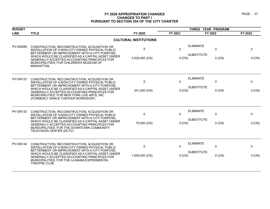| <b>BUDGET</b>   |                                                                                                                                                                                                                                                                                                                                                |                              |                      |                                                        |               |
|-----------------|------------------------------------------------------------------------------------------------------------------------------------------------------------------------------------------------------------------------------------------------------------------------------------------------------------------------------------------------|------------------------------|----------------------|--------------------------------------------------------|---------------|
| <b>LINE</b>     | <b>TITLE</b>                                                                                                                                                                                                                                                                                                                                   | FY 2020                      | FY 2021              | FY 2022                                                | FY 2023       |
|                 |                                                                                                                                                                                                                                                                                                                                                | <b>CULTURAL INSTITUTIONS</b> |                      |                                                        |               |
| PV-DN099        | CONSTRUCTION, RECONSTRUCTION, ACQUISITION OR<br>INSTALLATION OF A NON-CITY OWNED PHYSICAL PUBLIC<br>BETTERMENT OR IMPROVEMENT WITH A CITY PURPOSE.<br>WHICH WOULD BE CLASSIFIED AS A CAPITAL ASSET UNDER<br><b>GENERALLY ACCEPTED ACCOUNTING PRINCIPLES FOR</b><br>MUNICIPALITIES; FOR CHILDREN'S MUSEUM OF<br>MANHATTAN.                      | 0<br>3,525,000 (CN)          | $\Omega$<br>$0$ (CN) | <b>ELIMINATE</b><br>0<br><b>SUBSTITUTE</b><br>$0$ (CN) | 0<br>$0$ (CN) |
| <b>PV-DN123</b> | CONSTRUCTION, RECONSTRUCTION, ACQUISITION OR<br>INSTALLATION OF A NON-CITY OWNED PHYSICAL PUBLIC<br>BETTERMENT OR IMPROVEMENT WITH A CITY PURPOSE.<br>WHICH WOULD BE CLASSIFIED AS A CAPITAL ASSET UNDER<br>GENERALLY ACCEPTED ACCOUNTING PRINCIPLES FOR<br>MUNICIPALITIES; FOR NEW YORK LIVE ARTS, INC.<br>(FORMERLY DANCE THEATER WORKSHOP). | $\mathbf 0$<br>341,000 (CN)  | 0<br>0 (CN)          | <b>ELIMINATE</b><br>0<br><b>SUBSTITUTE</b><br>$0$ (CN) | 0<br>0 (CN)   |
| <b>PV-DN132</b> | CONSTRUCTION, RECONSTRUCTION, ACQUISITION OR<br>INSTALLATION OF A NON-CITY OWNED PHYSICAL PUBLIC<br>BETTERMENT OR IMPROVEMENT WITH A CITY PURPOSE.<br>WHICH WOULD BE CLASSIFIED AS A CAPITAL ASSET UNDER<br>GENERALLY ACCEPTED ACCOUNTING PRINCIPLES FOR<br>MUNICIPALITIES; FOR THE DOWNTOWN COMMUNITY<br>TELEVISION CENTER (DCTV).            | 0<br>75,000 (CN)             | $\Omega$<br>0 (CN)   | <b>ELIMINATE</b><br>0<br><b>SUBSTITUTE</b><br>$0$ (CN) | 0<br>0 (CN)   |
| PV-DN134        | CONSTRUCTION, RECONSTRUCTION, ACQUISITION OR<br>INSTALLATION OF A NON-CITY OWNED PHYSICAL PUBLIC<br>BETTERMENT OR IMPROVEMENT WITH A CITY PURPOSE.<br>WHICH WOULD BE CLASSIFIED AS A CAPITAL ASSET UNDER<br>GENERALLY ACCEPTED ACCOUNTING PRINCIPLES FOR<br>MUNICIPALITIES; FOR THE LA MAMA EXPERIMENTAL<br>THEATRE CLUB.                      | 0<br>1,000,000 (CN)          | $\Omega$<br>$0$ (CN) | <b>ELIMINATE</b><br>0<br><b>SUBSTITUTE</b><br>$0$ (CN) | 0<br>0 (CN)   |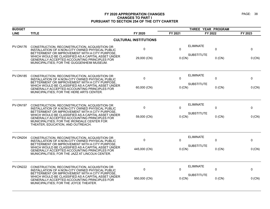| <b>BUDGET</b>   |                                                                                                                                                                                                                                          |                              | THREE YEAR PROGRAM |                   |          |         |
|-----------------|------------------------------------------------------------------------------------------------------------------------------------------------------------------------------------------------------------------------------------------|------------------------------|--------------------|-------------------|----------|---------|
| <b>LINE</b>     | <b>TITLE</b>                                                                                                                                                                                                                             | FY 2020                      | FY 2021            | FY 2022           |          | FY 2023 |
|                 |                                                                                                                                                                                                                                          | <b>CULTURAL INSTITUTIONS</b> |                    |                   |          |         |
| PV-DN176        | CONSTRUCTION, RECONSTRUCTION, ACQUISITION OR<br>INSTALLATION OF A NON-CITY OWNED PHYSICAL PUBLIC<br>BETTERMENT OR IMPROVEMENT WITH A CITY PURPOSE,                                                                                       | 0                            | $\Omega$           | <b>ELIMINATE</b>  | 0        | 0       |
|                 | WHICH WOULD BE CLASSIFIED AS A CAPITAL ASSET UNDER<br>GENERALLY ACCEPTED ACCOUNTING PRINCIPLES FOR<br>MUNICIPALITIES; FOR THE GUGGENHEIM MUSEUM.                                                                                         | 29,000 (CN)                  | $0$ (CN)           | <b>SUBSTITUTE</b> | $0$ (CN) | 0 (CN)  |
| <b>PV-DN185</b> | CONSTRUCTION, RECONSTRUCTION, ACQUISITION OR<br>INSTALLATION OF A NON-CITY OWNED PHYSICAL PUBLIC<br>BETTERMENT OR IMPROVEMENT WITH A CITY PURPOSE.                                                                                       | 0                            | $\mathbf 0$        | <b>ELIMINATE</b>  | 0        | 0       |
|                 | WHICH WOULD BE CLASSIFIED AS A CAPITAL ASSET UNDER<br>GENERALLY ACCEPTED ACCOUNTING PRINCIPLES FOR<br>MUNICIPALITIES; FOR THE HERE ARTS CENTER.                                                                                          | 60,000 (CN)                  | $0$ (CN)           | <b>SUBSTITUTE</b> | $0$ (CN) | 0 (CN)  |
| <b>PV-DN197</b> | CONSTRUCTION, RECONSTRUCTION, ACQUISITION OR<br>INSTALLATION OF A NON-CITY OWNED PHYSICAL PUBLIC                                                                                                                                         | 0                            | $\mathbf{0}$       | <b>ELIMINATE</b>  | 0        | 0       |
|                 | BETTERMENT OR IMPROVEMENT WITH A CITY PURPOSE.<br>WHICH WOULD BE CLASSIFIED AS A CAPITAL ASSET UNDER<br>GENERALLY ACCEPTED ACCOUNTING PRINCIPLES FOR<br>MUNICIPALITIES; FOR THE IRONDALE CENTER FOR<br>THEATER, EDUCATION, AND OUTREACH. | 59,000 (CN)                  | 0 (CN)             | <b>SUBSTITUTE</b> | $0$ (CN) | 0 (CN)  |
| <b>PV-DN204</b> | CONSTRUCTION, RECONSTRUCTION, ACQUISITION OR<br>INSTALLATION OF A NON-CITY OWNED PHYSICAL PUBLIC                                                                                                                                         | 0                            | $\mathbf{0}$       | <b>ELIMINATE</b>  | 0        | 0       |
|                 | BETTERMENT OR IMPROVEMENT WITH A CITY PURPOSE.<br>WHICH WOULD BE CLASSIFIED AS A CAPITAL ASSET UNDER<br>GENERALLY ACCEPTED ACCOUNTING PRINCIPLES FOR<br>MUNICIPALITIES; FOR THE JAZZ AT LINCOLN CENTER.                                  | 445,000 (CN)                 | 0 (CN)             | <b>SUBSTITUTE</b> | $0$ (CN) | 0 (CN)  |
| <b>PV-DN222</b> | CONSTRUCTION, RECONSTRUCTION, ACQUISITION OR<br>INSTALLATION OF A NON-CITY OWNED PHYSICAL PUBLIC                                                                                                                                         | 0                            | $\Omega$           | <b>ELIMINATE</b>  | 0        | 0       |
|                 | BETTERMENT OR IMPROVEMENT WITH A CITY PURPOSE.<br>WHICH WOULD BE CLASSIFIED AS A CAPITAL ASSET UNDER<br>GENERALLY ACCEPTED ACCOUNTING PRINCIPLES FOR<br>MUNICIPALITIES; FOR THE JOYCE THEATER.                                           | 950,000 (CN)                 | $0$ (CN)           | <b>SUBSTITUTE</b> | $0$ (CN) | 0 (CN)  |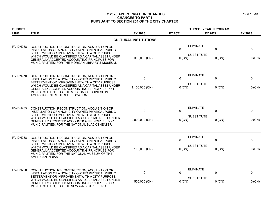| <b>BUDGET</b>   |                                                                                                                                                                                                                           |                              | THREE YEAR PROGRAM |                               |          |
|-----------------|---------------------------------------------------------------------------------------------------------------------------------------------------------------------------------------------------------------------------|------------------------------|--------------------|-------------------------------|----------|
| <b>LINE</b>     | <b>TITLE</b>                                                                                                                                                                                                              | FY 2020                      | FY 2021            | FY 2022                       | FY 2023  |
|                 |                                                                                                                                                                                                                           | <b>CULTURAL INSTITUTIONS</b> |                    |                               |          |
| <b>PV-DN268</b> | CONSTRUCTION, RECONSTRUCTION, ACQUISITION OR<br>INSTALLATION OF A NON-CITY OWNED PHYSICAL PUBLIC<br>BETTERMENT OR IMPROVEMENT WITH A CITY PURPOSE                                                                         | 0                            | $\mathbf{0}$       | <b>ELIMINATE</b><br>0         | 0        |
|                 | WHICH WOULD BE CLASSIFIED AS A CAPITAL ASSET UNDER<br>GENERALLY ACCEPTED ACCOUNTING PRINCIPLES FOR<br>MUNICIPALITIES; FOR THE MORGAN LIBRARY & MUSEUM.                                                                    | 300,000 (CN)                 | $0$ (CN)           | <b>SUBSTITUTE</b><br>$0$ (CN) | 0 (CN)   |
| <b>PV-DN279</b> | CONSTRUCTION, RECONSTRUCTION, ACQUISITION OR<br>INSTALLATION OF A NON-CITY OWNED PHYSICAL PUBLIC<br>BETTERMENT OR IMPROVEMENT WITH A CITY PURPOSE.                                                                        | 0                            | 0                  | <b>ELIMINATE</b><br>0         | 0        |
|                 | WHICH WOULD BE CLASSIFIED AS A CAPITAL ASSET UNDER<br>GENERALLY ACCEPTED ACCOUNTING PRINCIPLES FOR<br>MUNICIPALITIES; FOR THE MUSEUM OF CHINESE IN<br>AMERICA CENTRE STREET LOCATION.                                     | 1,150,000 (CN)               | 0 (CN)             | <b>SUBSTITUTE</b><br>$0$ (CN) | 0 (CN)   |
| <b>PV-DN285</b> | CONSTRUCTION, RECONSTRUCTION, ACQUISITION OR<br>INSTALLATION OF A NON-CITY OWNED PHYSICAL PUBLIC                                                                                                                          | 0                            | $\Omega$           | <b>ELIMINATE</b><br>0         | 0        |
|                 | BETTERMENT OR IMPROVEMENT WITH A CITY PURPOSE.<br>WHICH WOULD BE CLASSIFIED AS A CAPITAL ASSET UNDER<br>GENERALLY ACCEPTED ACCOUNTING PRINCIPLES FOR<br>MUNICIPALITIES; FOR THE NATIONAL BLACK THEATER.                   | 2,000,000 (CN)               | 0 (CN)             | <b>SUBSTITUTE</b><br>$0$ (CN) | 0 (CN)   |
| <b>PV-DN288</b> | CONSTRUCTION, RECONSTRUCTION, ACQUISITION OR<br>INSTALLATION OF A NON-CITY OWNED PHYSICAL PUBLIC                                                                                                                          | 0                            | 0                  | <b>ELIMINATE</b><br>0         | 0        |
|                 | BETTERMENT OR IMPROVEMENT WITH A CITY PURPOSE<br>WHICH WOULD BE CLASSIFIED AS A CAPITAL ASSET UNDER<br>GENERALLY ACCEPTED ACCOUNTING PRINCIPLES FOR<br>MUNICIPALITIES; FOR THE NATIONAL MUSEUM OF THE<br>AMERICAN INDIAN. | 100,000 (CN)                 | $0$ (CN)           | <b>SUBSTITUTE</b><br>$0$ (CN) | 0 (CN)   |
| <b>PV-DN290</b> | CONSTRUCTION, RECONSTRUCTION, ACQUISITION OR<br>INSTALLATION OF A NON-CITY OWNED PHYSICAL PUBLIC                                                                                                                          | 0                            | $\mathbf{0}$       | <b>ELIMINATE</b><br>0         | 0        |
|                 | BETTERMENT OR IMPROVEMENT WITH A CITY PURPOSE<br>WHICH WOULD BE CLASSIFIED AS A CAPITAL ASSET UNDER<br>GENERALLY ACCEPTED ACCOUNTING PRINCIPLES FOR<br>MUNICIPALITIES; FOR THE NEW 42ND STREET INC.                       | 500,000 (CN)                 | $0$ (CN)           | <b>SUBSTITUTE</b><br>$0$ (CN) | $0$ (CN) |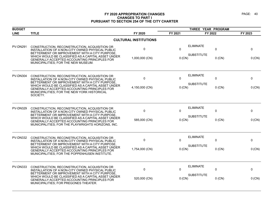| <b>BUDGET</b>   |                                                                                                                                                                                                            |                              | THREE YEAR PROGRAM |                                            |          |
|-----------------|------------------------------------------------------------------------------------------------------------------------------------------------------------------------------------------------------------|------------------------------|--------------------|--------------------------------------------|----------|
| <b>LINE</b>     | <b>TITLE</b>                                                                                                                                                                                               | FY 2020                      | FY 2021            | FY 2022                                    | FY 2023  |
|                 |                                                                                                                                                                                                            | <b>CULTURAL INSTITUTIONS</b> |                    |                                            |          |
| <b>PV-DN291</b> | CONSTRUCTION, RECONSTRUCTION, ACQUISITION OR<br>INSTALLATION OF A NON-CITY OWNED PHYSICAL PUBLIC<br>BETTERMENT OR IMPROVEMENT WITH A CITY PURPOSE.                                                         | $\mathbf 0$                  | $\Omega$           | <b>ELIMINATE</b><br>$\Omega$               | 0        |
|                 | WHICH WOULD BE CLASSIFIED AS A CAPITAL ASSET UNDER<br>GENERALLY ACCEPTED ACCOUNTING PRINCIPLES FOR<br>MUNICIPALITIES; FOR THE NEW MUSEUM.                                                                  | 1,000,000 (CN)               | 0(CN)              | <b>SUBSTITUTE</b><br>$0$ (CN)              | 0 (CN)   |
| <b>PV-DN304</b> | CONSTRUCTION, RECONSTRUCTION, ACQUISITION OR<br>INSTALLATION OF A NON-CITY OWNED PHYSICAL PUBLIC<br>BETTERMENT OR IMPROVEMENT WITH A CITY PURPOSE,                                                         | 0                            | $\Omega$           | <b>ELIMINATE</b><br>0<br><b>SUBSTITUTE</b> | 0        |
|                 | WHICH WOULD BE CLASSIFIED AS A CAPITAL ASSET UNDER<br>GENERALLY ACCEPTED ACCOUNTING PRINCIPLES FOR<br>MUNICIPALITIES; FOR THE NEW YORK HISTORICAL<br>SOCIETY.                                              | 4,150,000 (CN)               | 0(CN)              | $0$ (CN)                                   | 0 (CN)   |
| <b>PV-DN329</b> | CONSTRUCTION, RECONSTRUCTION, ACQUISITION OR<br>INSTALLATION OF A NON-CITY OWNED PHYSICAL PUBLIC                                                                                                           | $\mathbf 0$                  | $\Omega$           | <b>ELIMINATE</b><br>0                      | 0        |
|                 | BETTERMENT OR IMPROVEMENT WITH A CITY PURPOSE.<br>WHICH WOULD BE CLASSIFIED AS A CAPITAL ASSET UNDER<br>GENERALLY ACCEPTED ACCOUNTING PRINCIPLES FOR<br>MUNICIPALITIES; FOR THE PLAYWRIGHTS HORIZONS, INC. | 585,000 (CN)                 | $0$ (CN)           | <b>SUBSTITUTE</b><br>$0$ (CN)              | 0 (CN)   |
| <b>PV-DN332</b> | CONSTRUCTION, RECONSTRUCTION, ACQUISITION OR<br>INSTALLATION OF A NON-CITY OWNED PHYSICAL PUBLIC<br>BETTERMENT OR IMPROVEMENT WITH A CITY PURPOSE.                                                         | $\mathbf 0$                  | 0                  | <b>ELIMINATE</b><br>0                      | 0        |
|                 | WHICH WOULD BE CLASSIFIED AS A CAPITAL ASSET UNDER<br><b>GENERALLY ACCEPTED ACCOUNTING PRINCIPLES FOR</b><br>MUNICIPALITIES; FOR THE POPPENHUSEN INSTITUTE.                                                | 1,754,000 (CN)               | 0 (CN)             | <b>SUBSTITUTE</b><br>$0$ (CN)              | 0 (CN)   |
| <b>PV-DN333</b> | CONSTRUCTION, RECONSTRUCTION, ACQUISITION OR<br>INSTALLATION OF A NON-CITY OWNED PHYSICAL PUBLIC                                                                                                           | $\mathbf 0$                  | $\Omega$           | <b>ELIMINATE</b><br>0                      | 0        |
|                 | BETTERMENT OR IMPROVEMENT WITH A CITY PURPOSE.<br>WHICH WOULD BE CLASSIFIED AS A CAPITAL ASSET UNDER<br>GENERALLY ACCEPTED ACCOUNTING PRINCIPLES FOR<br>MUNICIPALITIES; FOR PREGONES THEATER.              | 520,000 (CN)                 | 0 (CN)             | <b>SUBSTITUTE</b><br>$0$ (CN)              | $0$ (CN) |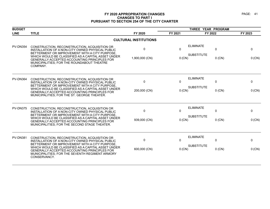| <b>BUDGET</b>   |                                                                                                                                                                       |                              |          | THREE YEAR PROGRAM                                    |         |
|-----------------|-----------------------------------------------------------------------------------------------------------------------------------------------------------------------|------------------------------|----------|-------------------------------------------------------|---------|
| <b>LINE</b>     | <b>TITLE</b>                                                                                                                                                          | FY 2020                      | FY 2021  | FY 2022                                               | FY 2023 |
|                 |                                                                                                                                                                       | <b>CULTURAL INSTITUTIONS</b> |          |                                                       |         |
| <b>PV-DN354</b> | CONSTRUCTION, RECONSTRUCTION, ACQUISITION OR<br>INSTALLATION OF A NON-CITY OWNED PHYSICAL PUBLIC<br>BETTERMENT OR IMPROVEMENT WITH A CITY PURPOSE,                    | $\mathbf{0}$                 | $\Omega$ | <b>ELIMINATE</b><br>$\mathbf{0}$<br><b>SUBSTITUTE</b> | 0       |
|                 | WHICH WOULD BE CLASSIFIED AS A CAPITAL ASSET UNDER<br><b>GENERALLY ACCEPTED ACCOUNTING PRINCIPLES FOR</b><br>MUNICIPALITIES; FOR THE ROUNDABOUT THEATRE<br>COMPANY.   | 1,900,000 (CN)               | $0$ (CN) | $0$ (CN)                                              | 0 (CN)  |
| PV-DN364        | CONSTRUCTION, RECONSTRUCTION, ACQUISITION OR<br>INSTALLATION OF A NON-CITY OWNED PHYSICAL PUBLIC<br>BETTERMENT OR IMPROVEMENT WITH A CITY PURPOSE.                    | $\mathbf{0}$                 | $\Omega$ | <b>ELIMINATE</b><br>$\Omega$                          | 0       |
|                 | WHICH WOULD BE CLASSIFIED AS A CAPITAL ASSET UNDER<br><b>GENERALLY ACCEPTED ACCOUNTING PRINCIPLES FOR</b><br>MUNICIPALITIES: FOR THE ST. GEORGE THEATER.              | 200,000 (CN)                 | $0$ (CN) | <b>SUBSTITUTE</b><br>$0$ (CN)                         | 0 (CN)  |
| <b>PV-DN375</b> | CONSTRUCTION, RECONSTRUCTION, ACQUISITION OR<br>INSTALLATION OF A NON-CITY OWNED PHYSICAL PUBLIC<br>BETTERMENT OR IMPROVEMENT WITH A CITY PURPOSE.                    | $\mathbf{0}$                 | $\Omega$ | <b>ELIMINATE</b><br>$\mathbf{0}$                      | 0       |
|                 | WHICH WOULD BE CLASSIFIED AS A CAPITAL ASSET UNDER<br><b>GENERALLY ACCEPTED ACCOUNTING PRINCIPLES FOR</b><br>MUNICIPALITIES; FOR THE SECOND STAGE THEATER.            | 939,000 (CN)                 | $0$ (CN) | <b>SUBSTITUTE</b><br>$0$ (CN)                         | 0 (CN)  |
| <b>PV-DN381</b> | CONSTRUCTION, RECONSTRUCTION, ACQUISITION OR<br>INSTALLATION OF A NON-CITY OWNED PHYSICAL PUBLIC<br>BETTERMENT OR IMPROVEMENT WITH A CITY PURPOSE,                    | $\mathbf 0$                  | $\Omega$ | <b>ELIMINATE</b><br>0                                 | 0       |
|                 | WHICH WOULD BE CLASSIFIED AS A CAPITAL ASSET UNDER<br>GENERALLY ACCEPTED ACCOUNTING PRINCIPLES FOR<br>MUNICIPALITIES; FOR THE SEVENTH REGIMENT ARMORY<br>CONSERVANCY. | 600,000 (CN)                 | 0 (CN)   | <b>SUBSTITUTE</b><br>$0$ (CN)                         | 0 (CN)  |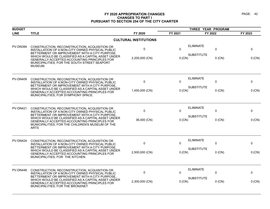| <b>BUDGET</b>   |                                                                                                                                                                                                                         |                              |              | THREE YEAR PROGRAM              |         |  |
|-----------------|-------------------------------------------------------------------------------------------------------------------------------------------------------------------------------------------------------------------------|------------------------------|--------------|---------------------------------|---------|--|
| <b>LINE</b>     | <b>TITLE</b>                                                                                                                                                                                                            | FY 2020                      | FY 2021      | FY 2022                         | FY 2023 |  |
|                 |                                                                                                                                                                                                                         | <b>CULTURAL INSTITUTIONS</b> |              |                                 |         |  |
| <b>PV-DN394</b> | CONSTRUCTION, RECONSTRUCTION, ACQUISITION OR<br>INSTALLATION OF A NON-CITY OWNED PHYSICAL PUBLIC<br>BETTERMENT OR IMPROVEMENT WITH A CITY PURPOSE.                                                                      | 0                            | $\mathbf{0}$ | <b>ELIMINATE</b><br>$\mathbf 0$ | 0       |  |
|                 | WHICH WOULD BE CLASSIFIED AS A CAPITAL ASSET UNDER<br>GENERALLY ACCEPTED ACCOUNTING PRINCIPLES FOR<br>MUNICIPALITIES; FOR THE SOUTH STREET SEAPORT<br>MUSEUM.                                                           | 2,200,000 (CN)               | $0$ (CN)     | <b>SUBSTITUTE</b><br>$0$ (CN)   | 0 (CN)  |  |
| <b>PV-DN409</b> | CONSTRUCTION, RECONSTRUCTION, ACQUISITION OR<br>INSTALLATION OF A NON-CITY OWNED PHYSICAL PUBLIC<br>BETTERMENT OR IMPROVEMENT WITH A CITY PURPOSE.                                                                      | 0                            | $\mathbf{0}$ | <b>ELIMINATE</b><br>0           | 0       |  |
|                 | WHICH WOULD BE CLASSIFIED AS A CAPITAL ASSET UNDER<br>GENERALLY ACCEPTED ACCOUNTING PRINCIPLES FOR<br>MUNICIPALITIES; FOR SYMPHONY SPACE.                                                                               | 1,450,000 (CN)               | $0$ (CN)     | <b>SUBSTITUTE</b><br>$0$ (CN)   | 0 (CN)  |  |
| <b>PV-DN421</b> | CONSTRUCTION, RECONSTRUCTION, ACQUISITION OR<br>INSTALLATION OF A NON-CITY OWNED PHYSICAL PUBLIC                                                                                                                        | 0                            | $\Omega$     | <b>ELIMINATE</b><br>0           | 0       |  |
|                 | BETTERMENT OR IMPROVEMENT WITH A CITY PURPOSE,<br>WHICH WOULD BE CLASSIFIED AS A CAPITAL ASSET UNDER<br>GENERALLY ACCEPTED ACCOUNTING PRINCIPLES FOR<br>MUNICIPALITIES; FOR THE CHILDREN'S MUSEUM OF THE<br><b>ARTS</b> | 36,000 (CN)                  | $0$ (CN)     | <b>SUBSTITUTE</b><br>$0$ (CN)   | 0 (CN)  |  |
| <b>PV-DN424</b> | CONSTRUCTION, RECONSTRUCTION, ACQUISITION OR<br>INSTALLATION OF A NON-CITY OWNED PHYSICAL PUBLIC                                                                                                                        | 0                            | $\Omega$     | <b>ELIMINATE</b><br>$\Omega$    | 0       |  |
|                 | BETTERMENT OR IMPROVEMENT WITH A CITY PURPOSE,<br>WHICH WOULD BE CLASSIFIED AS A CAPITAL ASSET UNDER<br>GENERALLY ACCEPTED ACCOUNTING PRINCIPLES FOR<br>MUNICIPALITIES; FOR THE KITCHEN.                                | 2,500,000 (CN)               | $0$ (CN)     | <b>SUBSTITUTE</b><br>$0$ (CN)   | 0 (CN)  |  |
| PV-DN448        | CONSTRUCTION, RECONSTRUCTION, ACQUISITION OR<br>INSTALLATION OF A NON-CITY OWNED PHYSICAL PUBLIC                                                                                                                        | 0                            | $\Omega$     | <b>ELIMINATE</b><br>$\mathbf 0$ | 0       |  |
|                 | BETTERMENT OR IMPROVEMENT WITH A CITY PURPOSE.<br>WHICH WOULD BE CLASSIFIED AS A CAPITAL ASSET UNDER<br>GENERALLY ACCEPTED ACCOUNTING PRINCIPLES FOR<br>MUNICIPALITIES; FOR THE BRONXNET                                | 2,300,000 (CN)               | 0 (CN)       | <b>SUBSTITUTE</b><br>$0$ (CN)   | 0 (CN)  |  |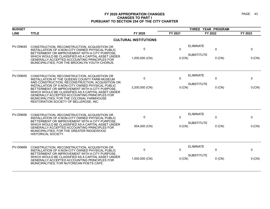| <b>BUDGET</b>   |                                                                                                                                                                                                                                                                                                         |                              |              |                                       |              |          |
|-----------------|---------------------------------------------------------------------------------------------------------------------------------------------------------------------------------------------------------------------------------------------------------------------------------------------------------|------------------------------|--------------|---------------------------------------|--------------|----------|
| <b>LINE</b>     | <b>TITLE</b>                                                                                                                                                                                                                                                                                            | FY 2020                      | FY 2021      | FY 2022                               |              | FY 2023  |
|                 |                                                                                                                                                                                                                                                                                                         | <b>CULTURAL INSTITUTIONS</b> |              |                                       |              |          |
| <b>PV-DN645</b> | CONSTRUCTION, RECONSTRUCTION, ACQUISITION OR<br>INSTALLATION OF A NON-CITY OWNED PHYSICAL PUBLIC<br>BETTERMENT OR IMPROVEMENT WITH A CITY PURPOSE.<br>WHICH WOULD BE CLASSIFIED AS A CAPITAL ASSET UNDER                                                                                                | 0                            | $\Omega$     | <b>ELIMINATE</b><br><b>SUBSTITUTE</b> | $\mathbf 0$  | 0        |
|                 | GENERALLY ACCEPTED ACCOUNTING PRINCIPLES FOR<br>MUNICIPALITIES; FOR THE BROOKLYN YOUTH CHORUS.                                                                                                                                                                                                          | 1,000,000 (CN)               | 0 (CN)       |                                       | $0$ (CN)     | 0 (CN)   |
| <b>PV-DN655</b> | CONSTRUCTION, RECONSTRUCTION, ACQUISITION OR<br>INSTALLATION AT THE QUEENS COUNTY FARM MUSEUM<br>AND CONSTRUCTION, RECONSTRUCTION, ACQUISITION OR                                                                                                                                                       | $\mathbf 0$                  | $\mathbf 0$  | <b>ELIMINATE</b>                      | $\mathbf 0$  | 0        |
|                 | INSTALLATION OF A NON-CITY OWNED PHYSICAL PUBLIC<br>BETTERMENT OR IMPROVEMENT WITH A CITY PURPOSE.<br>WHICH WOULD BE CLASSIFIED AS A CAPITAL ASSET UNDER<br><b>GENERALLY ACCEPTED ACCOUNTING PRINCIPLES FOR</b><br>MUNICIPALITIES; FOR THE COLONIAL FARMHOUSE<br>RESTORATION SOCIETY OF BELLEROSE, INC. | 3,200,000 (CN)               | $0$ (CN)     | <b>SUBSTITUTE</b>                     | $0$ (CN)     | 0 (CN)   |
| <b>PV-DN656</b> | CONSTRUCTION, RECONSTRUCTION, ACQUISITION OR<br>INSTALLATION OF A NON-CITY OWNED PHYSICAL PUBLIC<br>BETTERMENT OR IMPROVEMENT WITH A CITY PURPOSE.                                                                                                                                                      | $\mathbf 0$                  | $\Omega$     | <b>ELIMINATE</b>                      | $\Omega$     | 0        |
|                 | WHICH WOULD BE CLASSIFIED AS A CAPITAL ASSET UNDER<br>GENERALLY ACCEPTED ACCOUNTING PRINCIPLES FOR<br>MUNICIPALITIES; FOR THE GREATER RIDGEWOOD<br><b>HISTORICAL SOCIETY.</b>                                                                                                                           | 504,000 (CN)                 | 0 (CN)       | <b>SUBSTITUTE</b>                     | $0$ (CN)     | 0 (CN)   |
| <b>PV-DN669</b> | CONSTRUCTION, RECONSTRUCTION, ACQUISITION OR<br>INSTALLATION OF A NON-CITY OWNED PHYSICAL PUBLIC<br>BETTERMENT OR IMPROVEMENT WITH A CITY PURPOSE.                                                                                                                                                      | $\Omega$                     | $\mathbf{0}$ | <b>ELIMINATE</b>                      | $\mathbf{0}$ | $\Omega$ |
|                 | WHICH WOULD BE CLASSIFIED AS A CAPITAL ASSET UNDER<br><b>GENERALLY ACCEPTED ACCOUNTING PRINCIPLES FOR</b><br>MUNICIPALITIES; FOR NUYORICAN POETS CAFE.                                                                                                                                                  | 1,000,000 (CN)               | 0 (CN)       | <b>SUBSTITUTE</b>                     | $0$ (CN)     | 0 (CN)   |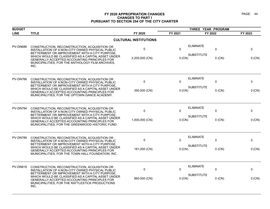| <b>BUDGET</b>   |                                                                                                                                                                |                              |              | THREE YEAR PROGRAM                    |          |          |
|-----------------|----------------------------------------------------------------------------------------------------------------------------------------------------------------|------------------------------|--------------|---------------------------------------|----------|----------|
| <b>LINE</b>     | <b>TITLE</b>                                                                                                                                                   | FY 2020                      | FY 2021      | FY 2022                               |          | FY 2023  |
|                 |                                                                                                                                                                | <b>CULTURAL INSTITUTIONS</b> |              |                                       |          |          |
| <b>PV-DN686</b> | CONSTRUCTION, RECONSTRUCTION, ACQUISITION OR<br>INSTALLATION OF A NON-CITY OWNED PHYSICAL PUBLIC<br>BETTERMENT OR IMPROVEMENT WITH A CITY PURPOSE,             | 0                            | $\mathbf{0}$ | <b>ELIMINATE</b>                      | 0        | 0        |
|                 | WHICH WOULD BE CLASSIFIED AS A CAPITAL ASSET UNDER<br>GENERALLY ACCEPTED ACCOUNTING PRINCIPLES FOR<br>MUNICIPALITIES; FOR THE ANTHOLOGY FILM ARCHIVES,<br>INC. | 2,200,000 (CN)               | 0(CN)        | <b>SUBSTITUTE</b>                     | $0$ (CN) | 0 (CN)   |
| PV-DN766        | CONSTRUCTION, RECONSTRUCTION, ACQUISITION OR<br>INSTALLATION OF A NON-CITY OWNED PHYSICAL PUBLIC<br>BETTERMENT OR IMPROVEMENT WITH A CITY PURPOSE.             | 0                            | $\mathbf{0}$ | <b>ELIMINATE</b><br><b>SUBSTITUTE</b> | 0        | 0        |
|                 | WHICH WOULD BE CLASSIFIED AS A CAPITAL ASSET UNDER<br>GENERALLY ACCEPTED ACCOUNTING PRINCIPLES FOR<br>MUNICIPALITIES; FOR THE UPTOWN DANCE ACADEMY.            | 350,000 (CN)                 | $0$ (CN)     |                                       | $0$ (CN) | 0 (CN)   |
| PV-DN784        | CONSTRUCTION, RECONSTRUCTION, ACQUISITION OR<br>INSTALLATION OF A NON-CITY OWNED PHYSICAL PUBLIC<br>BETTERMENT OR IMPROVEMENT WITH A CITY PURPOSE,             | $\mathbf 0$                  | $\mathbf{0}$ | <b>ELIMINATE</b>                      | 0        | 0        |
|                 | WHICH WOULD BE CLASSIFIED AS A CAPITAL ASSET UNDER<br>GENERALLY ACCEPTED ACCOUNTING PRINCIPLES FOR<br>MUNICIPALITIES; FOR THE GREENWOOD HISTORIC FUND.         | 1,000,000 (CN)               | 0 (CN)       | <b>SUBSTITUTE</b>                     | $0$ (CN) | 0 (CN)   |
| PV-DN789        | CONSTRUCTION, RECONSTRUCTION, ACQUISITION OR<br>INSTALLATION OF A NON-CITY OWNED PHYSICAL PUBLIC<br>BETTERMENT OR IMPROVEMENT WITH A CITY PURPOSE.             | $\mathbf 0$                  | $\mathbf{0}$ | <b>ELIMINATE</b>                      | 0        | 0        |
|                 | WHICH WOULD BE CLASSIFIED AS A CAPITAL ASSET UNDER<br>GENERALLY ACCEPTED ACCOUNTING PRINCIPLES FOR<br>MUNICIPALITIES; FOR THE TOWN HALL FOUNDATION, INC.       | 181,000 (CN)                 | 0(CN)        | <b>SUBSTITUTE</b>                     | $0$ (CN) | $0$ (CN) |
| <b>PV-DN818</b> | CONSTRUCTION, RECONSTRUCTION, ACQUISITION OR<br>INSTALLATION OF A NON-CITY OWNED PHYSICAL PUBLIC<br>BETTERMENT OR IMPROVEMENT WITH A CITY PURPOSE.             | $\mathbf 0$                  | $\mathbf{0}$ | <b>ELIMINATE</b>                      | 0        | 0        |
|                 | WHICH WOULD BE CLASSIFIED AS A CAPITAL ASSET UNDER<br>GENERALLY ACCEPTED ACCOUNTING PRINCIPLES FOR<br>MUNICIPALITIES; FOR THE RATTLESTICK PRODUCTIONS<br>INC.  | 860,000 (CN)                 | $0$ (CN)     | <b>SUBSTITUTE</b>                     | $0$ (CN) | 0 (CN)   |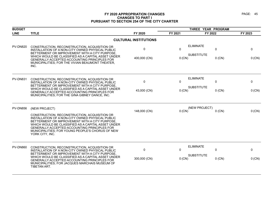| <b>BUDGET</b>   |                                                                                                                                                                                                                                                                                                                                                         |                              |                       | THREE YEAR PROGRAM                    |               |             |
|-----------------|---------------------------------------------------------------------------------------------------------------------------------------------------------------------------------------------------------------------------------------------------------------------------------------------------------------------------------------------------------|------------------------------|-----------------------|---------------------------------------|---------------|-------------|
| <b>LINE</b>     | <b>TITLE</b>                                                                                                                                                                                                                                                                                                                                            | FY 2020                      | FY 2021               | FY 2022                               |               | FY 2023     |
|                 |                                                                                                                                                                                                                                                                                                                                                         | <b>CULTURAL INSTITUTIONS</b> |                       |                                       |               |             |
| <b>PV-DN820</b> | CONSTRUCTION, RECONSTRUCTION, ACQUISITION OR<br>INSTALLATION OF A NON-CITY OWNED PHYSICAL PUBLIC<br>BETTERMENT OR IMPROVEMENT WITH A CITY PURPOSE,<br>WHICH WOULD BE CLASSIFIED AS A CAPITAL ASSET UNDER<br>GENERALLY ACCEPTED ACCOUNTING PRINCIPLES FOR<br>MUNICIPALITIES; FOR THE VIVIAN BEAUMONT THEATER,<br>INC.                                    | 0<br>400,000 (CN)            | $\mathbf 0$<br>0 (CN) | <b>ELIMINATE</b><br><b>SUBSTITUTE</b> | 0<br>$0$ (CN) | 0<br>0 (CN) |
| <b>PV-DN831</b> | CONSTRUCTION, RECONSTRUCTION, ACQUISITION OR<br>INSTALLATION OF A NON-CITY OWNED PHYSICAL PUBLIC<br>BETTERMENT OR IMPROVEMENT WITH A CITY PURPOSE.<br>WHICH WOULD BE CLASSIFIED AS A CAPITAL ASSET UNDER<br><b>GENERALLY ACCEPTED ACCOUNTING PRINCIPLES FOR</b><br>MUNICIPALITIES; FOR THE GINA GIBNEY DANCE, INC.                                      | 0<br>43,000 (CN)             | 0<br>0 (CN)           | <b>ELIMINATE</b><br><b>SUBSTITUTE</b> | 0<br>$0$ (CN) | 0<br>0 (CN) |
| <b>PV-DN856</b> | (NEW PROJECT)<br>CONSTRUCTION, RECONSTRUCTION, ACQUISITION OR<br>INSTALLATION OF A NON-CITY OWNED PHYSICAL PUBLIC<br>BETTERMENT OR IMPROVEMENT WITH A CITY PURPOSE.<br>WHICH WOULD BE CLASSIFIED AS A CAPITAL ASSET UNDER<br><b>GENERALLY ACCEPTED ACCOUNTING PRINCIPLES FOR</b><br>MUNICIPALITIES; FOR YOUNG PEOPLE'S CHORUS OF NEW<br>YORK CITY, INC. | 148,000 (CN)                 | $0$ (CN)              | (NEW PROJECT)                         | $0$ (CN)      | 0 (CN)      |
| <b>PV-DN860</b> | CONSTRUCTION, RECONSTRUCTION, ACQUISITION OR<br>INSTALLATION OF A NON-CITY OWNED PHYSICAL PUBLIC<br>BETTERMENT OR IMPROVEMENT WITH A CITY PURPOSE.<br>WHICH WOULD BE CLASSIFIED AS A CAPITAL ASSET UNDER<br>GENERALLY ACCEPTED ACCOUNTING PRINCIPLES FOR<br>MUNICIPALITIES; FOR JACQUES MARCHAIS MUSEUM OF<br>TIBETAN ART.                              | 0<br>300,000 (CN)            | 0<br>0 (CN)           | <b>ELIMINATE</b><br><b>SUBSTITUTE</b> | 0<br>$0$ (CN) | 0<br>0 (CN) |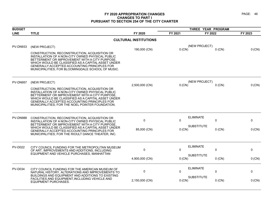| <b>TITLE</b>                                                                                                                                                                                                                                                                                                  | FY 2020                                                                                                                                             | FY 2021                                                        |                   |                                                       | FY 2023                                               |
|---------------------------------------------------------------------------------------------------------------------------------------------------------------------------------------------------------------------------------------------------------------------------------------------------------------|-----------------------------------------------------------------------------------------------------------------------------------------------------|----------------------------------------------------------------|-------------------|-------------------------------------------------------|-------------------------------------------------------|
|                                                                                                                                                                                                                                                                                                               |                                                                                                                                                     |                                                                |                   |                                                       |                                                       |
| (NEW PROJECT)                                                                                                                                                                                                                                                                                                 |                                                                                                                                                     |                                                                | (NEW PROJECT)     |                                                       | 0 (CN)                                                |
| CONSTRUCTION, RECONSTRUCTION, ACQUISITION OR<br>INSTALLATION OF A NON-CITY OWNED PHYSICAL PUBLIC<br>BETTERMENT OR IMPROVEMENT WITH A CITY PURPOSE.<br>WHICH WOULD BE CLASSIFIED AS A CAPITAL ASSET UNDER<br>GENERALLY ACCEPTED ACCOUNTING PRINCIPLES FOR<br>MUNICIPALITIES; FOR BLOOMINGDALE SCHOOL OF MUSIC. |                                                                                                                                                     |                                                                |                   |                                                       |                                                       |
| (NEW PROJECT)                                                                                                                                                                                                                                                                                                 |                                                                                                                                                     |                                                                | (NEW PROJECT)     |                                                       | 0 (CN)                                                |
| CONSTRUCTION, RECONSTRUCTION, ACQUISITION OR<br>INSTALLATION OF A NON-CITY OWNED PHYSICAL PUBLIC<br>BETTERMENT OR IMPROVEMENT WITH A CITY PURPOSE,<br>WHICH WOULD BE CLASSIFIED AS A CAPITAL ASSET UNDER<br>GENERALLY ACCEPTED ACCOUNTING PRINCIPLES FOR<br>MUNICIPALITIES; FOR THE NOEL POINTER FOUNDATION.  |                                                                                                                                                     |                                                                |                   |                                                       |                                                       |
| CONSTRUCTION, RECONSTRUCTION, ACQUISITION OR                                                                                                                                                                                                                                                                  | $\mathbf 0$                                                                                                                                         | 0                                                              | <b>ELIMINATE</b>  | $\mathbf 0$                                           | 0                                                     |
| BETTERMENT OR IMPROVEMENT WITH A CITY PURPOSE.<br>WHICH WOULD BE CLASSIFIED AS A CAPITAL ASSET UNDER<br>GENERALLY ACCEPTED ACCOUNTING PRINCIPLES FOR<br>MUNICIPALITIES; FOR THE RIOULT DANCE THEATER, INC.                                                                                                    | 85,000 (CN)                                                                                                                                         |                                                                | <b>SUBSTITUTE</b> | $0$ (CN)                                              | 0 (CN)                                                |
| CITY COUNCIL FUNDING FOR THE METROPOLITAN MUSEUM<br>OF ART. IMPROVEMENTS AND ADDITIONS. INCLUDING                                                                                                                                                                                                             | 0                                                                                                                                                   | 0                                                              | <b>ELIMINATE</b>  | $\mathbf 0$                                           | 0                                                     |
|                                                                                                                                                                                                                                                                                                               | 4,900,000 (CN)                                                                                                                                      |                                                                | <b>SUBSTITUTE</b> | $0$ (CN)                                              | 0 (CN)                                                |
| CITY COUNCIL FUNDING FOR THE AMERICAN MUSEUM OF<br>NATURAL HISTORY, ALTERATIONS AND IMPROVEMENTS TO                                                                                                                                                                                                           | $\mathbf 0$                                                                                                                                         | $\Omega$                                                       | <b>ELIMINATE</b>  | 0                                                     | 0                                                     |
| FACILITIES AND EQUIPMENT, INCLUDING VEHICLE AND<br><b>EQUIPMENT PURCHASES.</b>                                                                                                                                                                                                                                | 2,150,000 (CN)                                                                                                                                      |                                                                | <b>SUBSTITUTE</b> | $0$ (CN)                                              | 0 (CN)                                                |
|                                                                                                                                                                                                                                                                                                               | INSTALLATION OF A NON-CITY OWNED PHYSICAL PUBLIC<br>EQUIPMENT AND VEHICLE PURCHASES, MANHATTAN<br>BUILDINGS AND EQUIPMENT AND ADDITIONS TO EXISTING | <b>CULTURAL INSTITUTIONS</b><br>190,000 (CN)<br>2,500,000 (CN) |                   | $0$ (CN)<br>$0$ (CN)<br>0(CN)<br>$0$ (CN)<br>$0$ (CN) | THREE YEAR PROGRAM<br>FY 2022<br>$0$ (CN)<br>$0$ (CN) |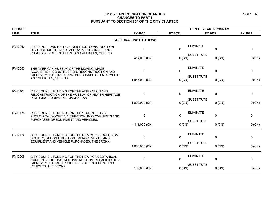| <b>BUDGET</b>  |                                                                                                                                                      |                              |              | THREE YEAR PROGRAM |              |         |
|----------------|------------------------------------------------------------------------------------------------------------------------------------------------------|------------------------------|--------------|--------------------|--------------|---------|
| <b>LINE</b>    | <b>TITLE</b>                                                                                                                                         | FY 2020                      | FY 2021      | FY 2022            |              | FY 2023 |
|                |                                                                                                                                                      | <b>CULTURAL INSTITUTIONS</b> |              |                    |              |         |
| <b>PV-D040</b> | FLUSHING TOWN HALL: ACQUISITION, CONSTRUCTION,<br>RECONSTRUCTION AND IMPROVEMENTS, INCLUDING<br>PURCHASES OF EQUIPMENT AND VEHICLES, QUEENS          | $\Omega$                     | $\Omega$     | <b>ELIMINATE</b>   | $\mathbf{0}$ | 0       |
|                |                                                                                                                                                      | 414,000 (CN)                 | 0 (CN)       | <b>SUBSTITUTE</b>  | $0$ (CN)     | 0 (CN)  |
| <b>PV-D050</b> | THE AMERICAN MUSEUM OF THE MOVING IMAGE:<br>ACQUISITION, CONSTRUCTION, RECONSTRUCTION AND<br>IMPROVEMENTS, INCLUDING PURCHASES OF EQUIPMENT          | $\mathbf{0}$                 | $\mathbf{0}$ | <b>ELIMINATE</b>   | $\Omega$     | 0       |
|                | AND VEHICLES, QUEENS.                                                                                                                                | 1,947,000 (CN)               | 0 (CN)       | <b>SUBSTITUTE</b>  | $0$ (CN)     | 0 (CN)  |
| <b>PV-D101</b> | CITY COUNCIL FUNDING FOR THE ALTERATION AND<br>RECONSTRUCTION OF THE MUSEUM OF JEWISH HERITAGE<br>INCLUDING EQUIPMENT, MANHATTAN                     | $\Omega$                     | $\mathbf 0$  | <b>ELIMINATE</b>   | $\Omega$     | 0       |
|                |                                                                                                                                                      | 1,000,000 (CN)               | 0 (CN)       | <b>SUBSTITUTE</b>  | $0$ (CN)     | 0 (CN)  |
| <b>PV-D175</b> | CITY COUNCIL FUNDING FOR THE STATEN ISLAND<br>ZOOLOGICAL SOCIETY, ALTERATION, IMPROVEMENTS AND<br>PURCHASES OF EQUIPMENT AND VEHICLES.               | $\mathbf 0$                  | $\Omega$     | <b>ELIMINATE</b>   | $\mathbf{0}$ | 0       |
|                |                                                                                                                                                      | 1,111,000 (CN)               | $0$ (CN)     | <b>SUBSTITUTE</b>  | $0$ (CN)     | 0 (CN)  |
| <b>PV-D176</b> | CITY COUNCIL FUNDING FOR THE NEW YORK ZOOLOGICAL<br>SOCIETY, RECONSTRUCTION, IMPROVEMENTS, AND                                                       | $\mathbf{0}$                 | $\Omega$     | <b>ELIMINATE</b>   | $\Omega$     | 0       |
|                | EQUIPMENT AND VEHICLE PURCHASES, THE BRONX.                                                                                                          | 4,600,000 (CN)               | 0 (CN)       | <b>SUBSTITUTE</b>  | $0$ (CN)     | 0 (CN)  |
| <b>PV-D205</b> | CITY COUNCIL FUNDING FOR THE NEW YORK BOTANICAL<br>GARDEN, ADDITIONS, RECONSTRUCTION, REHABILITATION,<br>IMPROVEMENTS AND PURCHASES OF EQUIPMENT AND | $\mathbf 0$                  | $\Omega$     | <b>ELIMINATE</b>   | $\mathbf 0$  | 0       |
|                | VEHICLES, THE BRONX.                                                                                                                                 | 195,000 (CN)                 | 0 (CN)       | <b>SUBSTITUTE</b>  | $0$ (CN)     | 0 (CN)  |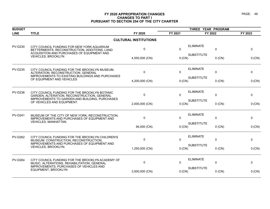| <b>BUDGET</b>  |                                                                                                                                          |                              |              | THREE YEAR PROGRAM |          |         |
|----------------|------------------------------------------------------------------------------------------------------------------------------------------|------------------------------|--------------|--------------------|----------|---------|
| <b>LINE</b>    | <b>TITLE</b>                                                                                                                             | FY 2020                      | FY 2021      | FY 2022            |          | FY 2023 |
|                |                                                                                                                                          | <b>CULTURAL INSTITUTIONS</b> |              |                    |          |         |
| <b>PV-D230</b> | CITY COUNCIL FUNDING FOR NEW YORK AQUARIUM<br>BETTERMENTS, RECONSTRUCTION, ADDITIONS, LAND<br>ACQUISITION AND PURCHASES OF EQUIPMENT AND | $\pmb{0}$                    | $\mathbf{0}$ | <b>ELIMINATE</b>   | 0        | 0       |
|                | <b>VEHICLES, BROOKLYN</b>                                                                                                                | 4,550,000 (CN)               | $0$ (CN)     | <b>SUBSTITUTE</b>  | $0$ (CN) | 0 (CN)  |
| <b>PV-D235</b> | CITY COUNCIL FUNDING FOR THE BROOKLYN MUSEUM.<br>ALTERATION, RECONSTRUCTION, GENERAL                                                     | $\mathbf 0$                  | $\Omega$     | <b>ELIMINATE</b>   | 0        | 0       |
|                | IMPROVEMENTS TO EXISTING BUILDINGS AND PURCHASES<br>OF EQUIPMENT AND VEHICLES                                                            | 4,200,000 (CN)               | $0$ (CN)     | <b>SUBSTITUTE</b>  | $0$ (CN) | 0 (CN)  |
| <b>PV-D236</b> | CITY COUNCIL FUNDING FOR THE BROOKLYN BOTANIC<br>GARDEN, ALTERATION, RECONSTRUCTION, GENERAL                                             | $\mathbf 0$                  | $\Omega$     | <b>ELIMINATE</b>   | 0        | 0       |
|                | IMPROVEMENTS TO GARDEN AND BUILDING, PURCHASES<br>OF VEHICLES AND EQUIPMENT.                                                             | 2,000,000 (CN)               | $0$ (CN)     | <b>SUBSTITUTE</b>  | $0$ (CN) | 0 (CN)  |
| <b>PV-D241</b> | MUSEUM OF THE CITY OF NEW YORK, RECONSTRUCTION,<br>IMPROVEMENTS AND PURCHASES OF EQUIPMENT AND                                           | $\Omega$                     | $\Omega$     | <b>ELIMINATE</b>   | 0        | 0       |
|                | VEHICLES, MANHATTAN.                                                                                                                     | 94,000 (CN)                  | $0$ (CN)     | <b>SUBSTITUTE</b>  | $0$ (CN) | 0 (CN)  |
| <b>PV-D262</b> | CITY COUNCIL FUNDING FOR THE BROOKLYN CHILDREN'S<br>MUSEUM: CONSTRUCTION, RECONSTRUCTION,                                                | $\Omega$                     | $\Omega$     | <b>ELIMINATE</b>   | 0        | 0       |
|                | IMPROVEMENTS AND PURCHASES OF EQUIPMENT AND<br>VEHICLES, BROOKLYN.                                                                       | 1,250,000 (CN)               | 0 (CN)       | <b>SUBSTITUTE</b>  | $0$ (CN) | 0 (CN)  |
| <b>PV-D264</b> | CITY COUNCIL FUNDING FOR THE BROOKLYN ACADEMY OF<br>MUSIC, ALTERATIONS, REHABILITATION, GENERAL                                          | $\mathbf 0$                  | $\mathbf{0}$ | <b>ELIMINATE</b>   | 0        | 0       |
|                | IMPROVEMENTS, PURCHASES OF VEHICLES AND<br>EQUIPMENT, BROOKLYN                                                                           | 3,500,000 (CN)               | $0$ (CN)     | <b>SUBSTITUTE</b>  | $0$ (CN) | 0 (CN)  |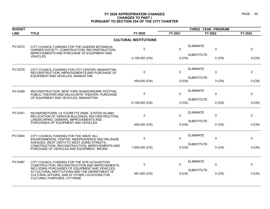| <b>BUDGET</b>  |                                                                                                                                                    |                              |          | THREE YEAR PROGRAM |          |         |
|----------------|----------------------------------------------------------------------------------------------------------------------------------------------------|------------------------------|----------|--------------------|----------|---------|
| <b>LINE</b>    | <b>TITLE</b>                                                                                                                                       | FY 2020                      | FY 2021  | FY 2022            |          | FY 2023 |
|                |                                                                                                                                                    | <b>CULTURAL INSTITUTIONS</b> |          |                    |          |         |
| <b>PV-D272</b> | CITY COUNCIL FUNDING FOR THE QUEENS BOTANICAL<br>GARDEN SOCIETY, CONSTRUCTION, RECONSTRUCTION,<br>IMPROVEMENTS AND PURCHASE OF EQUIPMENT AND       | 0                            | $\Omega$ | <b>ELIMINATE</b>   | 0        | 0       |
|                | <b>VEHICLES</b>                                                                                                                                    | 2,100,000 (CN)               | 0 (CN)   | <b>SUBSTITUTE</b>  | $0$ (CN) | 0 (CN)  |
| <b>PV-D279</b> | CITY COUNCIL FUNDING FOR CITY CENTER, MANHATTAN,<br>RECONSTRUCTION, IMPROVEMENTS AND PURCHASE OF                                                   | $\mathbf 0$                  | $\Omega$ | <b>ELIMINATE</b>   | 0        | 0       |
|                | EQUIPMENT AND VEHICLES, MANHATTAN                                                                                                                  | 450,000 (CN)                 | 0 (CN)   | <b>SUBSTITUTE</b>  | $0$ (CN) | 0 (CN)  |
| <b>PV-D289</b> | RECONSTRUCTION, NEW YORK SHAKESPEARE FESTIVAL<br>PUBLIC THEATER AND DELACORTE THEATER, PURCHASE                                                    | $\mathbf 0$                  | $\Omega$ | <b>ELIMINATE</b>   | 0        | 0       |
|                | OF EQUIPMENT AND VEHICLES, MANHATTAN                                                                                                               | 6,150,000 (CN)               | $0$ (CN) | <b>SUBSTITUTE</b>  | $0$ (CN) | 0 (CN)  |
| <b>PV-D341</b> | RICHMONDTOWN, LA TOURETTE PARK, STATEN ISLAND,<br>RELOCATION OF VARIOUS BUILDINGS, RECONSTRUCTION,                                                 | $\mathbf{0}$                 | $\Omega$ | <b>ELIMINATE</b>   | 0        | 0       |
|                | LANDSCAPING, GENERAL IMPROVEMENTS AND<br>PURCHASES OF EQUIPMENT AND VEHICLES                                                                       | 450,000 (CN)                 | 0 (CN)   | <b>SUBSTITUTE</b>  | $0$ (CN) | 0 (CN)  |
| <b>PV-D464</b> | CITY COUNCIL FUNDING FOR THE WAVE HILL<br>ENVIRONMENTAL CENTER, INDEPENDENCE AND PALISADE                                                          | 0                            | $\Omega$ | <b>ELIMINATE</b>   | 0        | 0       |
|                | AVENUES, WEST 248TH TO WEST 252ND STREETS,<br>CONSTRUCTION, RECONSTRUCTION, IMPROVEMENTS AND<br>PURCHASE OF VEHICLES AND EQUIPMENT, BRONX          | 1,000,000 (CN)               | $0$ (CN) | <b>SUBSTITUTE</b>  | $0$ (CN) | 0 (CN)  |
|                |                                                                                                                                                    |                              |          |                    |          |         |
| <b>PV-D467</b> | CITY COUNCIL FUNDING FOR THE SITE ACQUISITION,<br>CONSTRUCTION, RECONSTRUCTION AND IMPROVEMENTS,<br>INCLUDING PURCHASES OF EQUIPMENT AND VEHICLES, | 0                            | $\Omega$ | <b>ELIMINATE</b>   | 0        | 0       |
|                | AT CULTURAL INSTITUTIONS AND THE DEPARTMENT OF<br>CULTURAL AFFAIRS, AND AT OTHER LOCATIONS FOR<br>CULTURAL PURPOSES, CITYWIDE                      | 481,000 (CN)                 | 0 (CN)   | <b>SUBSTITUTE</b>  | $0$ (CN) | 0 (CN)  |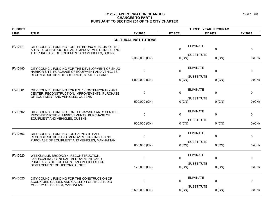| <b>BUDGET</b>  | THREE YEAR PROGRAM                                                                                                                                   |                              |          |                   |          |             |
|----------------|------------------------------------------------------------------------------------------------------------------------------------------------------|------------------------------|----------|-------------------|----------|-------------|
| <b>LINE</b>    | <b>TITLE</b>                                                                                                                                         | FY 2020                      | FY 2021  | FY 2022           |          | FY 2023     |
|                |                                                                                                                                                      | <b>CULTURAL INSTITUTIONS</b> |          |                   |          |             |
| <b>PV-D471</b> | CITY COUNCIL FUNDING FOR THE BRONX MUSEUM OF THE<br>ARTS, RECONSTRUCTION AND IMPROVEMENTS INCLUDING<br>THE PURCHASE OF EQUIPMENT AND VEHICLES, BRONX | $\pmb{0}$                    | $\Omega$ | <b>ELIMINATE</b>  | 0        | 0           |
|                |                                                                                                                                                      | 2,350,000 (CN)               | 0 (CN)   | <b>SUBSTITUTE</b> | $0$ (CN) | 0 (CN)      |
| <b>PV-D490</b> | CITY COUNCIL FUNDING FOR THE DEVELOPMENT OF SNUG<br>HARBOR SITE, PURCHASE OF EQUIPMENT AND VEHICLES,<br>RECONSTRUCTION OF BUILDINGS, STATEN ISLAND.  | $\mathbf 0$                  | $\Omega$ | <b>ELIMINATE</b>  | 0        | $\mathbf 0$ |
|                |                                                                                                                                                      | 1,000,000 (CN)               | $0$ (CN) | <b>SUBSTITUTE</b> | $0$ (CN) | 0 (CN)      |
| <b>PV-D501</b> | CITY COUNCIL FUNDING FOR P.S. 1 CONTEMPORARY ART<br>CENTER, RECONSTRUCTION, IMPROVEMENTS, PURCHASE<br>OF EQUIPMENT AND VEHICLES, QUEENS              | 0                            | $\Omega$ | <b>ELIMINATE</b>  | 0        | 0           |
|                |                                                                                                                                                      | 500,000 (CN)                 | 0 (CN)   | <b>SUBSTITUTE</b> | $0$ (CN) | 0 (CN)      |
| <b>PV-D502</b> | CITY COUNCIL FUNDING FOR THE JAMAICA ARTS CENTER,<br>RECONSTRUCTION, IMPROVEMENTS, PURCHASE OF<br>EQUIPMENT AND VEHICLES, QUEENS                     | $\Omega$                     | $\Omega$ | <b>ELIMINATE</b>  | $\Omega$ | $\mathbf 0$ |
|                |                                                                                                                                                      | 900,000 (CN)                 | $0$ (CN) | <b>SUBSTITUTE</b> | $0$ (CN) | 0 (CN)      |
| <b>PV-D503</b> | CITY COUNCIL FUNDING FOR CARNEGIE HALL.<br>RECONSTRUCTION AND IMPROVEMENTS, INCLUDING<br>PURCHASE OF EQUIPMENT AND VEHICLES, MANHATTAN               | $\pmb{0}$                    | $\Omega$ | <b>ELIMINATE</b>  | 0        | 0           |
|                |                                                                                                                                                      | 650,000 (CN)                 | 0 (CN)   | <b>SUBSTITUTE</b> | $0$ (CN) | 0 (CN)      |
| <b>PV-D520</b> | WEEKSVILLE, BROOKLYN: RECONSTRUCTION,<br>LANDSCAPING, GENERAL IMPROVEMENTS AND<br>PURCHASES OF EQUIPMENT AND VEHICLES FOR                            | $\mathbf 0$                  | $\Omega$ | <b>ELIMINATE</b>  | 0        | 0           |
|                | DEVELOPMENT OF HISTORICAL SITE                                                                                                                       | 175,000 (CN)                 | 0 (CN)   | <b>SUBSTITUTE</b> | $0$ (CN) | 0 (CN)      |
| <b>PV-D525</b> | CITY COUNCIL FUNDING FOR THE CONSTRUCTION OF<br>SCULPTURE GARDEN AND GALLERY FOR THE STUDIO<br>MUSEUM OF HARLEM, MANHATTAN.                          | $\mathbf 0$                  | $\Omega$ | <b>ELIMINATE</b>  | $\Omega$ | $\mathbf 0$ |
|                |                                                                                                                                                      | 3,500,000 (CN)               | $0$ (CN) | <b>SUBSTITUTE</b> | $0$ (CN) | 0 (CN)      |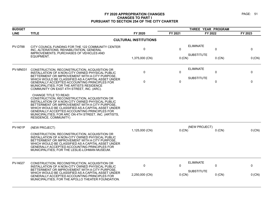| <b>BUDGET</b>  |                                                                                                                                                                                                                                                                                                                                                                            |                              |              | THREE YEAR PROGRAM |             |          |  |
|----------------|----------------------------------------------------------------------------------------------------------------------------------------------------------------------------------------------------------------------------------------------------------------------------------------------------------------------------------------------------------------------------|------------------------------|--------------|--------------------|-------------|----------|--|
| <b>LINE</b>    | <b>TITLE</b>                                                                                                                                                                                                                                                                                                                                                               | FY 2020                      | FY 2021      | FY 2022            |             | FY 2023  |  |
|                |                                                                                                                                                                                                                                                                                                                                                                            | <b>CULTURAL INSTITUTIONS</b> |              |                    |             |          |  |
| <b>PV-D788</b> | CITY COUNCIL FUNDING FOR THE 122 COMMUNITY CENTER<br>INC, ALTERATIONS, REHABILITATION, GENERAL<br>IMPROVEMENTS, PURCHASES OF VEHICLES AND                                                                                                                                                                                                                                  | 0                            | $\Omega$     | <b>ELIMINATE</b>   | 0           | 0        |  |
|                | EQUIPMENT.                                                                                                                                                                                                                                                                                                                                                                 | 1,375,000 (CN)               | 0 (CN)       | <b>SUBSTITUTE</b>  | $0$ (CN)    | 0 (CN)   |  |
| PV-MN031       | CONSTRUCTION, RECONSTRUCTION, ACQUISITION OR<br>INSTALLATION OF A NON-CITY OWNED PHYSICAL PUBLIC<br>BETTERMENT OR IMPROVEMENT WITH A CITY PURPOSE.                                                                                                                                                                                                                         | 0                            | $\Omega$     | <b>ELIMINATE</b>   | 0           | 0        |  |
|                | WHICH WOULD BE CLASSIFIED AS A CAPITAL ASSET UNDER<br>GENERALLY ACCEPTED ACCOUNTING PRINCIPLES FOR<br>MUNICIPALITIES; FOR THE ARTISTS RESIDENCE<br>COMMUNITY ON EAST 4TH STREET, INC. (ARC).                                                                                                                                                                               | $\Omega$                     | $\mathbf{0}$ | <b>SUBSTITUTE</b>  | $\mathbf 0$ | $\Omega$ |  |
|                | CHANGE TITLE TO READ:<br>CONSTRUCTION, RECONSTRUCTION, ACQUISITION OR<br>INSTALLATION OF A NON-CITY OWNED PHYSICAL PUBLIC<br>BETTERMENT OR IMPROVEMENT WITH A CITY PURPOSE,<br>WHICH WOULD BE CLASSIFIED AS A CAPITAL ASSET UNDER<br>GENERALLY ACCEPTED ACCOUNTING PRINCIPLES FOR<br>MUNICIPALITIES; FOR ARC ON 4TH STREET, INC. (ARTISTS,<br><b>RESIDENCE, COMMUNITY)</b> |                              |              |                    |             |          |  |
| PV-N01P        | (NEW PROJECT)                                                                                                                                                                                                                                                                                                                                                              |                              |              | (NEW PROJECT)      |             |          |  |
|                | CONSTRUCTION, RECONSTRUCTION, ACQUISITION OR<br>INSTALLATION OF A NON-CITY OWNED PHYSICAL PUBLIC<br>BETTERMENT OR IMPROVEMENT WITH A CITY PURPOSE,<br>WHICH WOULD BE CLASSIFIED AS A CAPITAL ASSET UNDER<br>GENERALLY ACCEPTED ACCOUNTING PRINCIPLES FOR<br>MUNICIPALITIES; FOR THE LESLIE-LOHMAN MUSEUM.                                                                  | 1,125,000 (CN)               | $0$ (CN)     |                    | $0$ (CN)    | 0 (CN)   |  |
| <b>PV-N027</b> | CONSTRUCTION, RECONSTRUCTION, ACQUISITION OR<br>INSTALLATION OF A NON-CITY OWNED PHYSICAL PUBLIC                                                                                                                                                                                                                                                                           | $\mathbf 0$                  | $\Omega$     | <b>ELIMINATE</b>   | $\mathbf 0$ | $\Omega$ |  |
|                | BETTERMENT OR IMPROVEMENT WITH A CITY PURPOSE,<br>WHICH WOULD BE CLASSIFIED AS A CAPITAL ASSET UNDER<br>GENERALLY ACCEPTED ACCOUNTING PRINCIPLES FOR<br>MUNICIPALITIES; FOR THE APOLLO THEATER FOUNDATION.                                                                                                                                                                 | 2,250,000 (CN)               | 0 (CN)       | <b>SUBSTITUTE</b>  | $0$ (CN)    | 0 (CN)   |  |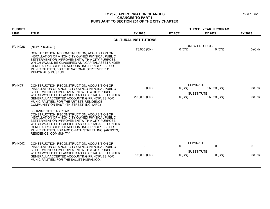| <b>BUDGET</b>  |                                                                                                                                                                                                                                                                                                                                                                            |                              | THREE YEAR PROGRAM |                                  |         |
|----------------|----------------------------------------------------------------------------------------------------------------------------------------------------------------------------------------------------------------------------------------------------------------------------------------------------------------------------------------------------------------------------|------------------------------|--------------------|----------------------------------|---------|
| <b>LINE</b>    | <b>TITLE</b>                                                                                                                                                                                                                                                                                                                                                               | FY 2020                      | FY 2021            | FY 2022                          | FY 2023 |
|                |                                                                                                                                                                                                                                                                                                                                                                            | <b>CULTURAL INSTITUTIONS</b> |                    |                                  |         |
| <b>PV-N02S</b> | (NEW PROJECT)                                                                                                                                                                                                                                                                                                                                                              | 78,000 (CN)                  | $0$ (CN)           | (NEW PROJECT)<br>$0$ (CN)        | 0 (CN)  |
|                | CONSTRUCTION, RECONSTRUCTION, ACQUISITION OR<br>INSTALLATION OF A NON-CITY OWNED PHYSICAL PUBLIC<br>BETTERMENT OR IMPROVEMENT WITH A CITY PURPOSE,<br>WHICH WOULD BE CLASSIFIED AS A CAPITAL ASSET UNDER<br>GENERALLY ACCEPTED ACCOUNTING PRINCIPLES FOR<br>MUNICIPALITIES; FOR THE NATIONAL SEPTEMBER 11<br><b>MEMORIAL &amp; MUSEUM.</b>                                 |                              |                    |                                  |         |
| <b>PV-N031</b> | CONSTRUCTION, RECONSTRUCTION, ACQUISITION OR                                                                                                                                                                                                                                                                                                                               | $0$ (CN)                     | 0 (CN)             | <b>ELIMINATE</b><br>25,929 (CN)  | 0 (CN)  |
|                | INSTALLATION OF A NON-CITY OWNED PHYSICAL PUBLIC<br>BETTERMENT OR IMPROVEMENT WITH A CITY PURPOSE,                                                                                                                                                                                                                                                                         |                              |                    |                                  |         |
|                | WHICH WOULD BE CLASSIFIED AS A CAPITAL ASSET UNDER<br>GENERALLY ACCEPTED ACCOUNTING PRINCIPLES FOR<br><b>MUNICIPALITIES: FOR THE ARTISTS RESIDENCE</b><br>COMMUNITY ON EAST 4TH STREET, INC. (ARC).                                                                                                                                                                        | 200,000 (CN)                 | 0 (CN)             | <b>SUBSTITUTE</b><br>25,929 (CN) | 0 (CN)  |
|                | CHANGE TITLE TO READ:<br>CONSTRUCTION, RECONSTRUCTION, ACQUISITION OR<br>INSTALLATION OF A NON-CITY OWNED PHYSICAL PUBLIC<br>BETTERMENT OR IMPROVEMENT WITH A CITY PURPOSE.<br>WHICH WOULD BE CLASSIFIED AS A CAPITAL ASSET UNDER<br><b>GENERALLY ACCEPTED ACCOUNTING PRINCIPLES FOR</b><br>MUNICIPALITIES; FOR ARC ON 4TH STREET, INC. (ARTISTS,<br>RESIDENCE, COMMUNITY) |                              |                    |                                  |         |
| <b>PV-N042</b> | CONSTRUCTION, RECONSTRUCTION, ACQUISITION OR<br>INSTALLATION OF A NON-CITY OWNED PHYSICAL PUBLIC                                                                                                                                                                                                                                                                           | 0                            | $\Omega$           | <b>ELIMINATE</b><br>0            | 0       |
|                | BETTERMENT OR IMPROVEMENT WITH A CITY PURPOSE,<br>WHICH WOULD BE CLASSIFIED AS A CAPITAL ASSET UNDER<br><b>GENERALLY ACCEPTED ACCOUNTING PRINCIPLES FOR</b><br>MUNICIPALITIES; FOR THE BALLET HISPANICO.                                                                                                                                                                   | 795,000 (CN)                 | 0 (CN)             | <b>SUBSTITUTE</b><br>$0$ (CN)    | 0 (CN)  |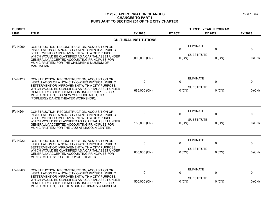| <b>BUDGET</b>  |                                                                                                                                                                                                         |                | THREE YEAR PROGRAM |                                            |         |
|----------------|---------------------------------------------------------------------------------------------------------------------------------------------------------------------------------------------------------|----------------|--------------------|--------------------------------------------|---------|
| <b>LINE</b>    | <b>TITLE</b>                                                                                                                                                                                            | FY 2020        | FY 2021            | FY 2022                                    | FY 2023 |
|                | <b>CULTURAL INSTITUTIONS</b>                                                                                                                                                                            |                |                    |                                            |         |
| <b>PV-N099</b> | CONSTRUCTION, RECONSTRUCTION, ACQUISITION OR<br>INSTALLATION OF A NON-CITY OWNED PHYSICAL PUBLIC<br>BETTERMENT OR IMPROVEMENT WITH A CITY PURPOSE.                                                      | $\pmb{0}$      | $\Omega$           | <b>ELIMINATE</b><br>$\mathbf 0$            | 0       |
|                | WHICH WOULD BE CLASSIFIED AS A CAPITAL ASSET UNDER<br>GENERALLY ACCEPTED ACCOUNTING PRINCIPLES FOR<br>MUNICIPALITIES; FOR THE CHILDREN'S MUSEUM OF<br>MANHATTAN.                                        | 3,000,000 (CN) | $0$ (CN)           | <b>SUBSTITUTE</b><br>$0$ (CN)              | 0 (CN)  |
| <b>PV-N123</b> | CONSTRUCTION, RECONSTRUCTION, ACQUISITION OR<br>INSTALLATION OF A NON-CITY OWNED PHYSICAL PUBLIC<br>BETTERMENT OR IMPROVEMENT WITH A CITY PURPOSE.                                                      | $\pmb{0}$      | $\Omega$           | <b>ELIMINATE</b><br>0<br><b>SUBSTITUTE</b> | 0       |
|                | WHICH WOULD BE CLASSIFIED AS A CAPITAL ASSET UNDER<br>GENERALLY ACCEPTED ACCOUNTING PRINCIPLES FOR<br>MUNICIPALITIES; FOR NEW YORK LIVE ARTS, INC.<br>(FORMERLY DANCE THEATER WORKSHOP).                | 686,000 (CN)   | $0$ (CN)           | $0$ (CN)                                   | 0 (CN)  |
| <b>PV-N204</b> | CONSTRUCTION, RECONSTRUCTION, ACQUISITION OR<br>INSTALLATION OF A NON-CITY OWNED PHYSICAL PUBLIC                                                                                                        | 0              | 0                  | <b>ELIMINATE</b><br>0                      | 0       |
|                | BETTERMENT OR IMPROVEMENT WITH A CITY PURPOSE.<br>WHICH WOULD BE CLASSIFIED AS A CAPITAL ASSET UNDER<br>GENERALLY ACCEPTED ACCOUNTING PRINCIPLES FOR<br>MUNICIPALITIES; FOR THE JAZZ AT LINCOLN CENTER. | 150,000 (CN)   | $0$ (CN)           | <b>SUBSTITUTE</b><br>$0$ (CN)              | 0 (CN)  |
| <b>PV-N222</b> | CONSTRUCTION, RECONSTRUCTION, ACQUISITION OR<br>INSTALLATION OF A NON-CITY OWNED PHYSICAL PUBLIC                                                                                                        | $\mathbf 0$    | $\mathbf{0}$       | <b>ELIMINATE</b><br>$\mathbf 0$            | 0       |
|                | BETTERMENT OR IMPROVEMENT WITH A CITY PURPOSE.<br>WHICH WOULD BE CLASSIFIED AS A CAPITAL ASSET UNDER<br>GENERALLY ACCEPTED ACCOUNTING PRINCIPLES FOR<br>MUNICIPALITIES; FOR THE JOYCE THEATER.          | 635,000 (CN)   | 0 (CN)             | <b>SUBSTITUTE</b><br>$0$ (CN)              | 0 (CN)  |
| <b>PV-N268</b> | CONSTRUCTION, RECONSTRUCTION, ACQUISITION OR<br>INSTALLATION OF A NON-CITY OWNED PHYSICAL PUBLIC<br>BETTERMENT OR IMPROVEMENT WITH A CITY PURPOSE.                                                      | 0              | 0                  | <b>ELIMINATE</b><br>0                      | 0       |
|                | WHICH WOULD BE CLASSIFIED AS A CAPITAL ASSET UNDER<br>GENERALLY ACCEPTED ACCOUNTING PRINCIPLES FOR<br>MUNICIPALITIES; FOR THE MORGAN LIBRARY & MUSEUM.                                                  | 500,000 (CN)   | 0 (CN)             | <b>SUBSTITUTE</b><br>$0$ (CN)              | 0 (CN)  |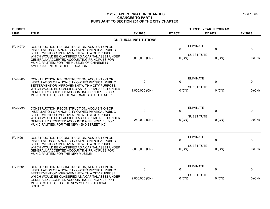| <b>BUDGET</b>  |                                                                                                                                                                                                                 |                              |             | THREE YEAR PROGRAM |           |         |
|----------------|-----------------------------------------------------------------------------------------------------------------------------------------------------------------------------------------------------------------|------------------------------|-------------|--------------------|-----------|---------|
| <b>LINE</b>    | <b>TITLE</b>                                                                                                                                                                                                    | FY 2020                      | FY 2021     | FY 2022            |           | FY 2023 |
|                |                                                                                                                                                                                                                 | <b>CULTURAL INSTITUTIONS</b> |             |                    |           |         |
| <b>PV-N279</b> | CONSTRUCTION, RECONSTRUCTION, ACQUISITION OR<br>INSTALLATION OF A NON-CITY OWNED PHYSICAL PUBLIC<br>BETTERMENT OR IMPROVEMENT WITH A CITY PURPOSE.                                                              | 0                            | $\Omega$    | <b>ELIMINATE</b>   | 0         | 0       |
|                | WHICH WOULD BE CLASSIFIED AS A CAPITAL ASSET UNDER<br>GENERALLY ACCEPTED ACCOUNTING PRINCIPLES FOR<br>MUNICIPALITIES; FOR THE MUSEUM OF CHINESE IN<br>AMERICA CENTRE STREET LOCATION.                           | 5,000,000 (CN)               | $0$ (CN)    | <b>SUBSTITUTE</b>  | $0$ (CN)  | 0 (CN)  |
| <b>PV-N285</b> | CONSTRUCTION, RECONSTRUCTION, ACQUISITION OR<br>INSTALLATION OF A NON-CITY OWNED PHYSICAL PUBLIC<br>BETTERMENT OR IMPROVEMENT WITH A CITY PURPOSE.                                                              | $\pmb{0}$                    | $\mathbf 0$ | <b>ELIMINATE</b>   | 0         | 0       |
|                | WHICH WOULD BE CLASSIFIED AS A CAPITAL ASSET UNDER<br>GENERALLY ACCEPTED ACCOUNTING PRINCIPLES FOR<br>MUNICIPALITIES; FOR THE NATIONAL BLACK THEATER.                                                           | 1,000,000 (CN)               | $0$ (CN)    | <b>SUBSTITUTE</b>  | $0$ (CN)  | 0 (CN)  |
| <b>PV-N290</b> | CONSTRUCTION, RECONSTRUCTION, ACQUISITION OR<br>INSTALLATION OF A NON-CITY OWNED PHYSICAL PUBLIC                                                                                                                | 0                            | $\Omega$    | <b>ELIMINATE</b>   | $\pmb{0}$ | 0       |
|                | BETTERMENT OR IMPROVEMENT WITH A CITY PURPOSE.<br>WHICH WOULD BE CLASSIFIED AS A CAPITAL ASSET UNDER<br>GENERALLY ACCEPTED ACCOUNTING PRINCIPLES FOR<br>MUNICIPALITIES; FOR THE NEW 42ND STREET INC.            | 250,000 (CN)                 | 0 (CN)      | <b>SUBSTITUTE</b>  | $0$ (CN)  | 0 (CN)  |
| <b>PV-N291</b> | CONSTRUCTION, RECONSTRUCTION, ACQUISITION OR<br>INSTALLATION OF A NON-CITY OWNED PHYSICAL PUBLIC<br>BETTERMENT OR IMPROVEMENT WITH A CITY PURPOSE                                                               | $\mathbf 0$                  | 0           | <b>ELIMINATE</b>   | 0         | 0       |
|                | WHICH WOULD BE CLASSIFIED AS A CAPITAL ASSET UNDER<br>GENERALLY ACCEPTED ACCOUNTING PRINCIPLES FOR<br>MUNICIPALITIES; FOR THE NEW MUSEUM.                                                                       | 2,000,000 (CN)               | $0$ (CN)    | <b>SUBSTITUTE</b>  | $0$ (CN)  | 0 (CN)  |
| <b>PV-N304</b> | CONSTRUCTION, RECONSTRUCTION, ACQUISITION OR<br>INSTALLATION OF A NON-CITY OWNED PHYSICAL PUBLIC                                                                                                                | 0                            | $\Omega$    | <b>ELIMINATE</b>   | $\pmb{0}$ | 0       |
|                | BETTERMENT OR IMPROVEMENT WITH A CITY PURPOSE,<br>WHICH WOULD BE CLASSIFIED AS A CAPITAL ASSET UNDER<br>GENERALLY ACCEPTED ACCOUNTING PRINCIPLES FOR<br>MUNICIPALITIES; FOR THE NEW YORK HISTORICAL<br>SOCIETY. | 2,000,000 (CN)               | 0 (CN)      | <b>SUBSTITUTE</b>  | $0$ (CN)  | 0 (CN)  |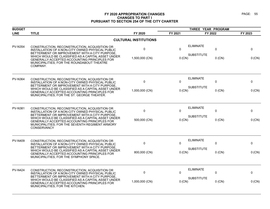| <b>BUDGET</b>  |                                                                                                                                                                                                                        |                              |              | THREE YEAR PROGRAM              |          |  |
|----------------|------------------------------------------------------------------------------------------------------------------------------------------------------------------------------------------------------------------------|------------------------------|--------------|---------------------------------|----------|--|
| <b>LINE</b>    | <b>TITLE</b>                                                                                                                                                                                                           | FY 2020                      | FY 2021      | FY 2022                         | FY 2023  |  |
|                |                                                                                                                                                                                                                        | <b>CULTURAL INSTITUTIONS</b> |              |                                 |          |  |
| <b>PV-N354</b> | CONSTRUCTION, RECONSTRUCTION, ACQUISITION OR<br>INSTALLATION OF A NON-CITY OWNED PHYSICAL PUBLIC<br>BETTERMENT OR IMPROVEMENT WITH A CITY PURPOSE.                                                                     | 0                            | $\mathbf{0}$ | <b>ELIMINATE</b><br>$\mathbf 0$ | 0        |  |
|                | WHICH WOULD BE CLASSIFIED AS A CAPITAL ASSET UNDER<br>GENERALLY ACCEPTED ACCOUNTING PRINCIPLES FOR<br>MUNICIPALITIES; FOR THE ROUNDABOUT THEATRE<br>COMPANY.                                                           | 1,500,000 (CN)               | $0$ (CN)     | <b>SUBSTITUTE</b><br>$0$ (CN)   | 0 (CN)   |  |
| <b>PV-N364</b> | CONSTRUCTION, RECONSTRUCTION, ACQUISITION OR<br>INSTALLATION OF A NON-CITY OWNED PHYSICAL PUBLIC<br>BETTERMENT OR IMPROVEMENT WITH A CITY PURPOSE.                                                                     | $\mathbf 0$                  | $\Omega$     | <b>ELIMINATE</b><br>$\mathbf 0$ | 0        |  |
|                | WHICH WOULD BE CLASSIFIED AS A CAPITAL ASSET UNDER<br>GENERALLY ACCEPTED ACCOUNTING PRINCIPLES FOR<br>MUNICIPALITIES; FOR THE ST. GEORGE THEATER.                                                                      | 1,000,000 (CN)               | $0$ (CN)     | <b>SUBSTITUTE</b><br>$0$ (CN)   | 0 (CN)   |  |
| <b>PV-N381</b> | CONSTRUCTION, RECONSTRUCTION, ACQUISITION OR<br>INSTALLATION OF A NON-CITY OWNED PHYSICAL PUBLIC                                                                                                                       | $\mathbf 0$                  | $\Omega$     | <b>ELIMINATE</b><br>0           | 0        |  |
|                | BETTERMENT OR IMPROVEMENT WITH A CITY PURPOSE.<br>WHICH WOULD BE CLASSIFIED AS A CAPITAL ASSET UNDER<br>GENERALLY ACCEPTED ACCOUNTING PRINCIPLES FOR<br>MUNICIPALITIES; FOR THE SEVENTH REGIMENT ARMORY<br>CONSERVANCY | 500,000 (CN)                 | $0$ (CN)     | <b>SUBSTITUTE</b><br>$0$ (CN)   | 0 (CN)   |  |
| <b>PV-N409</b> | CONSTRUCTION, RECONSTRUCTION, ACQUISITION OR<br>INSTALLATION OF A NON-CITY OWNED PHYSICAL PUBLIC                                                                                                                       | 0                            | $\Omega$     | <b>ELIMINATE</b><br>$\pmb{0}$   | 0        |  |
|                | BETTERMENT OR IMPROVEMENT WITH A CITY PURPOSE.<br>WHICH WOULD BE CLASSIFIED AS A CAPITAL ASSET UNDER<br>GENERALLY ACCEPTED ACCOUNTING PRINCIPLES FOR<br>MUNICIPALITIES; FOR THE SYMPHONY SPACE.                        | 800,000 (CN)                 | $0$ (CN)     | <b>SUBSTITUTE</b><br>$0$ (CN)   | 0 (CN)   |  |
| <b>PV-N424</b> | CONSTRUCTION, RECONSTRUCTION, ACQUISITION OR<br>INSTALLATION OF A NON-CITY OWNED PHYSICAL PUBLIC                                                                                                                       | $\mathbf 0$                  | $\Omega$     | <b>ELIMINATE</b><br>0           | $\Omega$ |  |
|                | BETTERMENT OR IMPROVEMENT WITH A CITY PURPOSE.<br>WHICH WOULD BE CLASSIFIED AS A CAPITAL ASSET UNDER<br>GENERALLY ACCEPTED ACCOUNTING PRINCIPLES FOR<br>MUNICIPALITIES; FOR THE KITCHEN.                               | 1,000,000 (CN)               | $0$ (CN)     | <b>SUBSTITUTE</b><br>$0$ (CN)   | 0 (CN)   |  |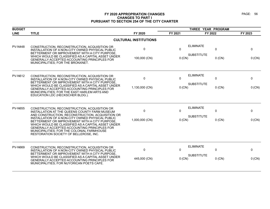| <b>BUDGET</b>  | THREE YEAR PROGRAM                                                                                                                                                                                                                                                                                                                                                                                                                                    |                               |                         |                                                                   |                        |
|----------------|-------------------------------------------------------------------------------------------------------------------------------------------------------------------------------------------------------------------------------------------------------------------------------------------------------------------------------------------------------------------------------------------------------------------------------------------------------|-------------------------------|-------------------------|-------------------------------------------------------------------|------------------------|
| <b>LINE</b>    | <b>TITLE</b>                                                                                                                                                                                                                                                                                                                                                                                                                                          | FY 2020                       | FY 2021                 | FY 2022                                                           | FY 2023                |
|                |                                                                                                                                                                                                                                                                                                                                                                                                                                                       | <b>CULTURAL INSTITUTIONS</b>  |                         |                                                                   |                        |
| <b>PV-N448</b> | CONSTRUCTION, RECONSTRUCTION, ACQUISITION OR<br>INSTALLATION OF A NON-CITY OWNED PHYSICAL PUBLIC<br>BETTERMENT OR IMPROVEMENT WITH A CITY PURPOSE,<br>WHICH WOULD BE CLASSIFIED AS A CAPITAL ASSET UNDER<br>GENERALLY ACCEPTED ACCOUNTING PRINCIPLES FOR<br>MUNICIPALITIES; FOR THE BRONXNET.                                                                                                                                                         | 0<br>100,000 (CN)             | $\Omega$<br>$0$ (CN)    | <b>ELIMINATE</b><br>$\mathbf 0$<br><b>SUBSTITUTE</b><br>$0$ (CN)  | 0<br>0 (CN)            |
| <b>PV-N612</b> | CONSTRUCTION, RECONSTRUCTION, ACQUISITION OR<br>INSTALLATION OF A NON-CITY OWNED PHYSICAL PUBLIC<br>BETTERMENT OR IMPROVEMENT WITH A CITY PURPOSE.<br>WHICH WOULD BE CLASSIFIED AS A CAPITAL ASSET UNDER<br><b>GENERALLY ACCEPTED ACCOUNTING PRINCIPLES FOR</b><br>MUNICIPALITIES; FOR THE EAST HARLEM ARTS AND<br>EDUCATION LDC (HECKSCHER BLDG.).                                                                                                   | $\mathbf 0$<br>1,130,000 (CN) | $\mathbf 0$<br>$0$ (CN) | <b>ELIMINATE</b><br>0<br><b>SUBSTITUTE</b><br>$0$ (CN)            | 0<br>0 (CN)            |
| <b>PV-N655</b> | CONSTRUCTION, RECONSTRUCTION, ACQUISITION OR<br>INSTALLATION AT THE QUEENS COUNTY FARM MUSEUM<br>AND CONSTRUCTION, RECONSTRUCTION, ACQUISITION OR<br>INSTALLATION OF A NON-CITY OWNED PHYSICAL PUBLIC<br>BETTERMENT OR IMPROVEMENT WITH A CITY PURPOSE,<br>WHICH WOULD BE CLASSIFIED AS A CAPITAL ASSET UNDER<br>GENERALLY ACCEPTED ACCOUNTING PRINCIPLES FOR<br>MUNICIPALITIES: FOR THE COLONIAL FARMHOUSE<br>RESTORATION SOCIETY OF BELLEROSE, INC. | 0<br>1,000,000 (CN)           | $\mathbf 0$<br>$0$ (CN) | <b>ELIMINATE</b><br>0<br><b>SUBSTITUTE</b><br>$0$ (CN)            | $\mathbf 0$<br>0 (CN)  |
| <b>PV-N669</b> | CONSTRUCTION, RECONSTRUCTION, ACQUISITION OR<br>INSTALLATION OF A NON-CITY OWNED PHYSICAL PUBLIC<br>BETTERMENT OR IMPROVEMENT WITH A CITY PURPOSE.<br>WHICH WOULD BE CLASSIFIED AS A CAPITAL ASSET UNDER<br><b>GENERALLY ACCEPTED ACCOUNTING PRINCIPLES FOR</b><br>MUNICIPALITIES; FOR NUYORICAN POETS CAFE.                                                                                                                                          | $\mathbf{0}$<br>445,000 (CN)  | $\mathbf{0}$<br>0 (CN)  | <b>ELIMINATE</b><br>$\mathbf{0}$<br><b>SUBSTITUTE</b><br>$0$ (CN) | $\mathbf{0}$<br>0 (CN) |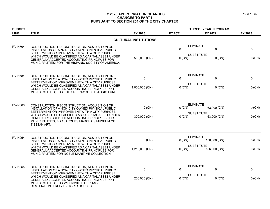| <b>BUDGET</b>  |                                                                                                                                                                                                                                      |                              | THREE YEAR PROGRAM               |              |         |
|----------------|--------------------------------------------------------------------------------------------------------------------------------------------------------------------------------------------------------------------------------------|------------------------------|----------------------------------|--------------|---------|
| <b>LINE</b>    | <b>TITLE</b>                                                                                                                                                                                                                         | FY 2020                      | FY 2021                          | FY 2022      | FY 2023 |
|                |                                                                                                                                                                                                                                      | <b>CULTURAL INSTITUTIONS</b> |                                  |              |         |
| <b>PV-N704</b> | CONSTRUCTION, RECONSTRUCTION, ACQUISITION OR<br>INSTALLATION OF A NON-CITY OWNED PHYSICAL PUBLIC<br>BETTERMENT OR IMPROVEMENT WITH A CITY PURPOSE                                                                                    | 0                            | <b>ELIMINATE</b><br>$\mathbf{0}$ | 0            | 0       |
|                | WHICH WOULD BE CLASSIFIED AS A CAPITAL ASSET UNDER<br>GENERALLY ACCEPTED ACCOUNTING PRINCIPLES FOR<br>MUNICIPALITIES; FOR THE HISPANIC SOCIETY OF AMERICA.                                                                           | 500,000 (CN)                 | <b>SUBSTITUTE</b><br>$0$ (CN)    | $0$ (CN)     | 0 (CN)  |
| <b>PV-N784</b> | CONSTRUCTION, RECONSTRUCTION, ACQUISITION OR<br>INSTALLATION OF A NON-CITY OWNED PHYSICAL PUBLIC<br>BETTERMENT OR IMPROVEMENT WITH A CITY PURPOSE,                                                                                   | $\pmb{0}$                    | <b>ELIMINATE</b><br>$\Omega$     | 0            | 0       |
|                | WHICH WOULD BE CLASSIFIED AS A CAPITAL ASSET UNDER<br>GENERALLY ACCEPTED ACCOUNTING PRINCIPLES FOR<br>MUNICIPALITIES; FOR THE GREENWOOD HISTORIC FUND.                                                                               | 1,000,000 (CN)               | <b>SUBSTITUTE</b><br>0 (CN)      | $0$ (CN)     | 0 (CN)  |
| <b>PV-N860</b> | CONSTRUCTION, RECONSTRUCTION, ACQUISITION OR<br>INSTALLATION OF A NON-CITY OWNED PHYSICAL PUBLIC                                                                                                                                     | $0$ (CN)                     | <b>ELIMINATE</b><br>0 (CN)       | 63,000 (CN)  | 0 (CN)  |
|                | BETTERMENT OR IMPROVEMENT WITH A CITY PURPOSE.<br>WHICH WOULD BE CLASSIFIED AS A CAPITAL ASSET UNDER<br>GENERALLY ACCEPTED ACCOUNTING PRINCIPLES FOR<br>MUNICIPALITIES; FOR JACQUES MARCHAIS MUSEUM OF<br>TIBETAN ART.               | 300,000 (CN)                 | <b>SUBSTITUTE</b><br>$0$ (CN)    | 63,000 (CN)  | 0 (CN)  |
| <b>PV-N954</b> | CONSTRUCTION, RECONSTRUCTION, ACQUISITION OR<br>INSTALLATION OF A NON-CITY OWNED PHYSICAL PUBLIC                                                                                                                                     | $0$ (CN)                     | <b>ELIMINATE</b><br>$0$ (CN)     | 156,000 (CN) | 0 (CN)  |
|                | BETTERMENT OR IMPROVEMENT WITH A CITY PURPOSE<br>WHICH WOULD BE CLASSIFIED AS A CAPITAL ASSET UNDER<br>GENERALLY ACCEPTED ACCOUNTING PRINCIPLES FOR<br>MUNICIPALITIES; FOR NOBLE MARITIME COLLECTION.                                | 1,216,000 (CN)               | <b>SUBSTITUTE</b><br>$0$ (CN)    | 156,000 (CN) | 0 (CN)  |
| <b>PV-N955</b> | CONSTRUCTION, RECONSTRUCTION, ACQUISITION OR<br>INSTALLATION OF A NON-CITY OWNED PHYSICAL PUBLIC                                                                                                                                     | 0                            | <b>ELIMINATE</b><br>$\mathbf{0}$ | 0            | 0       |
|                | BETTERMENT OR IMPROVEMENT WITH A CITY PURPOSE.<br>WHICH WOULD BE CLASSIFIED AS A CAPITAL ASSET UNDER<br>GENERALLY ACCEPTED ACCOUNTING PRINCIPLES FOR<br>MUNICIPALITIES; FOR WEEKSVILLE HERITAGE<br>CENTER-HUNTERFLY HISTORIC HOUSES. | 200,000 (CN)                 | <b>SUBSTITUTE</b><br>$0$ (CN)    | $0$ (CN)     | 0 (CN)  |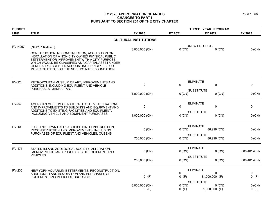| <b>BUDGET</b>  |                                                                                                                                                                                                                                                                                                              |                              | THREE YEAR PROGRAM |                                                 |                  |
|----------------|--------------------------------------------------------------------------------------------------------------------------------------------------------------------------------------------------------------------------------------------------------------------------------------------------------------|------------------------------|--------------------|-------------------------------------------------|------------------|
| <b>LINE</b>    | <b>TITLE</b>                                                                                                                                                                                                                                                                                                 | FY 2020                      | FY 2021            | FY 2022                                         | FY 2023          |
|                |                                                                                                                                                                                                                                                                                                              | <b>CULTURAL INSTITUTIONS</b> |                    |                                                 |                  |
| <b>PV-N957</b> | (NEW PROJECT)                                                                                                                                                                                                                                                                                                | 3,000,000 (CN)               | $0$ (CN)           | (NEW PROJECT)<br>$0$ (CN)                       | 0 (CN)           |
|                | CONSTRUCTION, RECONSTRUCTION, ACQUISITION OR<br>INSTALLATION OF A NON-CITY OWNED PHYSICAL PUBLIC<br>BETTERMENT OR IMPROVEMENT WITH A CITY PURPOSE.<br>WHICH WOULD BE CLASSIFIED AS A CAPITAL ASSET UNDER<br>GENERALLY ACCEPTED ACCOUNTING PRINCIPLES FOR<br>MUNICIPALITIES; FOR THE NOEL POINTER FOUNDATION. |                              |                    |                                                 |                  |
| <b>PV-22</b>   | METROPOLITAN MUSEUM OF ART, IMPROVEMENTS AND<br>ADDITIONS, INCLUDING EQUIPMENT AND VEHICLE<br>PURCHASES, MANHATTAN.                                                                                                                                                                                          | $\pmb{0}$                    | $\mathbf 0$        | <b>ELIMINATE</b><br>$\mathbf 0$                 | 0                |
|                |                                                                                                                                                                                                                                                                                                              | 1,000,000 (CN)               | 0 (CN)             | <b>SUBSTITUTE</b><br>$0$ (CN)                   | 0 (CN)           |
| <b>PV-34</b>   | AMERICAN MUSEUM OF NATURAL HISTORY, ALTERATIONS<br>AND IMPROVEMENTS TO BUILDINGS AND EQUIPMENT AND                                                                                                                                                                                                           | 0                            | $\mathbf{0}$       | <b>ELIMINATE</b><br>$\pmb{0}$                   | 0                |
|                | ADDITIONS TO EXISTING FACILITIES AND EQUIPMENT,<br>INCLUDING VEHICLE AND EQUIPMENT PURCHASES.                                                                                                                                                                                                                | 1,000,000 (CN)               | 0 (CN)             | <b>SUBSTITUTE</b><br>$0$ (CN)                   | 0 (CN)           |
| <b>PV-40</b>   | FLUSHING TOWN HALL: ACQUISITION, CONSTRUCTION,<br>RECONSTRUCTION AND IMPROVEMENTS, INCLUDING<br>PURCHASES OF EQUIPMENT AND VEHICLES, QUEENS                                                                                                                                                                  | $0$ (CN)                     | 0(CN)              | <b>ELIMINATE</b><br>86,999 (CN)                 | 0 (CN)           |
|                |                                                                                                                                                                                                                                                                                                              | 750,000 (CN)                 | 0 (CN)             | <b>SUBSTITUTE</b><br>86,999 (CN)                | 0 (CN)           |
| <b>PV-175</b>  | STATEN ISLAND ZOOLOGICAL SOCIETY, ALTERATION,<br>IMPROVEMENTS AND PURCHASES OF EQUIPMENT AND<br><b>VEHICLES.</b>                                                                                                                                                                                             | $0$ (CN)                     | 0(CN)              | <b>ELIMINATE</b><br>$0$ (CN)                    | 608,401 (CN)     |
|                |                                                                                                                                                                                                                                                                                                              | 200,000 (CN)                 | 0 (CN)             | <b>SUBSTITUTE</b><br>$0$ (CN)                   | 608,401 (CN)     |
| PV-230         | NEW YORK AQUARIUM BETTERMENTS, RECONSTRUCTION,<br>ADDITIONS, LAND ACQUISITION AND PURCHASES OF                                                                                                                                                                                                               | 0                            | $\mathbf 0$        | <b>ELIMINATE</b><br>$\mathbf{0}$                | 0                |
|                | EQUIPMENT AND VEHICLES, BROOKLYN                                                                                                                                                                                                                                                                             | $0$ (F)                      | $0$ (F)            | 81,000,000 (F)                                  | $0$ (F)          |
|                |                                                                                                                                                                                                                                                                                                              | 3,000,000 (CN)<br>$0$ (F)    | 0 (CN)<br>0(F)     | <b>SUBSTITUTE</b><br>$0$ (CN)<br>81,000,000 (F) | $0$ (CN)<br>0(F) |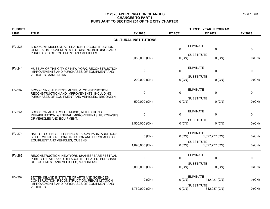| <b>BUDGET</b> |                                                                                                                                               |                              |              |                                     |          |
|---------------|-----------------------------------------------------------------------------------------------------------------------------------------------|------------------------------|--------------|-------------------------------------|----------|
| <b>LINE</b>   | <b>TITLE</b>                                                                                                                                  | FY 2020                      | FY 2021      | FY 2022                             | FY 2023  |
|               |                                                                                                                                               | <b>CULTURAL INSTITUTIONS</b> |              |                                     |          |
| <b>PV-235</b> | BROOKLYN MUSEUM, ALTERATION, RECONSTRUCTION,<br>GENERAL IMPROVEMENTS TO EXISTING BUILDINGS AND<br>PURCHASES OF EQUIPMENT AND VEHICLES.        | 0                            | $\mathbf{0}$ | <b>ELIMINATE</b><br>$\mathbf 0$     | 0        |
|               |                                                                                                                                               | 3,350,000 (CN)               | 0 (CN)       | <b>SUBSTITUTE</b><br>$0$ (CN)       | 0 (CN)   |
| <b>PV-241</b> | MUSEUM OF THE CITY OF NEW YORK, RECONSTRUCTION,<br>IMPROVEMENTS AND PURCHASES OF EQUIPMENT AND<br>VEHICLES, MANHATTAN.                        | 0                            | $\Omega$     | <b>ELIMINATE</b><br>0               | 0        |
|               |                                                                                                                                               | 200,000 (CN)                 | $0$ (CN)     | <b>SUBSTITUTE</b><br>$0$ (CN)       | 0 (CN)   |
| <b>PV-262</b> | BROOKLYN CHILDREN'S MUSEUM: CONSTRUCTION,<br>RECONSTRUCTION AND IMPROVEMENTS, INCLUDING<br>PURCHASES OF EQUIPMENT AND VEHICLES, BROOKLYN.     | 0                            | $\Omega$     | <b>ELIMINATE</b><br>$\mathbf 0$     | 0        |
|               |                                                                                                                                               | 500,000 (CN)                 | 0 (CN)       | <b>SUBSTITUTE</b><br>$0$ (CN)       | 0 (CN)   |
| <b>PV-264</b> | BROOKLYN ACADEMY OF MUSIC, ALTERATIONS,<br>REHABILITATION, GENERAL IMPROVEMENTS, PURCHASES<br>OF VEHICLES AND EQUIPMENT.                      | 0                            | $\Omega$     | <b>ELIMINATE</b><br>0               | 0        |
|               |                                                                                                                                               | 2,500,000 (CN)               | $0$ (CN)     | <b>SUBSTITUTE</b><br>$0$ (CN)       | 0 (CN)   |
| <b>PV-274</b> | HALL OF SCIENCE, FLUSHING MEADOW PARK, ADDITIONS,<br>BETTERMENTS, RECONSTRUCTION AND PURCHASES OF<br>EQUIPMENT AND VEHICLES, QUEENS.          | $0$ (CN)                     | 0 (CN)       | <b>ELIMINATE</b><br>1,027,777 (CN)  | 0(CN)    |
|               |                                                                                                                                               | 1,698,000 (CN)               | 0 (CN)       | <b>SUBSTITUTE</b><br>1,027,777 (CN) | $0$ (CN) |
| <b>PV-289</b> | RECONSTRUCTION, NEW YORK SHAKESPEARE FESTIVAL<br>PUBLIC THEATER AND DELACORTE THEATER, PURCHASE<br>OF EQUIPMENT AND VEHICLES, MANHATTAN.      | 0                            | $\Omega$     | <b>ELIMINATE</b><br>$\Omega$        | 0        |
|               |                                                                                                                                               | 5,000,000 (CN)               | $0$ (CN)     | <b>SUBSTITUTE</b><br>$0$ (CN)       | 0 (CN)   |
| PV-302        | STATEN ISLAND INSTITUTE OF ARTS AND SCIENCES.<br>CONSTRUCTION, RECONSTRUCTION, REHABILITATION,<br>IMPROVEMENTS AND PURCHASES OF EQUIPMENT AND | $0$ (CN)                     | $0$ (CN)     | <b>ELIMINATE</b><br>342,937 (CN)    | 0 (CN)   |
|               | <b>VEHICLES</b>                                                                                                                               | 1,750,000 (CN)               | $0$ (CN)     | <b>SUBSTITUTE</b><br>342,937 (CN)   | 0 (CN)   |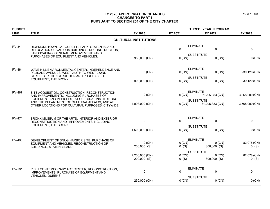| <b>BUDGET</b> |                                                                                                                                                                                                                                                     |                               | THREE YEAR PROGRAM |                                              |                        |
|---------------|-----------------------------------------------------------------------------------------------------------------------------------------------------------------------------------------------------------------------------------------------------|-------------------------------|--------------------|----------------------------------------------|------------------------|
| <b>LINE</b>   | <b>TITLE</b>                                                                                                                                                                                                                                        | FY 2020                       | FY 2021            | FY 2022                                      | FY 2023                |
|               |                                                                                                                                                                                                                                                     | <b>CULTURAL INSTITUTIONS</b>  |                    |                                              |                        |
| PV-341        | RICHMONDTOWN, LA TOURETTE PARK, STATEN ISLAND,<br>RELOCATION OF VARIOUS BUILDINGS, RECONSTRUCTION,                                                                                                                                                  | $\mathbf 0$                   | 0                  | <b>ELIMINATE</b><br>$\Omega$                 | 0                      |
|               | LANDSCAPING, GENERAL IMPROVEMENTS AND<br>PURCHASES OF EQUIPMENT AND VEHICLES.                                                                                                                                                                       | 988,000 (CN)                  | 0 (CN)             | <b>SUBSTITUTE</b><br>$0$ (CN)                | 0 (CN)                 |
| <b>PV-464</b> | WAVE HILL ENVIRONMENTAL CENTER, INDEPENDENCE AND<br>PALISADE AVENUES, WEST 248TH TO WEST 252ND<br>STREETS, RECONSTRUCTION AND PURCHASE OF                                                                                                           | $0$ (CN)                      | $0$ (CN)           | <b>ELIMINATE</b><br>$0$ (CN)                 | 239,120 (CN)           |
|               | <b>EQUIPMENT, THE BRONX</b>                                                                                                                                                                                                                         | 900,000 (CN)                  | 0 (CN)             | <b>SUBSTITUTE</b><br>$0$ (CN)                | 239,120 (CN)           |
| <b>PV-467</b> | SITE ACQUISITION, CONSTRUCTION, RECONSTRUCTION<br>AND IMPROVEMENTS, INCLUDING PURCHASES OF<br>EQUIPMENT AND VEHICLES, AT CULTURAL INSTITUTIONS<br>AND THE DEPARTMENT OF CULTURAL AFFAIRS, AND AT<br>OTHER LOCATIONS FOR CULTURAL PURPOSES, CITYWIDE | $0$ (CN)                      | 0 (CN)             | <b>ELIMINATE</b><br>31,295,883 (CN)          | 3,568,000 (CN)         |
|               |                                                                                                                                                                                                                                                     | 4,098,000 (CN)                | $0$ (CN)           | <b>SUBSTITUTE</b><br>31,295,883 (CN)         | 3,568,000 (CN)         |
| <b>PV-471</b> | BRONX MUSEUM OF THE ARTS, INTERIOR AND EXTERIOR<br>RECONSTRUCTION AND IMPROVEMENTS INCLUDING                                                                                                                                                        | $\mathbf 0$                   | 0                  | <b>ELIMINATE</b><br>$\mathbf 0$              | 0                      |
|               | <b>EQUIPMENT, THE BRONX</b>                                                                                                                                                                                                                         | 1,500,000 (CN)                | 0 (CN)             | <b>SUBSTITUTE</b><br>$0$ (CN)                | 0 (CN)                 |
| <b>PV-490</b> | DEVELOPMENT OF SNUG HARBOR SITE, PURCHASE OF<br>EQUIPMENT AND VEHICLES, RECONSTRUCTION OF<br><b>BUILDINGS, STATEN ISLAND.</b>                                                                                                                       | $0$ (CN)<br>200,000 (S)       | 0 (CN)<br>$0($ S)  | <b>ELIMINATE</b><br>$0$ (CN)<br>800,000 (S)  | 82,078 (CN)<br>$0($ S) |
|               |                                                                                                                                                                                                                                                     | 7,200,000 (CN)<br>200,000 (S) | 0 (CN)<br>$0($ S)  | <b>SUBSTITUTE</b><br>$0$ (CN)<br>800,000 (S) | 82,078 (CN)<br>$0($ S) |
| PV-501        | P.S. 1 CONTEMPORARY ART CENTER, RECONSTRUCTION,<br>IMPROVEMENTS, PURCHASE OF EQUIPMENT AND                                                                                                                                                          | $\mathbf 0$                   | 0                  | <b>ELIMINATE</b><br>0                        | 0                      |
|               | <b>VEHICLES, QUEENS</b>                                                                                                                                                                                                                             | 250,000 (CN)                  | 0 (CN)             | <b>SUBSTITUTE</b><br>$0$ (CN)                | 0 (CN)                 |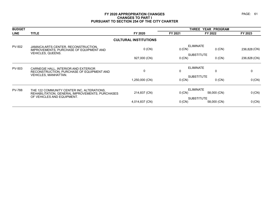| <b>BUDGET</b> |                                                                                               |                              | THREE YEAR PROGRAM         |                                  |              |
|---------------|-----------------------------------------------------------------------------------------------|------------------------------|----------------------------|----------------------------------|--------------|
| <b>LINE</b>   | <b>TITLE</b>                                                                                  | FY 2020                      | FY 2021                    | FY 2022                          | FY 2023      |
|               |                                                                                               | <b>CULTURAL INSTITUTIONS</b> |                            |                                  |              |
| <b>PV-502</b> | JAMAICA ARTS CENTER, RECONSTRUCTION,<br>IMPROVEMENTS, PURCHASE OF EQUIPMENT AND               | $0$ (CN)                     | <b>ELIMINATE</b><br>0 (CN) | $0$ (CN)                         | 236,828 (CN) |
|               | <b>VEHICLES, QUEENS.</b>                                                                      | 927,000 (CN)                 | 0 (CN)                     | <b>SUBSTITUTE</b><br>$0$ (CN)    | 236,828 (CN) |
| PV-503        | CARNEGIE HALL, INTERIOR AND EXTERIOR<br>RECONSTRUCTION, PURCHASE OF EQUIPMENT AND             | $\mathbf{0}$                 | <b>ELIMINATE</b><br>0      | 0                                | $\mathbf{0}$ |
|               | <b>VEHICLES, MANHATTAN.</b>                                                                   | 1,250,000 (CN)               | 0 (CN)                     | <b>SUBSTITUTE</b><br>$0$ (CN)    | 0 (CN)       |
| <b>PV-788</b> | THE 122 COMMUNITY CENTER INC, ALTERATIONS,<br>REHABILITATION, GENERAL IMPROVEMENTS, PURCHASES | 214,837 (CN)                 | 0 (CN)                     | ELIMINATE<br>58,000 (CN)         | $0$ (CN)     |
|               | OF VEHICLES AND EQUIPMENT.                                                                    | 4,014,837 (CN)               | $0$ (CN)                   | <b>SUBSTITUTE</b><br>58,000 (CN) | 0 (CN)       |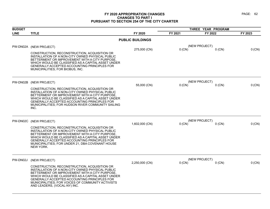| <b>BUDGET</b> |                                                                                                                                                                                                                                                                                                                                               |                         |          | THREE YEAR PROGRAM        |         |
|---------------|-----------------------------------------------------------------------------------------------------------------------------------------------------------------------------------------------------------------------------------------------------------------------------------------------------------------------------------------------|-------------------------|----------|---------------------------|---------|
| <b>LINE</b>   | <b>TITLE</b>                                                                                                                                                                                                                                                                                                                                  | FY 2020                 | FY 2021  | FY 2022                   | FY 2023 |
|               |                                                                                                                                                                                                                                                                                                                                               | <b>PUBLIC BUILDINGS</b> |          |                           |         |
|               | PW-DN02A (NEW PROJECT)                                                                                                                                                                                                                                                                                                                        | 275,000 (CN)            | $0$ (CN) | (NEW PROJECT)<br>$0$ (CN) | 0 (CN)  |
|               | CONSTRUCTION, RECONSTRUCTION, ACQUISITION OR<br>INSTALLATION OF A NON-CITY OWNED PHYSICAL PUBLIC<br>BETTERMENT OR IMPROVEMENT WITH A CITY PURPOSE,<br>WHICH WOULD BE CLASSIFIED AS A CAPITAL ASSET UNDER<br>GENERALLY ACCEPTED ACCOUNTING PRINCIPLES FOR<br>MUNICIPALITIES; FOR BIOBUS, INC.                                                  |                         |          |                           |         |
| PW-DN02B      | (NEW PROJECT)                                                                                                                                                                                                                                                                                                                                 | 55,000 (CN)             | $0$ (CN) | (NEW PROJECT)<br>$0$ (CN) | 0 (CN)  |
|               | CONSTRUCTION, RECONSTRUCTION, ACQUISITION OR<br>INSTALLATION OF A NON-CITY OWNED PHYSICAL PUBLIC<br>BETTERMENT OR IMPROVEMENT WITH A CITY PURPOSE.<br>WHICH WOULD BE CLASSIFIED AS A CAPITAL ASSET UNDER<br><b>GENERALLY ACCEPTED ACCOUNTING PRINCIPLES FOR</b><br>MUNICIPALITIES; FOR HUDSON RIVER COMMUNITY SAILING<br>INC.                 |                         |          |                           |         |
|               | PW-DN02C (NEW PROJECT)                                                                                                                                                                                                                                                                                                                        |                         |          | (NEW PROJECT)             |         |
|               | CONSTRUCTION, RECONSTRUCTION, ACQUISITION OR<br>INSTALLATION OF A NON-CITY OWNED PHYSICAL PUBLIC<br>BETTERMENT OR IMPROVEMENT WITH A CITY PURPOSE.<br>WHICH WOULD BE CLASSIFIED AS A CAPITAL ASSET UNDER<br>GENERALLY ACCEPTED ACCOUNTING PRINCIPLES FOR<br>MUNICIPALITIES; FOR UNDER 21, DBA COVENANT HOUSE<br>NEW YORK.                     | 1,602,000 (CN)          | $0$ (CN) | $0$ (CN)                  | 0 (CN)  |
| PW-DN02J      | (NEW PROJECT)                                                                                                                                                                                                                                                                                                                                 | 2,250,000 (CN)          | $0$ (CN) | (NEW PROJECT)<br>$0$ (CN) | 0 (CN)  |
|               | CONSTRUCTION, RECONSTRUCTION, ACQUISITION OR<br>INSTALLATION OF A NON-CITY OWNED PHYSICAL PUBLIC<br>BETTERMENT OR IMPROVEMENT WITH A CITY PURPOSE.<br>WHICH WOULD BE CLASSIFIED AS A CAPITAL ASSET UNDER<br>GENERALLY ACCEPTED ACCOUNTING PRINCIPLES FOR<br>MUNICIPALITIES; FOR VOICES OF COMMUNITY ACTIVISTS<br>AND LEADERS, (VOCAL-NY) INC. |                         |          |                           |         |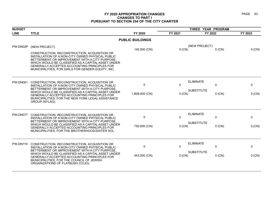| <b>BUDGET</b>   |                                                                                                                                                                                                                                                               |                         | THREE YEAR PROGRAM |                                 |          |  |
|-----------------|---------------------------------------------------------------------------------------------------------------------------------------------------------------------------------------------------------------------------------------------------------------|-------------------------|--------------------|---------------------------------|----------|--|
| <b>LINE</b>     | <b>TITLE</b>                                                                                                                                                                                                                                                  | FY 2020                 | FY 2021            | FY 2022                         | FY 2023  |  |
|                 |                                                                                                                                                                                                                                                               | <b>PUBLIC BUILDINGS</b> |                    |                                 |          |  |
| PW-DN02P        | (NEW PROJECT)<br>CONSTRUCTION, RECONSTRUCTION, ACQUISITION OR                                                                                                                                                                                                 | 140,000 (CN)            | $0$ (CN)           | (NEW PROJECT)<br>$0$ (CN)       | 0 (CN)   |  |
|                 | INSTALLATION OF A NON-CITY OWNED PHYSICAL PUBLIC<br>BETTERMENT OR IMPROVEMENT WITH A CITY PURPOSE,<br>WHICH WOULD BE CLASSIFIED AS A CAPITAL ASSET UNDER<br>GENERALLY ACCEPTED ACCOUNTING PRINCIPLES FOR<br>MUNICIPALITIES; FOR GIRLS FOR GENDER EQUITY, INC. |                         |                    |                                 |          |  |
| <b>PW-DN061</b> | CONSTRUCTION, RECONSTRUCTION, ACQUISITION OR<br>INSTALLATION OF A NON-CITY OWNED PHYSICAL PUBLIC                                                                                                                                                              | $\mathbf{0}$            | 0                  | <b>ELIMINATE</b><br>0           | 0        |  |
|                 | BETTERMENT OR IMPROVEMENT WITH A CITY PURPOSE,<br>WHICH WOULD BE CLASSIFIED AS A CAPITAL ASSET UNDER<br><b>GENERALLY ACCEPTED ACCOUNTING PRINCIPLES FOR</b><br>MUNICIPALITIES; FOR THE NEW YORK LEGAL ASSISTANCE<br>GROUP (NYLAG).                            | 1,809,000 (CN)          | $0$ (CN)           | <b>SUBSTITUTE</b><br>$0$ (CN)   | $0$ (CN) |  |
| PW-DN077        | CONSTRUCTION, RECONSTRUCTION, ACQUISITION OR<br>INSTALLATION OF A NON-CITY OWNED PHYSICAL PUBLIC<br>BETTERMENT OR IMPROVEMENT WITH A CITY PURPOSE,                                                                                                            | 0                       | 0                  | <b>ELIMINATE</b><br>$\mathbf 0$ | 0        |  |
|                 | WHICH WOULD BE CLASSIFIED AS A CAPITAL ASSET UNDER<br>GENERALLY ACCEPTED ACCOUNTING PRINCIPLES FOR<br>MUNICIPALITIES; FOR THE BROTHERHOOD/SISTER SOL.                                                                                                         | 750,000 (CN)            | 0 (CN)             | <b>SUBSTITUTE</b><br>$0$ (CN)   | $0$ (CN) |  |
| <b>PW-DN119</b> | CONSTRUCTION, RECONSTRUCTION, ACQUISITION OR<br>INSTALLATION OF A NON-CITY OWNED PHYSICAL PUBLIC                                                                                                                                                              | 0                       | 0                  | <b>ELIMINATE</b><br>0           | 0        |  |
|                 | BETTERMENT OR IMPROVEMENT WITH A CITY PURPOSE,<br>WHICH WOULD BE CLASSIFIED AS A CAPITAL ASSET UNDER<br>GENERALLY ACCEPTED ACCOUNTING PRINCIPLES FOR<br>MUNICIPALITIES: FOR THE COUNCIL OF JEWISH<br>ORGANIZATIONS OF FLATBUSH (COJO).                        | 443,000 (CN)            | $0$ (CN)           | <b>SUBSTITUTE</b><br>$0$ (CN)   | 0 (CN)   |  |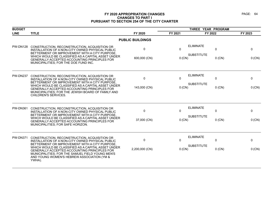| <b>BUDGET</b>   |                                                                                                                                                                                                                |                         | THREE YEAR PROGRAM |                                       |              |             |
|-----------------|----------------------------------------------------------------------------------------------------------------------------------------------------------------------------------------------------------------|-------------------------|--------------------|---------------------------------------|--------------|-------------|
| <b>LINE</b>     | <b>TITLE</b>                                                                                                                                                                                                   | FY 2020                 | FY 2021            | FY 2022                               |              | FY 2023     |
|                 |                                                                                                                                                                                                                | <b>PUBLIC BUILDINGS</b> |                    |                                       |              |             |
| <b>PW-DN128</b> | CONSTRUCTION, RECONSTRUCTION, ACQUISITION OR<br>INSTALLATION OF A NON-CITY OWNED PHYSICAL PUBLIC<br>BETTERMENT OR IMPROVEMENT WITH A CITY PURPOSE.<br>WHICH WOULD BE CLASSIFIED AS A CAPITAL ASSET UNDER       | 0                       | $\mathbf{0}$       | <b>ELIMINATE</b><br><b>SUBSTITUTE</b> | $\mathbf{0}$ | 0           |
|                 | GENERALLY ACCEPTED ACCOUNTING PRINCIPLES FOR<br>MUNICIPALITIES; FOR THE DOE FUND INC.                                                                                                                          | 600,000 (CN)            | $0$ (CN)           |                                       | $0$ (CN)     | 0 (CN)      |
| <b>PW-DN237</b> | CONSTRUCTION, RECONSTRUCTION, ACQUISITION OR<br>INSTALLATION OF A NON-CITY OWNED PHYSICAL PUBLIC<br>BETTERMENT OR IMPROVEMENT WITH A CITY PURPOSE,                                                             | $\Omega$                | $\mathbf{0}$       | <b>ELIMINATE</b>                      | $\mathbf 0$  | $\mathbf 0$ |
|                 | WHICH WOULD BE CLASSIFIED AS A CAPITAL ASSET UNDER<br>GENERALLY ACCEPTED ACCOUNTING PRINCIPLES FOR<br>MUNICIPALITIES; FOR THE JEWISH BOARD OF FAMILY AND<br>CHILDREN'S SERVICES.                               | 143,000 (CN)            | $0$ (CN)           | <b>SUBSTITUTE</b>                     | $0$ (CN)     | 0 (CN)      |
| <b>PW-DN361</b> | CONSTRUCTION, RECONSTRUCTION, ACQUISITION OR<br>INSTALLATION OF A NON-CITY OWNED PHYSICAL PUBLIC<br>BETTERMENT OR IMPROVEMENT WITH A CITY PURPOSE.                                                             | 0                       | $\mathbf{0}$       | <b>ELIMINATE</b>                      | $\mathbf 0$  | $\mathbf 0$ |
|                 | WHICH WOULD BE CLASSIFIED AS A CAPITAL ASSET UNDER<br><b>GENERALLY ACCEPTED ACCOUNTING PRINCIPLES FOR</b><br>MUNICIPALITIES; FOR SAFE HORIZON.                                                                 | 37,000 (CN)             | 0 (CN)             | <b>SUBSTITUTE</b>                     | $0$ (CN)     | 0 (CN)      |
| <b>PW-DN371</b> | CONSTRUCTION, RECONSTRUCTION, ACQUISITION OR<br>INSTALLATION OF A NON-CITY OWNED PHYSICAL PUBLIC<br>BETTERMENT OR IMPROVEMENT WITH A CITY PURPOSE.                                                             | 0                       | $\mathbf{0}$       | <b>ELIMINATE</b>                      | $\mathbf 0$  | $\mathbf 0$ |
|                 | WHICH WOULD BE CLASSIFIED AS A CAPITAL ASSET UNDER<br>GENERALLY ACCEPTED ACCOUNTING PRINCIPLES FOR<br>MUNICIPALITIES; FOR THE SAMUEL FIELD YOUNG MEN'S<br>AND YOUNG WOMEN'S HEBREW ASSOCIATION (YM &<br>YWHA). | 2,200,000 (CN)          | 0 (CN)             | <b>SUBSTITUTE</b>                     | $0$ (CN)     | 0 (CN)      |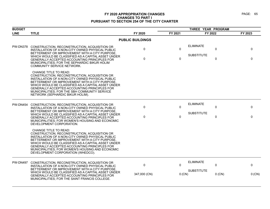| <b>BUDGET</b>   |                                                                                                                                                                                                                                                                                                                                                                                  |                         | THREE YEAR PROGRAM |                   |          |          |
|-----------------|----------------------------------------------------------------------------------------------------------------------------------------------------------------------------------------------------------------------------------------------------------------------------------------------------------------------------------------------------------------------------------|-------------------------|--------------------|-------------------|----------|----------|
| <b>LINE</b>     | <b>TITLE</b>                                                                                                                                                                                                                                                                                                                                                                     | FY 2020                 | FY 2021            | FY 2022           |          | FY 2023  |
|                 |                                                                                                                                                                                                                                                                                                                                                                                  | <b>PUBLIC BUILDINGS</b> |                    |                   |          |          |
| PW-DN378        | CONSTRUCTION, RECONSTRUCTION, ACQUISITION OR<br>INSTALLATION OF A NON-CITY OWNED PHYSICAL PUBLIC<br>BETTERMENT OR IMPROVEMENT WITH A CITY PURPOSE,                                                                                                                                                                                                                               | $\mathbf 0$             | $\Omega$           | <b>ELIMINATE</b>  | 0        | $\Omega$ |
|                 | WHICH WOULD BE CLASSIFIED AS A CAPITAL ASSET UNDER<br>GENERALLY ACCEPTED ACCOUNTING PRINCIPLES FOR<br>MUNICIPALITIES; FOR THE SEPHARDIC BIKUR HOLIM<br>COMMUNITY SERVICE NETWORK.                                                                                                                                                                                                | $\mathbf{0}$            | $\mathbf{0}$       | <b>SUBSTITUTE</b> | 0        | $\Omega$ |
|                 | <b>CHANGE TITLE TO READ:</b><br>CONSTRUCTION, RECONSTRUCTION, ACQUISITION OR<br>INSTALLATION OF A NON-CITY OWNED PHYSICAL PUBLIC<br>BETTERMENT OR IMPROVEMENT WITH A CITY PURPOSE<br>WHICH WOULD BE CLASSIFIED AS A CAPITAL ASSET UNDER<br>GENERALLY ACCEPTED ACCOUNTING PRINCIPLES FOR<br>MUNICIPALITIES; FOR THE SBH COMMUNITY SERVICE<br>NETWORK (SEPHARDIC BIKUR HOLIM).     |                         |                    |                   |          |          |
| PW-DN454        | CONSTRUCTION, RECONSTRUCTION, ACQUISITION OR<br>INSTALLATION OF A NON-CITY OWNED PHYSICAL PUBLIC                                                                                                                                                                                                                                                                                 | $\Omega$                | $\mathbf{0}$       | <b>ELIMINATE</b>  | 0        | 0        |
|                 | BETTERMENT OR IMPROVEMENT WITH A CITY PURPOSE,<br>WHICH WOULD BE CLASSIFIED AS A CAPITAL ASSET UNDER<br>GENERALLY ACCEPTED ACCOUNTING PRINCIPLES FOR<br>MUNICIPALITIES: FOR WOMEN'S HOUSING AND ECONOMIC<br>DEVELOPMENT CORPORATION.                                                                                                                                             | 0                       | $\mathbf 0$        | <b>SUBSTITUTE</b> | 0        | 0        |
|                 | <b>CHANGE TITLE TO READ:</b><br>CONSTRUCTION, RECONSTRUCTION, ACQUISITION OR<br>INSTALLATION OF A NON-CITY OWNED PHYSICAL PUBLIC<br>BETTERMENT OR IMPROVEMENT WITH A CITY PURPOSE<br>WHICH WOULD BE CLASSIFIED AS A CAPITAL ASSET UNDER<br>GENERALLY ACCEPTED ACCOUNTING PRINCIPLES FOR<br>MUNICIPALITIES; FOR WOMEN'S HOUSING AND ECONOMIC<br>DEVELOPMENT CORPORATION (WHEDCO). |                         |                    |                   |          |          |
| <b>PW-DN497</b> | CONSTRUCTION, RECONSTRUCTION, ACQUISITION OR<br>INSTALLATION OF A NON-CITY OWNED PHYSICAL PUBLIC<br>BETTERMENT OR IMPROVEMENT WITH A CITY PURPOSE                                                                                                                                                                                                                                | $\mathbf 0$             | $\Omega$           | <b>ELIMINATE</b>  | 0        | $\Omega$ |
|                 | WHICH WOULD BE CLASSIFIED AS A CAPITAL ASSET UNDER<br>GENERALLY ACCEPTED ACCOUNTING PRINCIPLES FOR<br>MUNICIPALITIES; FOR THE SAINT FRANCIS COLLEGE.                                                                                                                                                                                                                             | 347,000 (CN)            | 0 (CN)             | <b>SUBSTITUTE</b> | $0$ (CN) | 0 (CN)   |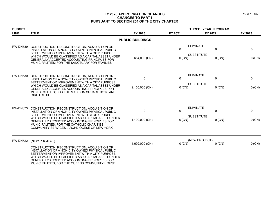| <b>BUDGET</b>   |                                                                                                                                                                                                                                                                                                                                                       |                         |                      | THREE YEAR PROGRAM                    |                         |             |
|-----------------|-------------------------------------------------------------------------------------------------------------------------------------------------------------------------------------------------------------------------------------------------------------------------------------------------------------------------------------------------------|-------------------------|----------------------|---------------------------------------|-------------------------|-------------|
| <b>LINE</b>     | <b>TITLE</b>                                                                                                                                                                                                                                                                                                                                          | FY 2020                 | FY 2021              | FY 2022                               |                         | FY 2023     |
|                 |                                                                                                                                                                                                                                                                                                                                                       | <b>PUBLIC BUILDINGS</b> |                      |                                       |                         |             |
| <b>PW-DN589</b> | CONSTRUCTION, RECONSTRUCTION, ACQUISITION OR<br>INSTALLATION OF A NON-CITY OWNED PHYSICAL PUBLIC<br>BETTERMENT OR IMPROVEMENT WITH A CITY PURPOSE,<br>WHICH WOULD BE CLASSIFIED AS A CAPITAL ASSET UNDER<br>GENERALLY ACCEPTED ACCOUNTING PRINCIPLES FOR<br>MUNICIPALITIES; FOR THE SANCTUARY FOR FAMILIES.                                           | 0<br>654,000 (CN)       | 0<br>$0$ (CN)        | <b>ELIMINATE</b><br><b>SUBSTITUTE</b> | $\mathbf 0$<br>$0$ (CN) | 0<br>0 (CN) |
| <b>PW-DN630</b> | CONSTRUCTION, RECONSTRUCTION, ACQUISITION OR<br>INSTALLATION OF A NON-CITY OWNED PHYSICAL PUBLIC<br>BETTERMENT OR IMPROVEMENT WITH A CITY PURPOSE<br>WHICH WOULD BE CLASSIFIED AS A CAPITAL ASSET UNDER<br><b>GENERALLY ACCEPTED ACCOUNTING PRINCIPLES FOR</b><br>MUNICIPALITIES; FOR THE MADISON SQUARE BOYS AND<br>GIRLS CLUB.                      | 0<br>2,155,000 (CN)     | 0<br>0 (CN)          | <b>ELIMINATE</b><br><b>SUBSTITUTE</b> | 0<br>$0$ (CN)           | 0<br>0 (CN) |
| PW-DN673        | CONSTRUCTION, RECONSTRUCTION, ACQUISITION OR<br>INSTALLATION OF A NON-CITY OWNED PHYSICAL PUBLIC<br>BETTERMENT OR IMPROVEMENT WITH A CITY PURPOSE,<br>WHICH WOULD BE CLASSIFIED AS A CAPITAL ASSET UNDER<br>GENERALLY ACCEPTED ACCOUNTING PRINCIPLES FOR<br>MUNICIPALITIES; FOR THE CATHOLIC CHARITIES<br>COMMUNITY SERVICES, ARCHDIOCESE OF NEW YORK | 0<br>1,192,000 (CN)     | $\Omega$<br>$0$ (CN) | <b>ELIMINATE</b><br><b>SUBSTITUTE</b> | $\mathbf 0$<br>$0$ (CN) | 0<br>0 (CN) |
| PW-DN722        | (NEW PROJECT)<br>CONSTRUCTION, RECONSTRUCTION, ACQUISITION OR<br>INSTALLATION OF A NON-CITY OWNED PHYSICAL PUBLIC<br>BETTERMENT OR IMPROVEMENT WITH A CITY PURPOSE,<br>WHICH WOULD BE CLASSIFIED AS A CAPITAL ASSET UNDER<br>GENERALLY ACCEPTED ACCOUNTING PRINCIPLES FOR<br>MUNICIPALITIES; FOR THE QUEENS COMMUNITY HOUSE.                          | 1,692,000 (CN)          | 0 (CN)               | (NEW PROJECT)                         | $0$ (CN)                | 0 (CN)      |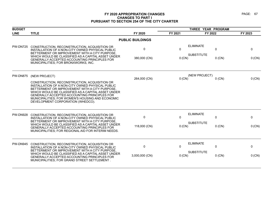| <b>BUDGET</b>   |                                                                                                                                                                                                                                                                                                                                                                           |                         | THREE YEAR PROGRAM |                                                                |                       |  |
|-----------------|---------------------------------------------------------------------------------------------------------------------------------------------------------------------------------------------------------------------------------------------------------------------------------------------------------------------------------------------------------------------------|-------------------------|--------------------|----------------------------------------------------------------|-----------------------|--|
| <b>LINE</b>     | <b>TITLE</b>                                                                                                                                                                                                                                                                                                                                                              | FY 2020                 | FY 2021            | FY 2022                                                        | FY 2023               |  |
|                 |                                                                                                                                                                                                                                                                                                                                                                           | <b>PUBLIC BUILDINGS</b> |                    |                                                                |                       |  |
| <b>PW-DN725</b> | CONSTRUCTION, RECONSTRUCTION, ACQUISITION OR<br>INSTALLATION OF A NON-CITY OWNED PHYSICAL PUBLIC<br>BETTERMENT OR IMPROVEMENT WITH A CITY PURPOSE,<br>WHICH WOULD BE CLASSIFIED AS A CAPITAL ASSET UNDER<br>GENERALLY ACCEPTED ACCOUNTING PRINCIPLES FOR<br>MUNICIPALITIES; FOR BRONXWORKS, INC.                                                                          | 0<br>380,000 (CN)       | 0<br>0 (CN)        | <b>ELIMINATE</b><br>$\pmb{0}$<br><b>SUBSTITUTE</b><br>$0$ (CN) | $\mathbf 0$<br>0 (CN) |  |
| <b>PW-DN875</b> | (NEW PROJECT)<br>CONSTRUCTION, RECONSTRUCTION, ACQUISITION OR<br>INSTALLATION OF A NON-CITY OWNED PHYSICAL PUBLIC<br>BETTERMENT OR IMPROVEMENT WITH A CITY PURPOSE,<br>WHICH WOULD BE CLASSIFIED AS A CAPITAL ASSET UNDER<br><b>GENERALLY ACCEPTED ACCOUNTING PRINCIPLES FOR</b><br>MUNICIPALITIES; FOR WOMEN'S HOUSING AND ECONOMIC<br>DEVELOPMENT CORPORATION (WHEDCO). | 264,000 (CN)            | $0$ (CN)           | (NEW PROJECT)<br>$0$ (CN)                                      | 0 (CN)                |  |
| <b>PW-DN928</b> | CONSTRUCTION, RECONSTRUCTION, ACQUISITION OR<br>INSTALLATION OF A NON-CITY OWNED PHYSICAL PUBLIC<br>BETTERMENT OR IMPROVEMENT WITH A CITY PURPOSE<br>WHICH WOULD BE CLASSIFIED AS A CAPITAL ASSET UNDER<br><b>GENERALLY ACCEPTED ACCOUNTING PRINCIPLES FOR</b><br>MUNICIPALITIES; FOR REGIONAL AID FOR INTERIM NEEDS.                                                     | 0<br>118,000 (CN)       | $\Omega$<br>0 (CN) | <b>ELIMINATE</b><br>0<br><b>SUBSTITUTE</b><br>$0$ (CN)         | 0<br>$0$ (CN)         |  |
| <b>PW-DN945</b> | CONSTRUCTION, RECONSTRUCTION, ACQUISITION OR<br>INSTALLATION OF A NON-CITY OWNED PHYSICAL PUBLIC<br>BETTERMENT OR IMPROVEMENT WITH A CITY PURPOSE.<br>WHICH WOULD BE CLASSIFIED AS A CAPITAL ASSET UNDER<br><b>GENERALLY ACCEPTED ACCOUNTING PRINCIPLES FOR</b><br>MUNICIPALITIES; FOR GRAND STREET SETTLEMENT.                                                           | 0<br>3,000,000 (CN)     | $\Omega$<br>0 (CN) | <b>ELIMINATE</b><br>0<br><b>SUBSTITUTE</b><br>$0$ (CN)         | 0<br>$0$ (CN)         |  |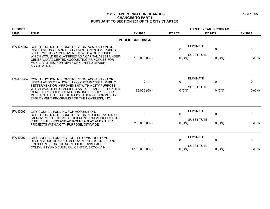| <b>BUDGET</b>   |                                                                                                                                                                                                                                                                                                                                                                  |                                | THREE YEAR PROGRAM       |                                                                   |                        |  |
|-----------------|------------------------------------------------------------------------------------------------------------------------------------------------------------------------------------------------------------------------------------------------------------------------------------------------------------------------------------------------------------------|--------------------------------|--------------------------|-------------------------------------------------------------------|------------------------|--|
| <b>LINE</b>     | <b>TITLE</b>                                                                                                                                                                                                                                                                                                                                                     | FY 2020                        | FY 2021                  | FY 2022                                                           | FY 2023                |  |
|                 |                                                                                                                                                                                                                                                                                                                                                                  | <b>PUBLIC BUILDINGS</b>        |                          |                                                                   |                        |  |
| PW-DN953        | CONSTRUCTION, RECONSTRUCTION, ACQUISITION OR<br>INSTALLATION OF A NON-CITY OWNED PHYSICAL PUBLIC<br>BETTERMENT OR IMPROVEMENT WITH A CITY PURPOSE,<br>WHICH WOULD BE CLASSIFIED AS A CAPITAL ASSET UNDER<br>GENERALLY ACCEPTED ACCOUNTING PRINCIPLES FOR<br>MUNICIPALITIES; FOR NEW YORK UNITED JEWISH<br>ASSOCIATION.                                           | $\Omega$<br>199,000 (CN)       | $\mathbf{0}$<br>$0$ (CN) | <b>ELIMINATE</b><br>$\mathbf{0}$<br><b>SUBSTITUTE</b><br>$0$ (CN) | $\Omega$<br>0 (CN)     |  |
| <b>PW-DN984</b> | CONSTRUCTION, RECONSTRUCTION, ACQUISITION OR<br>INSTALLATION OF A NON-CITY OWNED PHYSICAL PUBLIC<br>BETTERMENT OR IMPROVEMENT WITH A CITY PURPOSE<br>WHICH WOULD BE CLASSIFIED AS A CAPITAL ASSET UNDER<br><b>GENERALLY ACCEPTED ACCOUNTING PRINCIPLES FOR</b><br>MUNICIPALITIES; FOR THE ASSOCIATION OF COMMUNITY<br>EMPLOYMENT PROGRAMS FOR THE HOMELESS, INC. | $\Omega$<br>88,000 (CN)        | 0<br>0(CN)               | <b>ELIMINATE</b><br>$\mathbf 0$<br><b>SUBSTITUTE</b><br>$0$ (CN)  | 0<br>0 (CN)            |  |
| <b>PW-D005</b>  | CITY COUNCIL FUNDING FOR ACQUISITION,<br>CONSTRUCTION, RECONSTRUCTION, MODERNIZATION OF,<br>IMPROVEMENTS TO, AND EQUIPMENT AND VEHICLES FOR,<br>PUBLIC BUILDINGS AND ADJACENT AREAS AND OTHER<br>PROJECTS WITH A CITY PURPOSE, CITYWIDE.                                                                                                                         | $\mathbf{0}$<br>200,000 (CN)   | $\mathbf{0}$<br>0(CN)    | <b>ELIMINATE</b><br>$\mathbf{0}$<br><b>SUBSTITUTE</b><br>$0$ (CN) | $\mathbf{0}$<br>0 (CN) |  |
| <b>PW-D007</b>  | CITY COUNCIL FUNDING FOR THE CONSTRUCTION,<br>RECONSTRUCTION AND IMPROVEMENTS TO, INCLUDING<br>EQUIPMENT, FOR THE NORTHSIDE TOWN HALL<br>COMMUNITY AND CULTURAL CENTER, BROOKLYN.                                                                                                                                                                                | $\mathbf{0}$<br>1,100,000 (CN) | $\mathbf{0}$<br>$0$ (CN) | <b>ELIMINATE</b><br>$\Omega$<br><b>SUBSTITUTE</b><br>$0$ (CN)     | 0<br>0 (CN)            |  |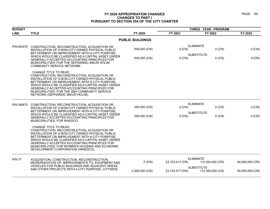| <b>BUDGET</b>   |                                                                                                                                                                                                                                                                                                                                                                                   |                              |                    |                                                               | THREE YEAR PROGRAM |  |  |
|-----------------|-----------------------------------------------------------------------------------------------------------------------------------------------------------------------------------------------------------------------------------------------------------------------------------------------------------------------------------------------------------------------------------|------------------------------|--------------------|---------------------------------------------------------------|--------------------|--|--|
| <b>LINE</b>     | <b>TITLE</b>                                                                                                                                                                                                                                                                                                                                                                      | FY 2020                      | FY 2021            | FY 2022                                                       | FY 2023            |  |  |
|                 |                                                                                                                                                                                                                                                                                                                                                                                   | <b>PUBLIC BUILDINGS</b>      |                    |                                                               |                    |  |  |
| <b>PW-KN378</b> | CONSTRUCTION, RECONSTRUCTION, ACQUISITION OR<br>INSTALLATION OF A NON-CITY OWNED PHYSICAL PUBLIC<br>BETTERMENT OR IMPROVEMENT WITH A CITY PURPOSE.<br>WHICH WOULD BE CLASSIFIED AS A CAPITAL ASSET UNDER<br>GENERALLY ACCEPTED ACCOUNTING PRINCIPLES FOR                                                                                                                          | 500,000 (CN)<br>500,000 (CN) | 0 (CN)<br>$0$ (CN) | <b>ELIMINATE</b><br>$0$ (CN)<br><b>SUBSTITUTE</b><br>$0$ (CN) | 0 (CN)<br>0 (CN)   |  |  |
|                 | MUNICIPALITIES; FOR THE SEPHARDIC BIKUR HOLIM<br><b>COMMUNITY SERVICE NETWORK.</b>                                                                                                                                                                                                                                                                                                |                              |                    |                                                               |                    |  |  |
|                 | <b>CHANGE TITLE TO READ:</b><br>CONSTRUCTION, RECONSTRUCTION, ACQUISITION OR<br>INSTALLATION OF A NON-CITY OWNED PHYSICAL PUBLIC<br>BETTERMENT OR IMPROVEMENT WITH A CITY PURPOSE.<br>WHICH WOULD BE CLASSIFIED AS A CAPITAL ASSET UNDER<br>GENERALLY ACCEPTED ACCOUNTING PRINCIPLES FOR<br>MUNICIPALITIES; FOR THE SBH COMMUNITY SERVICE<br>NETWORK (SEPHARDIC BIKUR HOLIM).     |                              |                    |                                                               |                    |  |  |
| <b>PW-XN875</b> | CONSTRUCTION, RECONSTRUCTION, ACQUISITION OR<br>INSTALLATION OF A NON-CITY OWNED PHYSICAL PUBLIC<br>BETTERMENT OR IMPROVEMENT WITH A CITY PURPOSE,<br>WHICH WOULD BE CLASSIFIED AS A CAPITAL ASSET UNDER<br>GENERALLY ACCEPTED ACCOUNTING PRINCIPLES FOR<br>MUNICIPALITIES; FOR WHEDCO.                                                                                           | 350,000 (CN)                 | $0$ (CN)           | <b>ELIMINATE</b><br>$0$ (CN)                                  | 0 (CN)             |  |  |
|                 |                                                                                                                                                                                                                                                                                                                                                                                   | 350,000 (CN)                 | $0$ (CN)           | <b>SUBSTITUTE</b><br>$0$ (CN)                                 | 0 (CN)             |  |  |
|                 | <b>CHANGE TITLE TO READ:</b><br>CONSTRUCTION, RECONSTRUCTION, ACQUISITION OR<br>INSTALLATION OF A NON-CITY OWNED PHYSICAL PUBLIC<br>BETTERMENT OR IMPROVEMENT WITH A CITY PURPOSE.<br>WHICH WOULD BE CLASSIFIED AS A CAPITAL ASSET UNDER<br>GENERALLY ACCEPTED ACCOUNTING PRINCIPLES FOR<br>MUNICIPALITIES: FOR WOMEN'S HOUSING AND ECONOMIC<br>DEVELOPMENT CORPORATION (WHEDCO). |                              |                    |                                                               |                    |  |  |
| <b>PW-77</b>    | ACQUISITION, CONSTRUCTION, RECONSTRUCTION,<br>MODERNIZATION OF, IMPROVEMENTS TO, EQUIPMENT AND                                                                                                                                                                                                                                                                                    | $0$ (CN)                     | 23,153,417 (CN)    | <b>ELIMINATE</b><br>112,393,000 (CN)                          | 94,509,000 (CN)    |  |  |
|                 | VEHICLES FOR PUBLIC BUILDINGS AND ADJACENT AREAS<br>AND OTHER PROJECTS WITH A CITY PURPOSE, CITYWIDE.                                                                                                                                                                                                                                                                             | 2,500,000 (CN)               | 23,153,417 (CN)    | <b>SUBSTITUTE</b><br>112,393,000 (CN)                         | 94,509,000 (CN)    |  |  |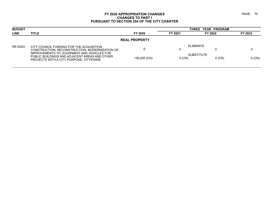| <b>BUDGET</b>        |                                                                                                                                         |              |          | THREE YEAR PROGRAM            |         |  |  |  |
|----------------------|-----------------------------------------------------------------------------------------------------------------------------------------|--------------|----------|-------------------------------|---------|--|--|--|
| <b>LINE</b>          | <b>TITLE</b>                                                                                                                            | FY 2020      | FY 2021  | FY 2022                       | FY 2023 |  |  |  |
| <b>REAL PROPERTY</b> |                                                                                                                                         |              |          |                               |         |  |  |  |
| <b>RE-D024</b>       | CITY COUNCIL FUNDING FOR THE ACQUISITION.<br>CONSTRUCTION, RECONSTRUCTION, MODERNIZATION OF,                                            |              |          | <b>ELIMINATE</b>              |         |  |  |  |
|                      | IMPROVEMENTS TO, EQUIPMENT AND VEHICLES FOR<br>PUBLIC BUILDINGS AND ADJACENT AREAS AND OTHER<br>PROJECTS WITH A CITY PURPOSE, CITYEWIDE | 136,000 (CN) | $0$ (CN) | <b>SUBSTITUTE</b><br>$0$ (CN) | 0 (CN)  |  |  |  |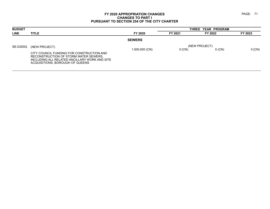| <b>BUDGET</b> |                                                                                                                                                                                         |                | THREE YEAR PROGRAM |                           |          |  |
|---------------|-----------------------------------------------------------------------------------------------------------------------------------------------------------------------------------------|----------------|--------------------|---------------------------|----------|--|
| <b>LINE</b>   | <b>TITLE</b>                                                                                                                                                                            | FY 2020        | FY 2021            | FY 2022                   | FY 2023  |  |
|               |                                                                                                                                                                                         | <b>SEWERS</b>  |                    |                           |          |  |
| SE-D200Q      | (NEW PROJECT)<br>CITY COUNCIL FUNDING FOR CONSTRUCTION AND<br>RECONSTRUCTION OF STORM WATER SEWERS.<br>INCLUDING ALL RELATED ANCILLARY WORK AND SITE<br>ACQUISITIONS, BOROUGH OF QUEENS | 1,500,000 (CN) | 0(CN)              | (NEW PROJECT)<br>$0$ (CN) | $0$ (CN) |  |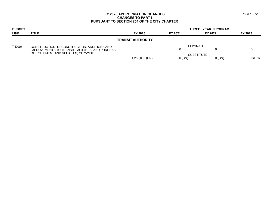| <b>BUDGET</b>            |                                                                                                                                        |                |         | THREE YEAR PROGRAM            |          |         |  |  |  |
|--------------------------|----------------------------------------------------------------------------------------------------------------------------------------|----------------|---------|-------------------------------|----------|---------|--|--|--|
| <b>LINE</b>              | <b>TITLE</b>                                                                                                                           | FY 2020        | FY 2021 | FY 2022                       |          | FY 2023 |  |  |  |
| <b>TRANSIT AUTHORITY</b> |                                                                                                                                        |                |         |                               |          |         |  |  |  |
| T-D005                   | CONSTRUCTION, RECONSTRUCTION, ADDITIONS AND<br>IMPROVEMENTS TO TRANSIT FACILITIES, AND PURCHASE<br>OF EQUIPMENT AND VEHICLES, CITYWIDE |                | υ       | ELIMINATE                     |          |         |  |  |  |
|                          |                                                                                                                                        | 1,250,000 (CN) |         | <b>SUBSTITUTE</b><br>$0$ (CN) | $0$ (CN) | 0(CN)   |  |  |  |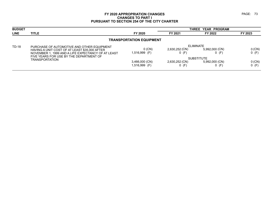| <b>BUDGET</b> |                                                                                                     |                                 |                           | THREE YEAR PROGRAM        |                     |
|---------------|-----------------------------------------------------------------------------------------------------|---------------------------------|---------------------------|---------------------------|---------------------|
| <b>LINE</b>   | <b>TITLE</b>                                                                                        | FY 2020                         | FY 2021                   | FY 2022                   | FY 2023             |
|               |                                                                                                     | <b>TRANSPORTATION EQUIPMENT</b> |                           |                           |                     |
| <b>TD-18</b>  | PURCHASE OF AUTOMOTIVE AND OTHER EQUIPMENT                                                          |                                 |                           | ELIMINATE                 |                     |
|               | HAVING A UNIT COST OF AT LEAST \$35,000 AFTER<br>NOVEMBER 1, 1999 AND A LIFE EXPECTANCY OF AT LEAST | $0$ (CN)<br>1,516,999 (F)       | 2,630,252 (CN)<br>$0$ (F) | 5,992,000 (CN)<br>$0$ (F) | $0$ (CN)<br>$0$ (F) |
|               | FIVE YEARS FOR USE BY THE DEPARTMENT OF                                                             |                                 |                           | <b>SUBSTITUTE</b>         |                     |
|               | <b>TRANSPORTATION</b>                                                                               | 3,466,000 (CN)                  | 2,630,252 (CN)            | 5,992,000 (CN)            | $0$ (CN)            |
|               |                                                                                                     | 1,516,999 (F)                   | $0$ (F)                   | $0$ (F)                   | $0$ (F)             |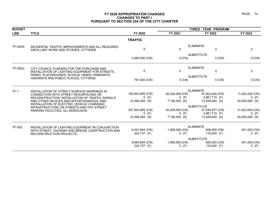| <b>BUDGET</b>  |                                                                                              |                               |                                                                                 | THREE YEAR PROGRAM               |                            |  |
|----------------|----------------------------------------------------------------------------------------------|-------------------------------|---------------------------------------------------------------------------------|----------------------------------|----------------------------|--|
| <b>LINE</b>    | <b>TITLE</b>                                                                                 | FY 2020                       | FY 2021                                                                         | FY 2022                          | FY 2023                    |  |
|                |                                                                                              | <b>TRAFFIC</b>                |                                                                                 |                                  |                            |  |
| <b>TF-D005</b> | INCIDENTAL TRAFFIC IMPROVEMENTS AND ALL REQUIRED<br>ANCILLARY WORK AND STUDIES, CITYWIDE     | $\Omega$                      | $\mathbf{0}$                                                                    | <b>ELIMINATE</b><br>$\mathbf 0$  | $\mathbf 0$                |  |
|                |                                                                                              | 2,560,000 (CN)                | $0$ (CN)                                                                        | <b>SUBSTITUTE</b><br>$0$ (CN)    | $0$ (CN)                   |  |
| <b>TF-D503</b> | CITY COUNCIL FUNDING FOR THE PURCHASE AND<br>INSTALLATION OF LIGHTING EQUIPMENT FOR STREETS, | $\mathbf{0}$                  | $\mathbf{0}$                                                                    | <b>ELIMINATE</b><br>$\mathbf 0$  | $\mathbf 0$                |  |
|                | PARKS, PLAYGROUNDS, SCHOOL YARDS, PARKWAYS,<br>HIGHWAYS AND PUBLIC PLACES, CITYWIDE          | 791,000 (CN)                  | $0$ (CN)                                                                        | <b>SUBSTITUTE</b><br>$0$ (CN)    | $0$ (CN)                   |  |
| $TF-1$         | INSTALLATION OF STREET-SURFACE MARKINGS IN                                                   |                               |                                                                                 | <b>ELIMINATE</b>                 |                            |  |
|                | CONNECTION WITH STREET RESURFACING OR                                                        | 160,943,895 (CN)<br>$0$ (F)   | 26,226,000 (CN)<br>$0$ (F)                                                      | 47,603,000 (CN)<br>3,961,710 (F) | 11,502,000 (CN)<br>$0$ (F) |  |
|                | RECONSTRUCTION, INSTALLATION OF TRAFFIC SIGNALS<br>AND OTHER DEVICES AND APPURTENANCES, AND  | 15,369,284 (S)                | 7,150,000 (S)                                                                   | 12,529,000 (S)                   | 20,500,000 (S)             |  |
|                | INSTALLATION OF ELECTRIC VEHICLE CHARGING<br>INFRASTRUCTURE ON STREETS AND OFF-STREET        |                               |                                                                                 | <b>SUBSTITUTE</b>                |                            |  |
|                | PARKING FACILITIES, ALL BOROUGHS.                                                            | 327,843,895 (CN)              | 45,209,593 (CN)                                                                 | 57,045,977 (CN)                  | 31,622,654 (CN)            |  |
|                |                                                                                              | $0$ (F)<br>15,369,284 (S)     | $0$ (F)<br>$7,150,000$ (S)                                                      | 3,961,710 (F)<br>12,529,000 (S)  | $0$ (F)<br>20,500,000 (S)  |  |
| TF-502         | INSTALLATION OF LIGHTING EQUIPMENT IN CONJUNCTION                                            |                               |                                                                                 | <b>ELIMINATE</b>                 |                            |  |
|                | WITH STREET, HIGHWAY AND BRIDGE CONSTRUCTION AND<br>RECONSTRUCTION PROJECTS                  | 8,447,664 (CN)<br>224,737 (F) | 1,608,000 (CN)<br>$0$ (F)                                                       | 606,000 (CN)<br>116,000 $(F)$    | 401,000 (CN)<br>$0$ (F)    |  |
|                |                                                                                              | 8,683,664 (CN)<br>224,737 (F) | <b>SUBSTITUTE</b><br>1,608,000 (CN)<br>606,000 (CN)<br>$0$ (F)<br>116,000 $(F)$ |                                  | 401,000 (CN)<br>$0$ (F)    |  |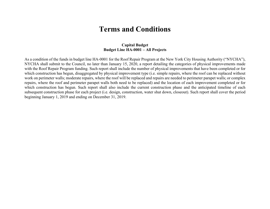# **Terms and Conditions**

### **Capital Budget Budget Line HA-0001 – All Projects**

As a condition of the funds in budget line HA-0001 for the Roof Repair Program at the New York City Housing Authority ("NYCHA"), NYCHA shall submit to the Council, no later than January 15, 2020, a report detailing the categories of physical improvements made with the Roof Repair Program funding. Such report shall include the number of physical improvements that have been completed or for which construction has begun, disaggregated by physical improvement type (i.e. simple repairs, where the roof can be replaced without work on perimeter walls; moderate repairs, where the roof will be replaced and repairs are needed to perimeter parapet walls; or complex repairs, where the roof and perimeter parapet walls both need to be replaced) and the location of each improvement completed or for which construction has begun. Such report shall also include the current construction phase and the anticipated timeline of each subsequent construction phase for each project (i.e. design, construction, water shut down, closeout). Such report shall cover the period beginning January 1, 2019 and ending on December 31, 2019.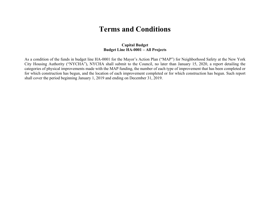# **Terms and Conditions**

### **Capital Budget Budget Line HA-0001 – All Projects**

As a condition of the funds in budget line HA-0001 for the Mayor's Action Plan ("MAP") for Neighborhood Safety at the New York City Housing Authority ("NYCHA"), NYCHA shall submit to the Council, no later than January 15, 2020, a report detailing the categories of physical improvements made with the MAP funding, the number of each type of improvement that has been completed or for which construction has begun, and the location of each improvement completed or for which construction has begun. Such report shall cover the period beginning January 1, 2019 and ending on December 31, 2019.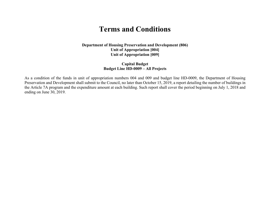# **Terms and Conditions**

**Department of Housing Preservation and Development (806) Unit of Appropriation [004] Unit of Appropriation [009]** 

### **Capital Budget Budget Line HD-0009 – All Projects**

As a condition of the funds in unit of appropriation numbers 004 and 009 and budget line HD-0009, the Department of Housing Preservation and Development shall submit to the Council, no later than October 15, 2019, a report detailing the number of buildings in the Article 7A program and the expenditure amount at each building. Such report shall cover the period beginning on July 1, 2018 and ending on June 30, 2019.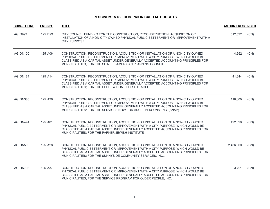| <b>BUDGET LINE</b> | <b>FMS NO.</b> | <b>AMOUNT RESCINDED</b>                                                                                                                                                                                                                                                                                                    |           |      |
|--------------------|----------------|----------------------------------------------------------------------------------------------------------------------------------------------------------------------------------------------------------------------------------------------------------------------------------------------------------------------------|-----------|------|
| <b>AG D999</b>     | 125 D99        | CITY COUNCIL FUNDING FOR THE CONSTRUCTION, RECONSTRUCTION, ACQUISITION OR<br>INSTALLATION OF A NON-CITY OWNED PHYSICAL PUBLIC BETTERMENT OR IMPROVEMENT WITH A<br>CITY PURPOSE.                                                                                                                                            | 512,592   | (CN) |
| <b>AG DN100</b>    | 125 A06        | CONSTRUCTION, RECONSTRUCTION, ACQUISITION OR INSTALLATION OF A NON-CITY OWNED<br>PHYSICAL PUBLIC BETTERMENT OR IMPROVEMENT WITH A CITY PURPOSE, WHICH WOULD BE<br>CLASSIFIED AS A CAPITAL ASSET UNDER GENERALLY ACCEPTED ACCOUNTING PRINCIPLES FOR<br>MUNICIPALITIES; FOR THE CHINESE-AMERICAN PLANNING COUNCIL.           | 4,662     | (CN) |
| <b>AG DN184</b>    | 125 A14        | CONSTRUCTION, RECONSTRUCTION, ACQUISITION OR INSTALLATION OF A NON-CITY OWNED<br>PHYSICAL PUBLIC BETTERMENT OR IMPROVEMENT WITH A CITY PURPOSE, WHICH WOULD BE<br>CLASSIFIED AS A CAPITAL ASSET UNDER GENERALLY ACCEPTED ACCOUNTING PRINCIPLES FOR<br>MUNICIPALITIES; FOR THE HEBREW HOME FOR THE AGED.                    | 41,344    | (CN) |
| <b>AG DN380</b>    | 125 A26        | CONSTRUCTION, RECONSTRUCTION, ACQUISITION OR INSTALLATION OF A NON-CITY OWNED<br>PHYSICAL PUBLIC BETTERMENT OR IMPROVEMENT WITH A CITY PURPOSE, WHICH WOULD BE<br>CLASSIFIED AS A CAPITAL ASSET UNDER GENERALLY ACCEPTED ACCOUNTING PRINCIPLES FOR<br>MUNICIPALITIES; FOR THE SERVICES NOW FOR ADULT PERSONS, INC. (SNAP). | 118,000   | (CN) |
| AG DN494           | 125 A01        | CONSTRUCTION, RECONSTRUCTION, ACQUISITION OR INSTALLATION OF A NON-CITY OWNED<br>PHYSICAL PUBLIC BETTERMENT OR IMPROVEMENT WITH A CITY PURPOSE, WHICH WOULD BE<br>CLASSIFIED AS A CAPITAL ASSET UNDER GENERALLY ACCEPTED ACCOUNTING PRINCIPLES FOR<br>MUNICIPALITIES; FOR THE PARKER JEWISH INSTITUTE.                     | 492,090   | (CN) |
| <b>AG DN593</b>    | 125 A28        | CONSTRUCTION, RECONSTRUCTION, ACQUISITION OR INSTALLATION OF A NON-CITY OWNED<br>PHYSICAL PUBLIC BETTERMENT OR IMPROVEMENT WITH A CITY PURPOSE, WHICH WOULD BE<br>CLASSIFIED AS A CAPITAL ASSET UNDER GENERALLY ACCEPTED ACCOUNTING PRINCIPLES FOR<br>MUNICIPALITIES; FOR THE SUNNYSIDE COMMUNITY SERVICES, INC            | 2,486,000 | (CN) |
| AG DN798           | 125 A37        | CONSTRUCTION, RECONSTRUCTION, ACQUISITION OR INSTALLATION OF A NON-CITY OWNED<br>PHYSICAL PUBLIC BETTERMENT OR IMPROVEMENT WITH A CITY PURPOSE, WHICH WOULD BE<br>CLASSIFIED AS A CAPITAL ASSET UNDER GENERALLY ACCEPTED ACCOUNTING PRINCIPLES FOR<br>MUNICIPALITIES; FOR THE SERVICE PROGRAM FOR OLDER PEOPLE, INC.       | 3,791     | (CN) |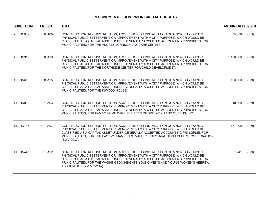| <b>BUDGET LINE</b> | <b>FMS NO.</b> | <b>TITLE</b>                                                                                                                                                                                                                                                                                                                                                      | <b>AMOUNT RESCINDED</b> |      |
|--------------------|----------------|-------------------------------------------------------------------------------------------------------------------------------------------------------------------------------------------------------------------------------------------------------------------------------------------------------------------------------------------------------------------|-------------------------|------|
| CS DN039           | 068 A00        | CONSTRUCTION, RECONSTRUCTION, ACQUISITION OR INSTALLATION OF A NON-CITY OWNED<br>PHYSICAL PUBLIC BETTERMENT OR IMPROVEMENT WITH A CITY PURPOSE, WHICH WOULD BE<br>CLASSIFIED AS A CAPITAL ASSET UNDER GENERALLY ACCEPTED ACCOUNTING PRINCIPLES FOR<br>MUNICIPALITIES; FOR THE AUDREY JOHNSON DAY CARE CENTER.                                                     | 75,000                  | (CN) |
| <b>CS DN312</b>    | 068 A19        | CONSTRUCTION, RECONSTRUCTION, ACQUISITION OR INSTALLATION OF A NON-CITY OWNED<br>PHYSICAL PUBLIC BETTERMENT OR IMPROVEMENT WITH A CITY PURPOSE, WHICH WOULD BE<br>CLASSIFIED AS A CAPITAL ASSET UNDER GENERALLY ACCEPTED ACCOUNTING PRINCIPLES FOR<br>MUNICIPALITIES; FOR THE NORTHSIDE CENTER FOR CHILD DEVELOPMENT.                                             | 1,196,000               | (CN) |
| <b>CS DN615</b>    | 068 A25        | CONSTRUCTION, RECONSTRUCTION, ACQUISITION OR INSTALLATION OF A NON-CITY OWNED<br>PHYSICAL PUBLIC BETTERMENT OR IMPROVEMENT WITH A CITY PURPOSE, WHICH WOULD BE<br>CLASSIFIED AS A CAPITAL ASSET UNDER GENERALLY ACCEPTED ACCOUNTING PRINCIPLES FOR<br>MUNICIPALITIES; FOR THE INWOOD HOUSE.                                                                       | 103,000                 | (CN) |
| ED DN069           | 801 A03        | CONSTRUCTION, RECONSTRUCTION, ACQUISITION OR INSTALLATION OF A NON-CITY OWNED<br>PHYSICAL PUBLIC BETTERMENT OR IMPROVEMENT WITH A CITY PURPOSE, WHICH WOULD BE<br>CLASSIFIED AS A CAPITAL ASSET UNDER GENERALLY ACCEPTED ACCOUNTING PRINCIPLES FOR<br>MUNICIPALITIES; FOR FAMILY HOME CARE SERVICES OF BROOKLYN AND QUEENS, INC.                                  | 340,000                 | (CN) |
| ED DN137           | 801 A07        | CONSTRUCTION, RECONSTRUCTION, ACQUISITION OR INSTALLATION OF A NON-CITY OWNED<br>PHYSICAL PUBLIC BETTERMENT OR IMPROVEMENT WITH A CITY PURPOSE, WHICH WOULD BE<br>CLASSIFIED AS A CAPITAL ASSET UNDER GENERALLY ACCEPTED ACCOUNTING PRINCIPLES FOR<br>MUNICIPALITIES; FOR THE EAST WILLIAMSBURG VALLEY INDUSTRIAL DEVELOPMENT CORPORATION<br>(EWVIDCO).           | 777,000                 | (CN) |
| ED DN447           | 801 A22        | CONSTRUCTION, RECONSTRUCTION, ACQUISITION OR INSTALLATION OF A NON-CITY OWNED<br>PHYSICAL PUBLIC BETTERMENT OR IMPROVEMENT WITH A CITY PURPOSE, WHICH WOULD BE<br>CLASSIFIED AS A CAPITAL ASSET UNDER GENERALLY ACCEPTED ACCOUNTING PRINCIPLES FOR<br>MUNICIPALITIES: FOR THE WASHINGTON HEIGHTS YOUNG MEN'S AND YOUNG WOMEN'S HEBREW<br>ASSOCIATION (YM & YWHA). | 1,241                   | (CN) |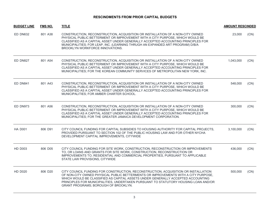| <b>BUDGET LINE</b> | <b>FMS NO.</b> | <b>TITLE</b>                                                                                                                                                                                                                                                                                                                                                                               | <b>AMOUNT RESCINDED</b> |      |
|--------------------|----------------|--------------------------------------------------------------------------------------------------------------------------------------------------------------------------------------------------------------------------------------------------------------------------------------------------------------------------------------------------------------------------------------------|-------------------------|------|
| <b>ED DN632</b>    | 801 A38        | CONSTRUCTION, RECONSTRUCTION, ACQUISITION OR INSTALLATION OF A NON-CITY OWNED<br>PHYSICAL PUBLIC BETTERMENT OR IMPROVEMENT WITH A CITY PURPOSE, WHICH WOULD BE<br>CLASSIFIED AS A CAPITAL ASSET UNDER GENERALLY ACCEPTED ACCOUNTING PRINCIPLES FOR<br>MUNICIPALITIES; FOR LEAP, INC. (LEARNING THRUGH AN EXPANDED ART PROGRAM) D/B/A<br>BROOKLYN WORKFORCE INNOVATIONS.                    | 23,000                  | (CN) |
| ED DN827           | 801 A54        | CONSTRUCTION, RECONSTRUCTION, ACQUISITION OR INSTALLATION OF A NON-CITY OWNED<br>PHYSICAL PUBLIC BETTERMENT OR IMPROVEMENT WITH A CITY PURPOSE, WHICH WOULD BE<br>CLASSIFIED AS A CAPITAL ASSET UNDER GENERALLY ACCEPTED ACCOUNTING PRINCIPLES FOR<br>MUNICIPALITIES; FOR THE KOREAN COMMUNITY SERVICES OF METROPOLITAN NEW YORK, INC.                                                     | 1,043,000               | (CN) |
| <b>ED DN841</b>    | 801 A43        | CONSTRUCTION, RECONSTRUCTION, ACQUISITION OR INSTALLATION OF A NON-CITY OWNED<br>PHYSICAL PUBLIC BETTERMENT OR IMPROVEMENT WITH A CITY PURPOSE, WHICH WOULD BE<br>CLASSIFIED AS A CAPITAL ASSET UNDER GENERALLY ACCEPTED ACCOUNTING PRINCIPLES FOR<br>MUNICIPALITIES; FOR AMBER CHARTER SCHOOL.                                                                                            | 548,000                 | (CN) |
| ED DN973           | 801 A56        | CONSTRUCTION, RECONSTRUCTION, ACQUISITION OR INSTALLATION OF A NON-CITY OWNED<br>PHYSICAL PUBLIC BETTERMENT OR IMPROVEMENT WITH A CITY PURPOSE, WHICH WOULD BE<br>CLASSIFIED AS A CAPITAL ASSET UNDER GENERALLY ACCEPTED ACCOUNTING PRINCIPLES FOR<br>MUNICIPALITIES; FOR THE GREATER JAMAICA DEVELOPMENT CORPORATION.                                                                     | 300,000                 | (CN) |
| <b>HA D001</b>     | 806 D91        | CITY COUNCIL FUNDING FOR CAPITAL SUBSIDIES TO HOUSING AUTHORITY FOR CAPITAL PROJECTS.<br>PROVIDED PURSUANT TO SECTION 102 OF THE PUBLIC HOUSING LAW AND FOR OTHER NYCHA<br>DEVELOPMENT CAPITAL IMPROVEMENTS, CITYWIDE                                                                                                                                                                      | 3.100.000               | (CN) |
| <b>HD D003</b>     | 806 D05        | CITY COUNCIL FUNDING FOR SITE WORK, CONSTRUCTION, RECONSTRUCTION OR IMPROVEMENTS<br>TO, OR LOANS AND GRANTS FOR SITE WORK, CONSTRUCTION, RECONSTRUCTION OR<br>IMPROVEMENTS TO, RESIDENTIAL AND COMMERCIAL PROPERTIES, PURSUANT TO APPLICABLE<br>STATE LAW PROVISIONS, CITYWIDE                                                                                                             | 436,000                 | (CN) |
| <b>HD D020</b>     | 806 D20        | CITY COUNCIL FUNDING FOR CONSTRUCTION, RECONSTRUCTION, ACQUISITION OR INSTALLATION<br>OF NON-CITY OWNED PHYSICAL PUBLIC BETTERMENTS OR IMPROVEMENTS WITH A CITY PURPOSE,<br>WHICH WOULD BE CLASSIFIED AS CAPITAL ASSETS UNDER GENERALLY ACCEPTED ACCOUNTING<br>PRINCIPLES FOR MUNICIPALITIES, UNDERTAKEN PURSUANT TO STATUTORY HOUSING LOAN AND/OR<br>GRANT PROGRAMS; BOROUGH OF BROOKLYN. | 500,000                 | (CN) |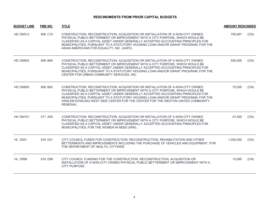| <b>BUDGET LINE</b><br>FMS NO.<br><b>TITLE</b> |         | <b>AMOUNT RESCINDED</b>                                                                                                                                                                                                                                                                                                                                                                                                                |           |      |
|-----------------------------------------------|---------|----------------------------------------------------------------------------------------------------------------------------------------------------------------------------------------------------------------------------------------------------------------------------------------------------------------------------------------------------------------------------------------------------------------------------------------|-----------|------|
| <b>HD DN512</b>                               | 806 C10 | CONSTRUCTION, RECONSTRUCTION, ACQUISITION OR INSTALLATION OF A NON-CITY OWNED<br>PHYSICAL PUBLIC BETTERMENT OR IMPROVEMENT WITH A CITY PURPOSE, WHICH WOULD BE<br>CLASSIFIED AS A CAPITAL ASSET UNDER GENERALLY ACCEPTED ACCOUNTING PRINCIPLES FOR<br>MUNICIPALITIES, PURSUANT TO A STATUTORY HOUSING LOAN AND/OR GRANT PROGRAM; FOR THE<br>ASIAN AMERICANS FOR EQUALITY, INC. (AAFE).                                                 | 790,667   | (CN) |
| <b>HD DN803</b>                               | 806 B90 | CONSTRUCTION, RECONSTRUCTION, ACQUISITION OR INSTALLATION OF A NON-CITY OWNED<br>PHYSICAL PUBLIC BETTERMENT OR IMPROVEMENT WITH A CITY PURPOSE, WHICH WOULD BE<br>CLASSIFIED AS A CAPITAL ASSET UNDER GENERALLY ACCEPTED ACCOUNTING PRINCIPLES FOR<br>MUNICIPALITIES, PURSUANT TO A STATUTORY HOUSING LOAN AND/OR GRANT PROGRAM; FOR THE<br>CENTER FOR URBAN COMMUNITY SERVICES, INC.                                                  | 500,000   | (CN) |
| <b>HD DN805</b>                               | 806 B92 | CONSTRUCTION, RECONSTRUCTION, ACQUISITION OR INSTALLATION OF A NON-CITY OWNED<br>PHYSICAL PUBLIC BETTERMENT OR IMPROVEMENT WITH A CITY PURPOSE, WHICH WOULD BE<br>CLASSIFIED AS A CAPITAL ASSET UNDER GENERALLY ACCEPTED ACCOUNTING PRINCIPLES FOR<br>MUNICIPALITIES, PURSUANT TO A STATUTORY HOUSING LOAN AND/OR GRANT PROGRAM; FOR THE<br>HARLEM DOWLING WEST SIDE CENTER FOR THE CENTER FOR THE WESTON UNITED COMMUNITY<br>RENEWAL. | 75,000    | (CN) |
| HH DN701                                      | 071 A05 | CONSTRUCTION, RECONSTRUCTION, ACQUISITION OR INSTALLATION OF A NON-CITY OWNED<br>PHYSICAL PUBLIC BETTERMENT OR IMPROVEMENT WITH A CITY PURPOSE, WHICH WOULD BE<br>CLASSIFIED AS A CAPITAL ASSET UNDER GENERALLY ACCEPTED ACCOUNTING PRINCIPLES FOR<br>MUNICIPALITIES; FOR THE WOMEN IN NEED (WIN).                                                                                                                                     | 47,000    | (CN) |
| <b>HL D001</b>                                | 816 D01 | CITY COUNCIL FUNDS FOR CONSTRUCTION, RECONSTRUCTION, REHABILITATION AND OTHER<br>BETTERMENTS AND IMPROVEMENTS INCLUDING THE PURCHASE OF VEHICLES AND EQUIPMENT, FOR<br>THE DEPARTMENT OF HEALTH, CITYWIDE                                                                                                                                                                                                                              | 1,005,000 | (CN) |
| <b>HL D999</b>                                | 816 D99 | CITY COUNCIL FUNDING FOR THE CONSTRUCTION, RECONSTRUCTION, ACQUISITION OR<br>INSTALLATION OF A NON-CITY OWNED PHYSICAL PUBLIC BETTERMENT OR IMPROVEMENT WITH A<br>CITY PURPOSE.                                                                                                                                                                                                                                                        | 15,085    | (CN) |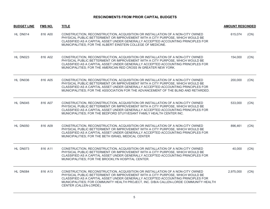| <b>BUDGET LINE</b> | <b>FMS NO.</b> | <b>TITLE</b>                                                                                                                                                                                                                                                                                                                                                           | <b>AMOUNT RESCINDED</b> |      |
|--------------------|----------------|------------------------------------------------------------------------------------------------------------------------------------------------------------------------------------------------------------------------------------------------------------------------------------------------------------------------------------------------------------------------|-------------------------|------|
| HL DN014           | 816 A00        | CONSTRUCTION, RECONSTRUCTION, ACQUISITION OR INSTALLATION OF A NON-CITY OWNED<br>PHYSICAL PUBLIC BETTERMENT OR IMPROVEMENT WITH A CITY PURPOSE, WHICH WOULD BE<br>CLASSIFIED AS A CAPITAL ASSET UNDER GENERALLY ACCEPTED ACCOUNTING PRINCIPLES FOR<br>MUNICIPALITIES; FOR THE ALBERT EINSTEIN COLLEGE OF MEDICINE.                                                     | 615.074                 | (CN) |
| HL DN023           | 816 A02        | CONSTRUCTION, RECONSTRUCTION, ACQUISITION OR INSTALLATION OF A NON-CITY OWNED<br>PHYSICAL PUBLIC BETTERMENT OR IMPROVEMENT WITH A CITY PURPOSE, WHICH WOULD BE<br>CLASSIFIED AS A CAPITAL ASSET UNDER GENERALLY ACCEPTED ACCOUNTING PRINCIPLES FOR<br>MUNICIPALITIES; FOR THE AMERICAN RED CROSS IN GREATER NEW YORK.                                                  | 154,000                 | (CN) |
| HL DN036           | 816 A05        | CONSTRUCTION, RECONSTRUCTION, ACQUISITION OR INSTALLATION OF A NON-CITY OWNED<br>PHYSICAL PUBLIC BETTERMENT OR IMPROVEMENT WITH A CITY PURPOSE, WHICH WOULD BE<br>CLASSIFIED AS A CAPITAL ASSET UNDER GENERALLY ACCEPTED ACCOUNTING PRINCIPLES FOR<br>MUNICIPALITIES; FOR THE ASSOCIATION FOR THE ADVANCEMENT OF THE BLIND AND RETARDED.                               | 200,000                 | (CN) |
| HL DN045           | 816 A07        | CONSTRUCTION, RECONSTRUCTION, ACQUISITION OR INSTALLATION OF A NON-CITY OWNED<br>PHYSICAL PUBLIC BETTERMENT OR IMPROVEMENT WITH A CITY PURPOSE, WHICH WOULD BE<br>CLASSIFIED AS A CAPITAL ASSET UNDER GENERALLY ACCEPTED ACCOUNTING PRINCIPLES FOR<br>MUNICIPALITIES; FOR THE BEDFORD STUYVESANT FAMILY HEALTH CENTER INC.                                             | 533,000                 | (CN) |
| HL DN050           | 816 A09        | CONSTRUCTION, RECONSTRUCTION, ACQUISITION OR INSTALLATION OF A NON-CITY OWNED<br>PHYSICAL PUBLIC BETTERMENT OR IMPROVEMENT WITH A CITY PURPOSE, WHICH WOULD BE<br>CLASSIFIED AS A CAPITAL ASSET UNDER GENERALLY ACCEPTED ACCOUNTING PRINCIPLES FOR<br>MUNICIPALITIES; FOR THE BETH ISRAEL MEDICAL CENTER                                                               | 896,461                 | (CN) |
| HL DN073           | 816 A11        | CONSTRUCTION, RECONSTRUCTION, ACQUISITION OR INSTALLATION OF A NON-CITY OWNED<br>PHYSICAL PUBLIC BETTERMENT OR IMPROVEMENT WITH A CITY PURPOSE, WHICH WOULD BE<br>CLASSIFIED AS A CAPITAL ASSET UNDER GENERALLY ACCEPTED ACCOUNTING PRINCIPLES FOR<br>MUNICIPALITIES; FOR THE BROOKLYN HOSPITAL CENTER.                                                                | 40,000                  | (CN) |
| HL DN084           | 816 A13        | CONSTRUCTION, RECONSTRUCTION, ACQUISITION OR INSTALLATION OF A NON-CITY OWNED<br>PHYSICAL PUBLIC BETTERMENT OR IMPROVEMENT WITH A CITY PURPOSE, WHICH WOULD BE<br>CLASSIFIED AS A CAPITAL ASSET UNDER GENERALLY ACCEPTED ACCOUNTING PRINCIPLES FOR<br>MUNICIPALITIES; FOR COMMUNITY HEALTH PROJECT, INC. D/B/A CALLEN-LORDE COMMUNITY HEALTH<br>CENTER (CALLEN-LORDE). | 2,975,000               | (CN) |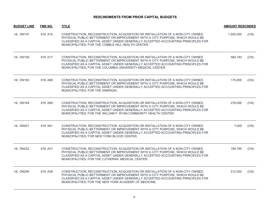| <b>BUDGET LINE</b> | <b>FMS NO.</b> | <b>TITLE</b>                                                                                                                                                                                                                                                                                                           | <b>AMOUNT RESCINDED</b> |      |
|--------------------|----------------|------------------------------------------------------------------------------------------------------------------------------------------------------------------------------------------------------------------------------------------------------------------------------------------------------------------------|-------------------------|------|
| HL DN107           | 816 A16        | CONSTRUCTION, RECONSTRUCTION, ACQUISITION OR INSTALLATION OF A NON-CITY OWNED<br>PHYSICAL PUBLIC BETTERMENT OR IMPROVEMENT WITH A CITY PURPOSE, WHICH WOULD BE<br>CLASSIFIED AS A CAPITAL ASSET UNDER GENERALLY ACCEPTED ACCOUNTING PRINCIPLES FOR<br>MUNICIPALITIES; FOR THE COBBLE HILL HEALTH CENTER.               | 1,500,000               | (CN) |
| HL DN108           | 816 A17        | CONSTRUCTION, RECONSTRUCTION, ACQUISITION OR INSTALLATION OF A NON-CITY OWNED<br>PHYSICAL PUBLIC BETTERMENT OR IMPROVEMENT WITH A CITY PURPOSE, WHICH WOULD BE<br>CLASSIFIED AS A CAPITAL ASSET UNDER GENERALLY ACCEPTED ACCOUNTING PRINCIPLES FOR<br>MUNICIPALITIES; FOR THE COLUMBIA UNIVERSITY MEDICAL CENTER.      | 560,193                 | (CN) |
| HL DN163           | 816 A88        | CONSTRUCTION, RECONSTRUCTION, ACQUISITION OR INSTALLATION OF A NON-CITY OWNED<br>PHYSICAL PUBLIC BETTERMENT OR IMPROVEMENT WITH A CITY PURPOSE, WHICH WOULD BE<br>CLASSIFIED AS A CAPITAL ASSET UNDER GENERALLY ACCEPTED ACCOUNTING PRINCIPLES FOR<br>MUNICIPALITIES; FOR THE SINERGIA.                                | 175,000                 | (CN) |
| HL DN164           | 816 A89        | CONSTRUCTION, RECONSTRUCTION, ACQUISITION OR INSTALLATION OF A NON-CITY OWNED<br>PHYSICAL PUBLIC BETTERMENT OR IMPROVEMENT WITH A CITY PURPOSE, WHICH WOULD BE<br>CLASSIFIED AS A CAPITAL ASSET UNDER GENERALLY ACCEPTED ACCOUNTING PRINCIPLES FOR<br>MUNICIPALITIES; FOR THE WILLIAM F. RYAN COMMUNITY HEALTH CENTER. | 278,000                 | (CN) |
| <b>HL DN201</b>    | 816 A91        | CONSTRUCTION, RECONSTRUCTION, ACQUISITION OR INSTALLATION OF A NON-CITY OWNED<br>PHYSICAL PUBLIC BETTERMENT OR IMPROVEMENT WITH A CITY PURPOSE, WHICH WOULD BE<br>CLASSIFIED AS A CAPITAL ASSET UNDER GENERALLY ACCEPTED ACCOUNTING PRINCIPLES FOR<br>MUNICIPALITIES; FOR NEW YORK BLOOD CENTER.                       | 7,000                   | (CN) |
| <b>HL DN252</b>    | 816 A31        | CONSTRUCTION, RECONSTRUCTION, ACQUISITION OR INSTALLATION OF A NON-CITY OWNED<br>PHYSICAL PUBLIC BETTERMENT OR IMPROVEMENT WITH A CITY PURPOSE, WHICH WOULD BE<br>CLASSIFIED AS A CAPITAL ASSET UNDER GENERALLY ACCEPTED ACCOUNTING PRINCIPLES FOR<br>MUNICIPALITIES; FOR THE LUTHERAN MEDICAL CENTER.                 | 189,790                 | (CN) |
| <b>HL DN295</b>    | 816 A38        | CONSTRUCTION, RECONSTRUCTION, ACQUISITION OR INSTALLATION OF A NON-CITY OWNED<br>PHYSICAL PUBLIC BETTERMENT OR IMPROVEMENT WITH A CITY PURPOSE, WHICH WOULD BE<br>CLASSIFIED AS A CAPITAL ASSET UNDER GENERALLY ACCEPTED ACCOUNTING PRINCIPLES FOR<br>MUNICIPALITIES; FOR THE NEW YORK ACADEMY OF MEDICINE.            | 512,000                 | (CN) |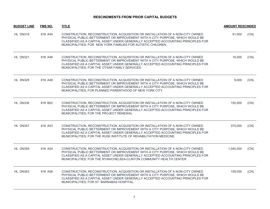| <b>BUDGET LINE</b> | <b>FMS NO.</b> | <b>TITLE</b>                                                                                                                                                                                                                                                                                                                | <b>AMOUNT RESCINDED</b> |      |
|--------------------|----------------|-----------------------------------------------------------------------------------------------------------------------------------------------------------------------------------------------------------------------------------------------------------------------------------------------------------------------------|-------------------------|------|
| HL DN316           | 816 A45        | CONSTRUCTION, RECONSTRUCTION, ACQUISITION OR INSTALLATION OF A NON-CITY OWNED<br>PHYSICAL PUBLIC BETTERMENT OR IMPROVEMENT WITH A CITY PURPOSE, WHICH WOULD BE<br>CLASSIFIED AS A CAPITAL ASSET UNDER GENERALLY ACCEPTED ACCOUNTING PRINCIPLES FOR<br>MUNICIPALITIES; FOR NEW YORK FAMILIES FOR AUTISTIC CHILDREN.          | 91,000                  | (CN) |
| <b>HL DN321</b>    | 816 A46        | CONSTRUCTION, RECONSTRUCTION, ACQUISITION OR INSTALLATION OF A NON-CITY OWNED<br>PHYSICAL PUBLIC BETTERMENT OR IMPROVEMENT WITH A CITY PURPOSE, WHICH WOULD BE<br>CLASSIFIED AS A CAPITAL ASSET UNDER GENERALLY ACCEPTED ACCOUNTING PRINCIPLES FOR<br>MUNICIPALITIES; FOR THE OTSAR FAMILY SERVICES.                        | 16,000                  | (CN) |
| HL DN328           | 816 A48        | CONSTRUCTION, RECONSTRUCTION, ACQUISITION OR INSTALLATION OF A NON-CITY OWNED<br>PHYSICAL PUBLIC BETTERMENT OR IMPROVEMENT WITH A CITY PURPOSE, WHICH WOULD BE<br>CLASSIFIED AS A CAPITAL ASSET UNDER GENERALLY ACCEPTED ACCOUNTING PRINCIPLES FOR<br>MUNICIPALITIES; FOR PLANNED PARENTHOOD OF NEW YORK CITY.              | 9,000                   | (CN) |
| HL DN336           | 816 B02        | CONSTRUCTION, RECONSTRUCTION, ACQUISITION OR INSTALLATION OF A NON-CITY OWNED<br>PHYSICAL PUBLIC BETTERMENT OR IMPROVEMENT WITH A CITY PURPOSE, WHICH WOULD BE<br>CLASSIFIED AS A CAPITAL ASSET UNDER GENERALLY ACCEPTED ACCOUNTING PRINCIPLES FOR<br>MUNICIPALITIES; FOR THE PROJECT RENEWAL                               | 155,000                 | (CN) |
| HL DN357           | 816 A53        | CONSTRUCTION, RECONSTRUCTION, ACQUISITION OR INSTALLATION OF A NON-CITY OWNED<br>PHYSICAL PUBLIC BETTERMENT OR IMPROVEMENT WITH A CITY PURPOSE, WHICH WOULD BE<br>CLASSIFIED AS A CAPITAL ASSET UNDER GENERALLY ACCEPTED ACCOUNTING PRINCIPLES FOR<br>MUNICIPALITIES; FOR THE RUSK INSTITUTE OF REHABILITATION MEDICINE.    | 375,000                 | (CN) |
| <b>HL DN359</b>    | 816 A54        | CONSTRUCTION, RECONSTRUCTION, ACQUISITION OR INSTALLATION OF A NON-CITY OWNED<br>PHYSICAL PUBLIC BETTERMENT OR IMPROVEMENT WITH A CITY PURPOSE, WHICH WOULD BE<br>CLASSIFIED AS A CAPITAL ASSET UNDER GENERALLY ACCEPTED ACCOUNTING PRINCIPLES FOR<br>MUNICIPALITIES; FOR THE RYAN/CHELSEA-CLINTON COMMUNITY HEALTH CENTER. | 1,045,000               | (CN) |
| HL DN363           | 816 A56        | CONSTRUCTION, RECONSTRUCTION, ACQUISITION OR INSTALLATION OF A NON-CITY OWNED<br>PHYSICAL PUBLIC BETTERMENT OR IMPROVEMENT WITH A CITY PURPOSE, WHICH WOULD BE<br>CLASSIFIED AS A CAPITAL ASSET UNDER GENERALLY ACCEPTED ACCOUNTING PRINCIPLES FOR<br>MUNICIPALITIES; FOR ST. BARNABAS HOSPITAL.                            | 159,000                 | (CN) |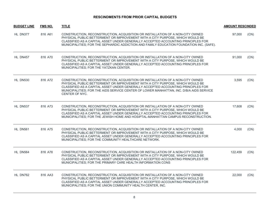| <b>BUDGET LINE</b> | <b>FMS NO.</b> | <b>TITLE</b>                                                                                                                                                                                                                                                                                                                                                    | <b>AMOUNT RESCINDED</b> |      |
|--------------------|----------------|-----------------------------------------------------------------------------------------------------------------------------------------------------------------------------------------------------------------------------------------------------------------------------------------------------------------------------------------------------------------|-------------------------|------|
| HL DN377           | 816 A61        | CONSTRUCTION, RECONSTRUCTION, ACQUISITION OR INSTALLATION OF A NON-CITY OWNED<br>PHYSICAL PUBLIC BETTERMENT OR IMPROVEMENT WITH A CITY PURPOSE, WHICH WOULD BE<br>CLASSIFIED AS A CAPITAL ASSET UNDER GENERALLY ACCEPTED ACCOUNTING PRINCIPLES FOR<br>MUNICIPALITIES; FOR THE SEPHARDIC ADDICTION AND FAMILY EDUCATION FOUNDATION INC. (SAFE).                  | 97,000                  | (CN) |
| HL DN457           | 816 A70        | CONSTRUCTION, RECONSTRUCTION, ACQUISITION OR INSTALLATION OF A NON-CITY OWNED<br>PHYSICAL PUBLIC BETTERMENT OR IMPROVEMENT WITH A CITY PURPOSE, WHICH WOULD BE<br>CLASSIFIED AS A CAPITAL ASSET UNDER GENERALLY ACCEPTED ACCOUNTING PRINCIPLES FOR<br>MUNICIPALITIES; FOR THE YATZKAN CENTER.                                                                   | 91,000                  | (CN) |
| <b>HL DN530</b>    | 816 A72        | CONSTRUCTION, RECONSTRUCTION, ACQUISITION OR INSTALLATION OF A NON-CITY OWNED<br>PHYSICAL PUBLIC BETTERMENT OR IMPROVEMENT WITH A CITY PURPOSE, WHICH WOULD BE<br>CLASSIFIED AS A CAPITAL ASSET UNDER GENERALLY ACCEPTED ACCOUNTING PRINCIPLES FOR<br>MUNICIPALITIES; FOR THE AIDS SERVICE CENTER OF LOWER MANHATTAN, INC. D/B/A AIDS SERVICE<br>CENTER OF NYC. | 3,595                   | (CN) |
| HL DN537           | 816 A73        | CONSTRUCTION, RECONSTRUCTION, ACQUISITION OR INSTALLATION OF A NON-CITY OWNED<br>PHYSICAL PUBLIC BETTERMENT OR IMPROVEMENT WITH A CITY PURPOSE, WHICH WOULD BE<br>CLASSIFIED AS A CAPITAL ASSET UNDER GENERALLY ACCEPTED ACCOUNTING PRINCIPLES FOR<br>MUNICIPALITIES; FOR THE JEWISH HOME AND HOSIPTAL-MANHATTAN CAMPUS RECONSTRUCTION.                         | 17,608                  | (CN) |
| HL DN561           | 816 A75        | CONSTRUCTION, RECONSTRUCTION, ACQUISITION OR INSTALLATION OF A NON-CITY OWNED<br>PHYSICAL PUBLIC BETTERMENT OR IMPROVEMENT WITH A CITY PURPOSE, WHICH WOULD BE<br>CLASSIFIED AS A CAPITAL ASSET UNDER GENERALLY ACCEPTED ACCOUNTING PRINCIPLES FOR<br>MUNICIPALITIES; FOR THE COMMUNITY HEALTHCARE NETWORK.                                                     | 4,000                   | (CN) |
| HL DN564           | 816 A78        | CONSTRUCTION, RECONSTRUCTION, ACQUISITION OR INSTALLATION OF A NON-CITY OWNED<br>PHYSICAL PUBLIC BETTERMENT OR IMPROVEMENT WITH A CITY PURPOSE, WHICH WOULD BE<br>CLASSIFIED AS A CAPITAL ASSET UNDER GENERALLY ACCEPTED ACCOUNTING PRINCIPLES FOR<br>MUNICIPALITIES; FOR THE PRIMARY CARE HEALTH INFORMATION CONS                                              | 122,459                 | (CN) |
| HL DN762           | 816 AA3        | CONSTRUCTION, RECONSTRUCTION, ACQUISITION OR INSTALLATION OF A NON-CITY OWNED<br>PHYSICAL PUBLIC BETTERMENT OR IMPROVEMENT WITH A CITY PURPOSE, WHICH WOULD BE<br>CLASSIFIED AS A CAPITAL ASSET UNDER GENERALLY ACCEPTED ACCOUNTING PRINCIPLES FOR<br>MUNICIPALITIES; FOR THE UNION COMMUNITY HEALTH CENTER, INC.                                               | 22,000                  | (CN) |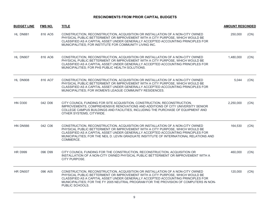| <b>BUDGET LINE</b> | <b>FMS NO.</b> | <b>TITLE</b>                                                                                                                                                                                                                                                                                                                                                    | <b>AMOUNT RESCINDED</b> |      |
|--------------------|----------------|-----------------------------------------------------------------------------------------------------------------------------------------------------------------------------------------------------------------------------------------------------------------------------------------------------------------------------------------------------------------|-------------------------|------|
| HL DN881           | 816 AO5        | CONSTRUCTION, RECONSTRUCTION, ACQUISITION OR INSTALLATION OF A NON-CITY OWNED<br>PHYSICAL PUBLIC BETTERMENT OR IMPROVEMENT WITH A CITY PURPOSE, WHICH WOULD BE<br>CLASSIFIED AS A CAPITAL ASSET UNDER GENERALLY ACCEPTED ACCOUNTING PRINCIPLES FOR<br>MUNICIPALITIES; FOR INSTITUTE FOR COMMUNITY LIVING INC.                                                   | 250,000                 | (CN) |
| HL DN907           | 816 AO6        | CONSTRUCTION, RECONSTRUCTION, ACQUISITION OR INSTALLATION OF A NON-CITY OWNED<br>PHYSICAL PUBLIC BETTERMENT OR IMPROVEMENT WITH A CITY PURPOSE, WHICH WOULD BE<br>CLASSIFIED AS A CAPITAL ASSET UNDER GENERALLY ACCEPTED ACCOUNTING PRINCIPLES FOR<br>MUNICIPALITIES; FOR PHS PUBLIC HEALTH SOLUTIONS.                                                          | 1,480,000               | (CN) |
| HL DN908           | 816 AO7        | CONSTRUCTION, RECONSTRUCTION, ACQUISITION OR INSTALLATION OF A NON-CITY OWNED<br>PHYSICAL PUBLIC BETTERMENT OR IMPROVEMENT WITH A CITY PURPOSE, WHICH WOULD BE<br>CLASSIFIED AS A CAPITAL ASSET UNDER GENERALLY ACCEPTED ACCOUNTING PRINCIPLES FOR<br>MUNICIPALITIES; FOR WOMEN'S LEAGUE COMMUNITY RESIDENCES.                                                  | 5,044                   | (CN) |
| <b>HN D300</b>     | 042 D06        | CITY COUNCIL FUNDING FOR SITE ACQUISITION, CONSTRUCTION, RECONSTRUCTION,<br>IMPROVEMENTS, COMPREHENSIVE RENOVATIONS AND ADDITIONS OF CITY UNIVERSITY SENIOR<br>COLLEGE CAMPUS BUILDINGS AND FACILITIES, INCLUDING THE PURCHASE OF EQUIPMENT AND<br>OTHER SYSTEMS, CITYWIDE.                                                                                     | 2.250.000               | (CN) |
| <b>HN DN566</b>    | 042 C06        | CONSTRUCTION, RECONSTRUCTION, ACQUISITION OR INSTALLATION OF A NON-CITY OWNED<br>PHYSICAL PUBLIC BETTERMENT OR IMPROVEMENT WITH A CITY PURPOSE, WHICH WOULD BE<br>CLASSIFIED AS A CAPITAL ASSET UNDER GENERALLY ACCEPTED ACCOUNTING PRINCIPLES FOR<br>MUNICIPALITIES; FOR THE NEIL D. LEVIN GRADUATE INSITITUTE OF INTERNATIONAL RELATIONS AND<br>COMMERCE.     | 164,530                 | (CN) |
| <b>HR D999</b>     | 096 D99        | CITY COUNCIL FUNDING FOR THE CONSTRUCTION, RECONSTRUCTION, ACQUISITION OR<br>INSTALLATION OF A NON-CITY OWNED PHYSICAL PUBLIC BETTERMENT OR IMPROVEMENT WITH A<br>CITY PURPOSE.                                                                                                                                                                                 | 460,000                 | (CN) |
| HR DN007           | 096 A05        | CONSTRUCTION, RECONSTRUCTION, ACQUISITION OR INSTALLATION OF A NON-CITY OWNED<br>PHYSICAL PUBLIC BETTERMENT OR IMPROVEMENT WITH A CITY PURPOSE, WHICH WOULD BE<br>CLASSIFIED AS A CAPITAL ASSET UNDER GENERALLY ACCEPTED ACCOUNTING PRINCIPLES FOR<br>MUNICIPALITIES; FOR THE FY 2005 NEUTRAL PROGRAM FOR THE PROVISION OF COMPUTERS IN NON-<br>PUBLIC SCHOOLS. | 120,000                 | (CN) |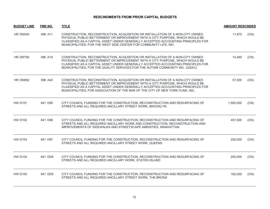| <b>BUDGET LINE</b> | <b>FMS NO.</b> | <b>TITLE</b>                                                                                                                                                                                                                                                                                                                         | <b>AMOUNT RESCINDED</b> |      |
|--------------------|----------------|--------------------------------------------------------------------------------------------------------------------------------------------------------------------------------------------------------------------------------------------------------------------------------------------------------------------------------------|-------------------------|------|
| <b>HR DN450</b>    | 096 A11        | CONSTRUCTION, RECONSTRUCTION, ACQUISITION OR INSTALLATION OF A NON-CITY OWNED<br>PHYSICAL PUBLIC BETTERMENT OR IMPROVEMENT WITH A CITY PURPOSE, WHICH WOULD BE<br>CLASSIFIED AS A CAPITAL ASSET UNDER GENERALLY ACCEPTED ACCOUNTING PRINCIPLES FOR<br>MUNICIPALITIES; FOR THE WEST SIDE CENTER FOR COMMUNITY LIFE, INC.              | 11,975                  | (CN) |
| HR DN756           | 096 A19        | CONSTRUCTION, RECONSTRUCTION, ACQUISITION OR INSTALLATION OF A NON-CITY OWNED<br>PHYSICAL PUBLIC BETTERMENT OR IMPROVEMENT WITH A CITY PURPOSE, WHICH WOULD BE<br>CLASSIFIED AS A CAPITAL ASSET UNDER GENERALLY ACCEPTED ACCOUNTING PRINCIPLES FOR<br>MUNICIPALITIES; FOR THE QUALITY SERVICES FOR THE AUTISM COMMUNITY INC. (QSAC). | 14,465                  | (CN) |
| <b>HR DN892</b>    | 096 A40        | CONSTRUCTION, RECONSTRUCTION, ACQUISITION OR INSTALLATION OF A NON-CITY OWNED<br>PHYSICAL PUBLIC BETTERMENT OR IMPROVEMENT WITH A CITY PURPOSE, WHICH WOULD BE<br>CLASSIFIED AS A CAPITAL ASSET UNDER GENERALLY ACCEPTED ACCOUNTING PRINCIPLES FOR<br>MUNICIPALITIES; FOR ASSOCIATION OF THE BAR OF THE CITY OF NEW YORK FUND, INC.  | 57,000                  | (CN) |
| <b>HW D101</b>     | 841 D95        | CITY COUNCIL FUNDING FOR THE CONSTRUCTION, RECONSTRUCTION AND RESURFACING OF<br>STREETS AND ALL REQUIRED ANCILLARY STREET WORK, BROOKLYN.                                                                                                                                                                                            | 1,905,000               | (CN) |
| <b>HW D102</b>     | 841 D96        | CITY COUNCIL FUNDING FOR THE CONSTRUCTION, RECONSTRUCTION AND RESURFACING OF<br>STREETS AND ALL REQUIRED ANCILLARY WORK AND CONSTRUCTION, RECONSTRUCTION AND<br>IMPROVEMENTS OF SIDEWALKS AND STREETSCAPE AMENITIES, MANHATTAN.                                                                                                      | 457,000                 | (CN) |
| <b>HW D103</b>     | 841 D97        | CITY COUNCIL FUNDING FOR THE CONSTRUCTION, RECONSTRUCTION AND RESURFACING OF<br>STREETS AND ALL REQUIRED ANCILLARY STREET WORK, QUEENS                                                                                                                                                                                               | 250,000                 | (CN) |
| <b>HW D104</b>     | 841 DD8        | CITY COUNCIL FUNDING FOR THE CONSTRUCTION, RECONSTRUCTION AND RESURFACING OF<br>STREETS AND ALL REQUIRED ANCILLARY WORK, STATEN ISLAND                                                                                                                                                                                               | 200,000                 | (CN) |
| <b>HW D105</b>     | 841 DD9        | CITY COUNCIL FUNDING FOR THE CONSTRUCTION, RECONSTRUCTION AND RESURFACING OF<br>STREETS AND ALL REQUIRED ANCILLARY STREET WORK, THE BRONX                                                                                                                                                                                            | 162,000                 | (CN) |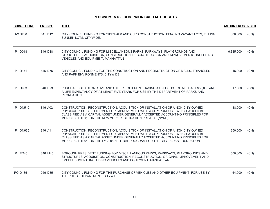| <b>BUDGET LINE</b> | <b>FMS NO.</b> | <b>TITLE</b>                                                                                                                                                                                                                                                                                                                         | <b>AMOUNT RESCINDED</b> |      |
|--------------------|----------------|--------------------------------------------------------------------------------------------------------------------------------------------------------------------------------------------------------------------------------------------------------------------------------------------------------------------------------------|-------------------------|------|
| <b>HW D200</b>     | 841 D12        | CITY COUNCIL FUNDING FOR SIDEWALK AND CURB CONSTRUCTION, FENCING VACANT LOTS, FILLING<br>SUNKEN LOTS, CITYWIDE.                                                                                                                                                                                                                      | 300,000                 | (CN) |
| P D018             | 846 D18        | CITY COUNCIL FUNDING FOR MISCELLANEOUS PARKS, PARKWAYS, PLAYGROUNDS AND<br>STRUCTURES: ACQUISITION, CONSTRUCTION, RECONSTRUCTION AND IMPROVEMENTS, INCLUDING<br>VEHICLES AND EQUIPMENT, MANHATTAN                                                                                                                                    | 6,385,000               | (CN) |
| P D171             | 846 D55        | CITY COUNCIL FUNDING FOR THE CONSTRUCTION AND RECONSTRUCTION OF MALLS, TRIANGLES<br>AND PARK ENVIRONMENTS, CITYWIDE                                                                                                                                                                                                                  | 15,000                  | (CN) |
| P D933             | 846 D93        | PURCHASE OF AUTOMOTIVE AND OTHER EQUIPMENT HAVING A UNIT COST OF AT LEAST \$35,000 AND<br>A LIFE EXPECTANCY OF AT LEAST FIVE YEARS FOR USE BY THE DEPARTMENT OF PARKS AND<br><b>RECREATION</b>                                                                                                                                       | 17,000                  | (CN) |
| P DN510            | 846 A02        | CONSTRUCTION, RECONSTRUCTION, ACQUISITION OR INSTALLATION OF A NON-CITY OWNED<br>PHYSICAL PUBLIC BETTERMENT OR IMPROVEMENT WITH A CITY PURPOSE, WHICH WOULD BE<br>CLASSIFIED AS A CAPITAL ASSET UNDER GENERALLY ACCEPTED ACCOUNTING PRINCIPLES FOR<br>MUNICIPALITIES; FOR THE NEW YORK RESTORATION PROJECT (NYRP).                   | 88,000                  | (CN) |
| P<br><b>DN665</b>  | 846 A11        | CONSTRUCTION, RECONSTRUCTION, ACQUISITION OR INSTALLATION OF A NON-CITY OWNED<br>PHYSICAL PUBLIC BETTERMENT OR IMPROVEMENT WITH A CITY PURPOSE, WHICH WOULD BE<br>CLASSIFIED AS A CAPITAL ASSET UNDER GENERALLY ACCEPTED ACCOUNTING PRINCIPLES FOR<br>MUNICIPALITIES; FOR THE FY 2005 NEUTRAL PROGRAM FOR THE CITY PARKS FOUNDATION. | 250,000                 | (CN) |
| P M245             | 846 M45        | BOROUGH PRESIDENT FUNDING FOR MISCELLANEOUS PARKS, PARKWAYS, PLAYGROUNDS AND<br>STRUCTURES: ACQUISITION, CONSTRUCTION, RECONSTRUCTION, ORIGINAL IMPROVEMENT AND<br>EMBELLISHMENT, INCLUDING VEHICLES AND EQUIPMENT, MANHATTAN                                                                                                        | 500,000                 | (CN) |
| PO D185            | 056 D85        | CITY COUNCIL FUNDING FOR THE PURCHASE OF VEHICLES AND OTHER EQUIPMENT FOR USE BY<br>THE POLICE DEPARTMENT, CITYWIDE                                                                                                                                                                                                                  | 64,000                  | (CN) |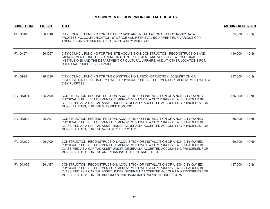| <b>BUDGET LINE</b> | FMS NO. | <b>TITLE</b>                                                                                                                                                                                                                                                                                                            | <b>AMOUNT RESCINDED</b> |      |
|--------------------|---------|-------------------------------------------------------------------------------------------------------------------------------------------------------------------------------------------------------------------------------------------------------------------------------------------------------------------------|-------------------------|------|
| <b>PU D016</b>     | 856 D16 | CITY COUNCIL FUNDING FOR THE PURCHASE AND INSTALLATION OF ELECTRONIC DATA<br>PROCESSING, COMMUNICATION, STORAGE AND RETRIEVAL EQUIPMENT FOR VARIOUS CITY<br>AGENCIES AND OTHER PROJECTS WITH A CITY PURPOSE                                                                                                             | 35,000                  | (CN) |
| <b>PV D467</b>     | 126 D67 | CITY COUNCIL FUNDING FOR THE SITE ACQUISITION, CONSTRUCTION, RECONSTRUCTION AND<br>IMPROVEMENTS, INCLUDING PURCHASES OF EQUIPMENT AND VEHICLES, AT CULTURAL<br>INSTITUTIONS AND THE DEPARTMENT OF CULTURAL AFFAIRS, AND AT OTHER LOCATIONS FOR<br>CULTURAL PURPOSES, CITYWIDE                                           | 110,000                 | (CN) |
| <b>PV D999</b>     | 126 D99 | CITY COUNCIL FUNDING FOR THE CONSTRUCTION, RECONSTRUCTION, ACQUISITION OR<br>INSTALLATION OF A NON-CITY OWNED PHYSICAL PUBLIC BETTERMENT OR IMPROVEMENT WITH A<br>CITY PURPOSE.                                                                                                                                         | 217,000                 | (CN) |
| PV DN001           | 126 A00 | CONSTRUCTION, RECONSTRUCTION, ACQUISITION OR INSTALLATION OF A NON-CITY OWNED<br>PHYSICAL PUBLIC BETTERMENT OR IMPROVEMENT WITH A CITY PURPOSE, WHICH WOULD BE<br>CLASSIFIED AS A CAPITAL ASSET UNDER GENERALLY ACCEPTED ACCOUNTING PRINCIPLES FOR<br>MUNICIPALITIES; FOR THE 3 LEGGED DOG, INC.                        | 166,000                 | (CN) |
| PV DN002           | 126 A01 | CONSTRUCTION, RECONSTRUCTION, ACQUISITION OR INSTALLATION OF A NON-CITY OWNED<br>PHYSICAL PUBLIC BETTERMENT OR IMPROVEMENT WITH A CITY PURPOSE, WHICH WOULD BE<br>CLASSIFIED AS A CAPITAL ASSET UNDER GENERALLY ACCEPTED ACCOUNTING PRINCIPLES FOR<br>MUNICIPALITIES; FOR THE 52ND STREET PROJECT.                      | 66,000                  | (CN) |
| PV DN022           | 126 A09 | CONSTRUCTION, RECONSTRUCTION, ACQUISITION OR INSTALLATION OF A NON-CITY OWNED<br>PHYSICAL PUBLIC BETTERMENT OR IMPROVEMENT WITH A CITY PURPOSE, WHICH WOULD BE<br>CLASSIFIED AS A CAPITAL ASSET UNDER GENERALLY ACCEPTED ACCOUNTING PRINCIPLES FOR<br>MUNICIPALITIES; FOR THE AMERICAN INSTITUTE OF ARCHITECTS.         | 10,000                  | (CN) |
| PV DN076           | 126 AB7 | CONSTRUCTION, RECONSTRUCTION, ACQUISITION OR INSTALLATION OF A NON-CITY OWNED<br>PHYSICAL PUBLIC BETTERMENT OR IMPROVEMENT WITH A CITY PURPOSE, WHICH WOULD BE<br>CLASSIFIED AS A CAPITAL ASSET UNDER GENERALLY ACCEPTED ACCOUNTING PRINCIPLES FOR<br>MUNICIPALITIES; FOR THE BROOKLYN PHILHARMONIC SYMPHONY ORCHESTRA. | 137,000                 | (CN) |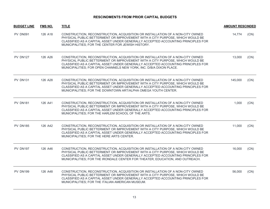| <b>BUDGET LINE</b> | FMS NO. | <b>TITLE</b>                                                                                                                                                                                                                                                                                                                        | <b>AMOUNT RESCINDED</b> |      |
|--------------------|---------|-------------------------------------------------------------------------------------------------------------------------------------------------------------------------------------------------------------------------------------------------------------------------------------------------------------------------------------|-------------------------|------|
| PV DN091           | 126 A18 | CONSTRUCTION, RECONSTRUCTION, ACQUISITION OR INSTALLATION OF A NON-CITY OWNED<br>PHYSICAL PUBLIC BETTERMENT OR IMPROVEMENT WITH A CITY PURPOSE, WHICH WOULD BE<br>CLASSIFIED AS A CAPITAL ASSET UNDER GENERALLY ACCEPTED ACCOUNTING PRINCIPLES FOR<br>MUNICIPALITIES; FOR THE CENTER FOR JEWISH HISTORY.                            | 14,774                  | (CN) |
| <b>PV DN127</b>    | 126 A26 | CONSTRUCTION, RECONSTRUCTION, ACQUISITION OR INSTALLATION OF A NON-CITY OWNED<br>PHYSICAL PUBLIC BETTERMENT OR IMPROVEMENT WITH A CITY PURPOSE, WHICH WOULD BE<br>CLASSIFIED AS A CAPITAL ASSET UNDER GENERALLY ACCEPTED ACCOUNTING PRINCIPLES FOR<br>MUNICIPALITIES; FOR OPEN CHANNELS NEW YORK, INC. D/B/A DIXON PLACE.           | 13,000                  | (CN) |
| <b>PV DN131</b>    | 126 A28 | CONSTRUCTION, RECONSTRUCTION, ACQUISITION OR INSTALLATION OF A NON-CITY OWNED<br>PHYSICAL PUBLIC BETTERMENT OR IMPROVEMENT WITH A CITY PURPOSE, WHICH WOULD BE<br>CLASSIFIED AS A CAPITAL ASSET UNDER GENERALLY ACCEPTED ACCOUNTING PRINCIPLES FOR<br>MUNICIPALITIES; FOR THE DOWNTOWN ART/ALPHA OMEGA YOUTH CENTER.                | 145,000                 | (CN) |
| <b>PV DN181</b>    | 126 A41 | CONSTRUCTION, RECONSTRUCTION, ACQUISITION OR INSTALLATION OF A NON-CITY OWNED<br>PHYSICAL PUBLIC BETTERMENT OR IMPROVEMENT WITH A CITY PURPOSE, WHICH WOULD BE<br>CLASSIFIED AS A CAPITAL ASSET UNDER GENERALLY ACCEPTED ACCOUNTING PRINCIPLES FOR<br>MUNICIPALITIES; FOR THE HARLEM SCHOOL OF THE ARTS.                            | 1,000                   | (CN) |
| <b>PV DN185</b>    | 126 A42 | CONSTRUCTION, RECONSTRUCTION, ACQUISITION OR INSTALLATION OF A NON-CITY OWNED<br>PHYSICAL PUBLIC BETTERMENT OR IMPROVEMENT WITH A CITY PURPOSE, WHICH WOULD BE<br>CLASSIFIED AS A CAPITAL ASSET UNDER GENERALLY ACCEPTED ACCOUNTING PRINCIPLES FOR<br>MUNICIPALITIES; FOR THE HERE ARTS CENTER.                                     | 11,000                  | (CN) |
| <b>PV DN197</b>    | 126 A46 | CONSTRUCTION, RECONSTRUCTION, ACQUISITION OR INSTALLATION OF A NON-CITY OWNED<br>PHYSICAL PUBLIC BETTERMENT OR IMPROVEMENT WITH A CITY PURPOSE, WHICH WOULD BE<br>CLASSIFIED AS A CAPITAL ASSET UNDER GENERALLY ACCEPTED ACCOUNTING PRINCIPLES FOR<br>MUNICIPALITIES; FOR THE IRONDALE CENTER FOR THEATER, EDUCATION, AND OUTREACH. | 16,000                  | (CN) |
| <b>PV DN199</b>    | 126 A48 | CONSTRUCTION, RECONSTRUCTION, ACQUISITION OR INSTALLATION OF A NON-CITY OWNED<br>PHYSICAL PUBLIC BETTERMENT OR IMPROVEMENT WITH A CITY PURPOSE, WHICH WOULD BE<br>CLASSIFIED AS A CAPITAL ASSET UNDER GENERALLY ACCEPTED ACCOUNTING PRINCIPLES FOR<br>MUNICIPALITIES; FOR THE ITALIAN AMERICAN MUSEUM.                              | 56,000                  | (CN) |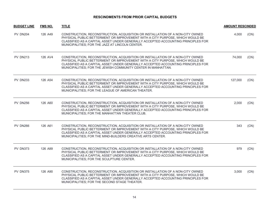| <b>BUDGET LINE</b> | <b>FMS NO.</b> | <b>TITLE</b>                                                                                                                                                                                                                                                                                                        | <b>AMOUNT RESCINDED</b> |      |
|--------------------|----------------|---------------------------------------------------------------------------------------------------------------------------------------------------------------------------------------------------------------------------------------------------------------------------------------------------------------------|-------------------------|------|
| <b>PV DN204</b>    | 126 A49        | CONSTRUCTION, RECONSTRUCTION, ACQUISITION OR INSTALLATION OF A NON-CITY OWNED<br>PHYSICAL PUBLIC BETTERMENT OR IMPROVEMENT WITH A CITY PURPOSE, WHICH WOULD BE<br>CLASSIFIED AS A CAPITAL ASSET UNDER GENERALLY ACCEPTED ACCOUNTING PRINCIPLES FOR<br>MUNICIPALITIES; FOR THE JAZZ AT LINCOLN CENTER.               | 4,000                   | (CN) |
| <b>PV DN213</b>    | 126 AV4        | CONSTRUCTION, RECONSTRUCTION, ACQUISITION OR INSTALLATION OF A NON-CITY OWNED<br>PHYSICAL PUBLIC BETTERMENT OR IMPROVEMENT WITH A CITY PURPOSE, WHICH WOULD BE<br>CLASSIFIED AS A CAPITAL ASSET UNDER GENERALLY ACCEPTED ACCOUNTING PRINCIPLES FOR<br>MUNICIPALITIES; FOR THE JEWISH COMMUNITY CENTER IN MANHATTAN. | 74,000                  | (CN) |
| <b>PV DN233</b>    | 126 A54        | CONSTRUCTION, RECONSTRUCTION, ACQUISITION OR INSTALLATION OF A NON-CITY OWNED<br>PHYSICAL PUBLIC BETTERMENT OR IMPROVEMENT WITH A CITY PURPOSE, WHICH WOULD BE<br>CLASSIFIED AS A CAPITAL ASSET UNDER GENERALLY ACCEPTED ACCOUNTING PRINCIPLES FOR<br>MUNICIPALITIES; FOR THE LEAGUE OF AMERICAN THEATER.           | 127,000                 | (CN) |
| <b>PV DN256</b>    | 126 A60        | CONSTRUCTION, RECONSTRUCTION, ACQUISITION OR INSTALLATION OF A NON-CITY OWNED<br>PHYSICAL PUBLIC BETTERMENT OR IMPROVEMENT WITH A CITY PURPOSE, WHICH WOULD BE<br>CLASSIFIED AS A CAPITAL ASSET UNDER GENERALLY ACCEPTED ACCOUNTING PRINCIPLES FOR<br>MUNICIPALITIES; FOR THE MANHATTAN THEATER CLUB.               | 2,000                   | (CN) |
| <b>PV DN266</b>    | 126 A61        | CONSTRUCTION, RECONSTRUCTION, ACQUISITION OR INSTALLATION OF A NON-CITY OWNED<br>PHYSICAL PUBLIC BETTERMENT OR IMPROVEMENT WITH A CITY PURPOSE, WHICH WOULD BE<br>CLASSIFIED AS A CAPITAL ASSET UNDER GENERALLY ACCEPTED ACCOUNTING PRINCIPLES FOR<br>MUNICIPALITIES; FOR THE MIND-BUILDERS CREATIVE ARTS CENTER.   | 343                     | (CN) |
| <b>PV DN373</b>    | 126 A89        | CONSTRUCTION, RECONSTRUCTION, ACQUISITION OR INSTALLATION OF A NON-CITY OWNED<br>PHYSICAL PUBLIC BETTERMENT OR IMPROVEMENT WITH A CITY PURPOSE, WHICH WOULD BE<br>CLASSIFIED AS A CAPITAL ASSET UNDER GENERALLY ACCEPTED ACCOUNTING PRINCIPLES FOR<br>MUNICIPALITIES; FOR THE SCULPTURE CENTER.                     | 979                     | (CN) |
| <b>PV DN375</b>    | 126 A90        | CONSTRUCTION, RECONSTRUCTION, ACQUISITION OR INSTALLATION OF A NON-CITY OWNED<br>PHYSICAL PUBLIC BETTERMENT OR IMPROVEMENT WITH A CITY PURPOSE, WHICH WOULD BE<br>CLASSIFIED AS A CAPITAL ASSET UNDER GENERALLY ACCEPTED ACCOUNTING PRINCIPLES FOR<br>MUNICIPALITIES; FOR THE SECOND STAGE THEATER.                 | 3,000                   | (CN) |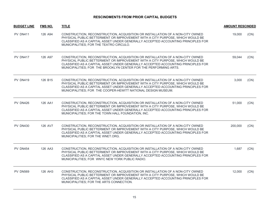| <b>BUDGET LINE</b> | <b>FMS NO.</b> | <b>TITLE</b>                                                                                                                                                                                                                                                                                                           | <b>AMOUNT RESCINDED</b> |      |
|--------------------|----------------|------------------------------------------------------------------------------------------------------------------------------------------------------------------------------------------------------------------------------------------------------------------------------------------------------------------------|-------------------------|------|
| <b>PV DN411</b>    | 126 A94        | CONSTRUCTION, RECONSTRUCTION, ACQUISITION OR INSTALLATION OF A NON-CITY OWNED<br>PHYSICAL PUBLIC BETTERMENT OR IMPROVEMENT WITH A CITY PURPOSE, WHICH WOULD BE<br>CLASSIFIED AS A CAPITAL ASSET UNDER GENERALLY ACCEPTED ACCOUNTING PRINCIPLES FOR<br>MUNICIPALITIES; FOR THE TEATRO CIRCULO.                          | 19,000                  | (CN) |
| <b>PV DN417</b>    | 126 A97        | CONSTRUCTION, RECONSTRUCTION, ACQUISITION OR INSTALLATION OF A NON-CITY OWNED<br>PHYSICAL PUBLIC BETTERMENT OR IMPROVEMENT WITH A CITY PURPOSE, WHICH WOULD BE<br>CLASSIFIED AS A CAPITAL ASSET UNDER GENERALLY ACCEPTED ACCOUNTING PRINCIPLES FOR<br>MUNICIPALITIES; FOR THE BROOKLYN CENTER FOR THE PERFORMING ARTS. | 59,044                  | (CN) |
| <b>PV DN419</b>    | 126 B15        | CONSTRUCTION, RECONSTRUCTION, ACQUISITION OR INSTALLATION OF A NON-CITY OWNED<br>PHYSICAL PUBLIC BETTERMENT OR IMPROVEMENT WITH A CITY PURPOSE, WHICH WOULD BE<br>CLASSIFIED AS A CAPITAL ASSET UNDER GENERALLY ACCEPTED ACCOUNTING PRINCIPLES FOR<br>MUNICIPALITIES; FOR THE COOPER-HEWITT NATIONAL DESIGN MUSEUM.    | 3,000                   | (CN) |
| <b>PV DN426</b>    | 126 AA1        | CONSTRUCTION, RECONSTRUCTION, ACQUISITION OR INSTALLATION OF A NON-CITY OWNED<br>PHYSICAL PUBLIC BETTERMENT OR IMPROVEMENT WITH A CITY PURPOSE, WHICH WOULD BE<br>CLASSIFIED AS A CAPITAL ASSET UNDER GENERALLY ACCEPTED ACCOUNTING PRINCIPLES FOR<br>MUNICIPALITIES; FOR THE TOWN HALL FOUNDATION, INC.               | 51,000                  | (CN) |
| <b>PV DN430</b>    | 126 AV7        | CONSTRUCTION, RECONSTRUCTION, ACQUISITION OR INSTALLATION OF A NON-CITY OWNED<br>PHYSICAL PUBLIC BETTERMENT OR IMPROVEMENT WITH A CITY PURPOSE, WHICH WOULD BE<br>CLASSIFIED AS A CAPITAL ASSET UNDER GENERALLY ACCEPTED ACCOUNTING PRINCIPLES FOR<br>MUNICIPALITIES; FOR THE WNET.ORG.                                | 200,000                 | (CN) |
| <b>PV DN454</b>    | 126 AA3        | CONSTRUCTION, RECONSTRUCTION, ACQUISITION OR INSTALLATION OF A NON-CITY OWNED<br>PHYSICAL PUBLIC BETTERMENT OR IMPROVEMENT WITH A CITY PURPOSE, WHICH WOULD BE<br>CLASSIFIED AS A CAPITAL ASSET UNDER GENERALLY ACCEPTED ACCOUNTING PRINCIPLES FOR<br>MUNICIPALITIES; FOR WNYC NEW YORK PUBLIC RADIO.                  | 1,687                   | (CN) |
| <b>PV DN569</b>    | 126 AH3        | CONSTRUCTION, RECONSTRUCTION, ACQUISITION OR INSTALLATION OF A NON-CITY OWNED<br>PHYSICAL PUBLIC BETTERMENT OR IMPROVEMENT WITH A CITY PURPOSE, WHICH WOULD BE<br>CLASSIFIED AS A CAPITAL ASSET UNDER GENERALLY ACCEPTED ACCOUNTING PRINCIPLES FOR<br>MUNICIPALITIES; FOR THE ARTS CONNECTION.                         | 12,000                  | (CN) |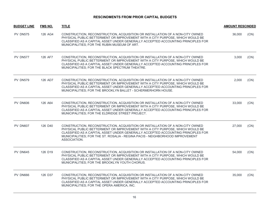| <b>BUDGET LINE</b> | <b>FMS NO.</b> | <b>TITLE</b>                                                                                                                                                                                                                                                                                                                                        | <b>AMOUNT RESCINDED</b> |      |
|--------------------|----------------|-----------------------------------------------------------------------------------------------------------------------------------------------------------------------------------------------------------------------------------------------------------------------------------------------------------------------------------------------------|-------------------------|------|
| <b>PV DN575</b>    | 126 AG4        | CONSTRUCTION, RECONSTRUCTION, ACQUISITION OR INSTALLATION OF A NON-CITY OWNED<br>PHYSICAL PUBLIC BETTERMENT OR IMPROVEMENT WITH A CITY PURPOSE, WHICH WOULD BE<br>CLASSIFIED AS A CAPITAL ASSET UNDER GENERALLY ACCEPTED ACCOUNTING PRINCIPLES FOR<br>MUNICIPALITIES; FOR THE RUBIN MUSEUM OF ART.                                                  | 36,000                  | (CN) |
| PV DN577           | 126 AF7        | CONSTRUCTION, RECONSTRUCTION, ACQUISITION OR INSTALLATION OF A NON-CITY OWNED<br>PHYSICAL PUBLIC BETTERMENT OR IMPROVEMENT WITH A CITY PURPOSE, WHICH WOULD BE<br>CLASSIFIED AS A CAPITAL ASSET UNDER GENERALLY ACCEPTED ACCOUNTING PRINCIPLES FOR<br>MUNICIPALITIES; FOR THE BLACK SPECTRUM THEATRE.                                               | 3,000                   | (CN) |
| <b>PV DN579</b>    | 126 AD7        | CONSTRUCTION, RECONSTRUCTION, ACQUISITION OR INSTALLATION OF A NON-CITY OWNED<br>PHYSICAL PUBLIC BETTERMENT OR IMPROVEMENT WITH A CITY PURPOSE, WHICH WOULD BE<br>CLASSIFIED AS A CAPITAL ASSET UNDER GENERALLY ACCEPTED ACCOUNTING PRINCIPLES FOR<br>MUNICIPALITIES; FOR THE BROOKLYN BALLET - SCHERMERHORN HOUSE.                                 | 2.000                   | (CN) |
| <b>PV DN606</b>    | 126 A64        | CONSTRUCTION, RECONSTRUCTION, ACQUISITION OR INSTALLATION OF A NON-CITY OWNED<br>PHYSICAL PUBLIC BETTERMENT OR IMPROVEMENT WITH A CITY PURPOSE, WHICH WOULD BE<br>CLASSIFIED AS A CAPITAL ASSET UNDER GENERALLY ACCEPTED ACCOUNTING PRINCIPLES FOR<br>MUNICIPALITIES; FOR THE ELDRIDGE STREET PROJECT.                                              | 33,000                  | (CN) |
| <b>PV DN607</b>    | 126 D40        | CONSTRUCTION, RECONSTRUCTION, ACQUISITION OR INSTALLATION OF A NON-CITY OWNED<br>PHYSICAL PUBLIC BETTERMENT OR IMPROVEMENT WITH A CITY PURPOSE, WHICH WOULD BE<br>CLASSIFIED AS A CAPITAL ASSET UNDER GENERALLY ACCEPTED ACCOUNTING PRINCIPLES FOR<br>MUNICIPALITIES; FOR THE ST. ROSALIA - REGINA PACIS - NEIGHBORHOOD IMPROVEMENT<br>ASSOCIATION. | 27,000                  | (CN) |
| <b>PV DN645</b>    | 126 D19        | CONSTRUCTION, RECONSTRUCTION, ACQUISITION OR INSTALLATION OF A NON-CITY OWNED<br>PHYSICAL PUBLIC BETTERMENT OR IMPROVEMENT WITH A CITY PURPOSE. WHICH WOULD BE<br>CLASSIFIED AS A CAPITAL ASSET UNDER GENERALLY ACCEPTED ACCOUNTING PRINCIPLES FOR<br>MUNICIPALITIES; FOR THE BROOKLYN YOUTH CHORUS.                                                | 54,000                  | (CN) |
| PV DN666           | 126 D37        | CONSTRUCTION, RECONSTRUCTION, ACQUISITION OR INSTALLATION OF A NON-CITY OWNED<br>PHYSICAL PUBLIC BETTERMENT OR IMPROVEMENT WITH A CITY PURPOSE, WHICH WOULD BE<br>CLASSIFIED AS A CAPITAL ASSET UNDER GENERALLY ACCEPTED ACCOUNTING PRINCIPLES FOR<br>MUNICIPALITIES; FOR THE OPERA AMERICA, INC.                                                   | 35,000                  | (CN) |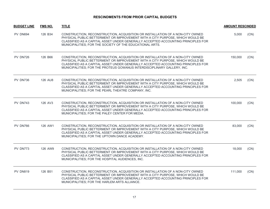| <b>BUDGET LINE</b> | <b>FMS NO.</b> | <b>TITLE</b>                                                                                                                                                                                                                                                                                                                  | <b>AMOUNT RESCINDED</b> |      |
|--------------------|----------------|-------------------------------------------------------------------------------------------------------------------------------------------------------------------------------------------------------------------------------------------------------------------------------------------------------------------------------|-------------------------|------|
| PV DN694           | 126 B34        | CONSTRUCTION, RECONSTRUCTION, ACQUISITION OR INSTALLATION OF A NON-CITY OWNED<br>PHYSICAL PUBLIC BETTERMENT OR IMPROVEMENT WITH A CITY PURPOSE, WHICH WOULD BE<br>CLASSIFIED AS A CAPITAL ASSET UNDER GENERALLY ACCEPTED ACCOUNTING PRINCIPLES FOR<br>MUNICIPALITIES; FOR THE SOCIETY OF THE EDUCATIONAL ARTS.                | 5,000                   | (CN) |
| PV DN726           | 126 B66        | CONSTRUCTION, RECONSTRUCTION, ACQUISITION OR INSTALLATION OF A NON-CITY OWNED<br>PHYSICAL PUBLIC BETTERMENT OR IMPROVEMENT WITH A CITY PURPOSE, WHICH WOULD BE<br>CLASSIFIED AS A CAPITAL ASSET UNDER GENERALLY ACCEPTED ACCOUNTING PRINCIPLES FOR<br>MUNICIPALITIES; FOR THE PROTEUS GOWANUS INTERDISCIPLINARY GALLERY, INC. | 150,000                 | (CN) |
| PV DN736           | 126 AU8        | CONSTRUCTION, RECONSTRUCTION, ACQUISITION OR INSTALLATION OF A NON-CITY OWNED<br>PHYSICAL PUBLIC BETTERMENT OR IMPROVEMENT WITH A CITY PURPOSE, WHICH WOULD BE<br>CLASSIFIED AS A CAPITAL ASSET UNDER GENERALLY ACCEPTED ACCOUNTING PRINCIPLES FOR<br>MUNICIPALITIES; FOR THE PEARL THEATRE COMPANY, INC.                     | 2,505                   | (CN) |
| <b>PV DN743</b>    | 126 AV3        | CONSTRUCTION, RECONSTRUCTION, ACQUISITION OR INSTALLATION OF A NON-CITY OWNED<br>PHYSICAL PUBLIC BETTERMENT OR IMPROVEMENT WITH A CITY PURPOSE, WHICH WOULD BE<br>CLASSIFIED AS A CAPITAL ASSET UNDER GENERALLY ACCEPTED ACCOUNTING PRINCIPLES FOR<br>MUNICIPALITIES; FOR THE PALEY CENTER FOR MEDIA.                         | 100,000                 | (CN) |
| <b>PV DN766</b>    | 126 AW1        | CONSTRUCTION, RECONSTRUCTION, ACQUISITION OR INSTALLATION OF A NON-CITY OWNED<br>PHYSICAL PUBLIC BETTERMENT OR IMPROVEMENT WITH A CITY PURPOSE, WHICH WOULD BE<br>CLASSIFIED AS A CAPITAL ASSET UNDER GENERALLY ACCEPTED ACCOUNTING PRINCIPLES FOR<br>MUNICIPALITIES; FOR THE UPTOWN DANCE ACADEMY.                           | 83,000                  | (CN) |
| PV DN773           | 126 AW9        | CONSTRUCTION, RECONSTRUCTION, ACQUISITION OR INSTALLATION OF A NON-CITY OWNED<br>PHYSICAL PUBLIC BETTERMENT OR IMPROVEMENT WITH A CITY PURPOSE, WHICH WOULD BE<br>CLASSIFIED AS A CAPITAL ASSET UNDER GENERALLY ACCEPTED ACCOUNTING PRINCIPLES FOR<br>MUNICIPALITIES; FOR THE HOSPITAL AUDIENCES, INC.                        | 18,000                  | (CN) |
| <b>PV DN819</b>    | 126 B51        | CONSTRUCTION, RECONSTRUCTION, ACQUISITION OR INSTALLATION OF A NON-CITY OWNED<br>PHYSICAL PUBLIC BETTERMENT OR IMPROVEMENT WITH A CITY PURPOSE, WHICH WOULD BE<br>CLASSIFIED AS A CAPITAL ASSET UNDER GENERALLY ACCEPTED ACCOUNTING PRINCIPLES FOR<br>MUNICIPALITIES; FOR THE HARLEM ARTS ALLIANCE.                           | 111.000                 | (CN) |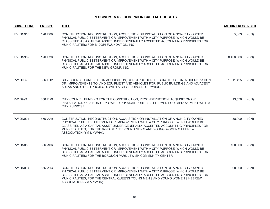| <b>BUDGET LINE</b> | <b>FMS NO.</b> | <b>TITLE</b>                                                                                                                                                                                                                                                                                                                                                  | <b>AMOUNT RESCINDED</b> |      |
|--------------------|----------------|---------------------------------------------------------------------------------------------------------------------------------------------------------------------------------------------------------------------------------------------------------------------------------------------------------------------------------------------------------------|-------------------------|------|
| <b>PV DN910</b>    | 126 B89        | CONSTRUCTION, RECONSTRUCTION, ACQUISITION OR INSTALLATION OF A NON-CITY OWNED<br>PHYSICAL PUBLIC BETTERMENT OR IMPROVEMENT WITH A CITY PURPOSE, WHICH WOULD BE<br>CLASSIFIED AS A CAPITAL ASSET UNDER GENERALLY ACCEPTED ACCOUNTING PRINCIPLES FOR<br>MUNICIPALITIES; FOR MIDORI FOUNDATION, INC.                                                             | 5,603                   | (CN) |
| <b>PV DN959</b>    | 126 B30        | CONSTRUCTION, RECONSTRUCTION, ACQUISITION OR INSTALLATION OF A NON-CITY OWNED<br>PHYSICAL PUBLIC BETTERMENT OR IMPROVEMENT WITH A CITY PURPOSE. WHICH WOULD BE<br>CLASSIFIED AS A CAPITAL ASSET UNDER GENERALLY ACCEPTED ACCOUNTING PRINCIPLES FOR<br>MUNICIPALITIES; FOR THE NEW GROUP, INC.                                                                 | 8,400,000               | (CN) |
| <b>PW D005</b>     | 856 D12        | CITY COUNCIL FUNDING FOR ACQUISITION, CONSTRUCTION, RECONSTRUCTION, MODERNIZATION<br>OF, IMPROVEMENTS TO, AND EQUIPMENT AND VEHICLES FOR, PUBLIC BUILDINGS AND ADJACENT<br>AREAS AND OTHER PROJECTS WITH A CITY PURPOSE, CITYWIDE.                                                                                                                            | 1,011,425               | (CN) |
| <b>PW D999</b>     | 856 D99        | CITY COUNCIL FUNDING FOR THE CONSTRUCTION, RECONSTRUCTION, ACQUISITION OR<br>INSTALLATION OF A NON-CITY OWNED PHYSICAL PUBLIC BETTERMENT OR IMPROVEMENT WITH A<br>CITY PURPOSE.                                                                                                                                                                               | 13,576                  | (CN) |
| <b>PW DN004</b>    | 856 AA5        | CONSTRUCTION, RECONSTRUCTION, ACQUISITION OR INSTALLATION OF A NON-CITY OWNED<br>PHYSICAL PUBLIC BETTERMENT OR IMPROVEMENT WITH A CITY PURPOSE, WHICH WOULD BE<br>CLASSIFIED AS A CAPITAL ASSET UNDER GENERALLY ACCEPTED ACCOUNTING PRINCIPLES FOR<br>MUNICIPALITIES; FOR THE 92ND STREET YOUNG MEN'S AND YOUNG WOMEN'S HEBREW<br>ASSOCIATION (YM & YWHA).    | 38,000                  | (CN) |
| <b>PW DN055</b>    | 856 A06        | CONSTRUCTION, RECONSTRUCTION, ACQUISITION OR INSTALLATION OF A NON-CITY OWNED<br>PHYSICAL PUBLIC BETTERMENT OR IMPROVEMENT WITH A CITY PURPOSE, WHICH WOULD BE<br>CLASSIFIED AS A CAPITAL ASSET UNDER GENERALLY ACCEPTED ACCOUNTING PRINCIPLES FOR<br>MUNICIPALITIES; FOR THE BOROUGH PARK JEWISH COMMUNITY CENTER.                                           | 100,000                 | (CN) |
| <b>PW DN094</b>    | 856 A13        | CONSTRUCTION, RECONSTRUCTION, ACQUISITION OR INSTALLATION OF A NON-CITY OWNED<br>PHYSICAL PUBLIC BETTERMENT OR IMPROVEMENT WITH A CITY PURPOSE, WHICH WOULD BE<br>CLASSIFIED AS A CAPITAL ASSET UNDER GENERALLY ACCEPTED ACCOUNTING PRINCIPLES FOR<br>MUNICIPALITIES; FOR THE CENTRAL QUEENS YOUNG MEN'S AND YOUNG WOMEN'S HEBREW<br>ASSOCIATION (YM & YWHA). | 90,000                  | (CN) |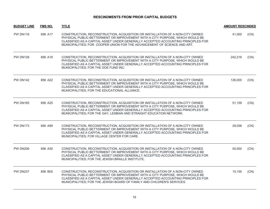| <b>BUDGET LINE</b> | <b>FMS NO.</b> | <b>TITLE</b>                                                                                                                                                                                                                                                                                                                   | <b>AMOUNT RESCINDED</b> |      |
|--------------------|----------------|--------------------------------------------------------------------------------------------------------------------------------------------------------------------------------------------------------------------------------------------------------------------------------------------------------------------------------|-------------------------|------|
| <b>PW DN116</b>    | 856 A17        | CONSTRUCTION, RECONSTRUCTION, ACQUISITION OR INSTALLATION OF A NON-CITY OWNED<br>PHYSICAL PUBLIC BETTERMENT OR IMPROVEMENT WITH A CITY PURPOSE, WHICH WOULD BE<br>CLASSIFIED AS A CAPITAL ASSET UNDER GENERALLY ACCEPTED ACCOUNTING PRINCIPLES FOR<br>MUNICIPALITIES; FOR COOPER UNION FOR THE ADVANCEMENT OF SCIENCE AND ART. | 41,000                  | (CN) |
| <b>PW DN128</b>    | 856 A19        | CONSTRUCTION, RECONSTRUCTION, ACQUISITION OR INSTALLATION OF A NON-CITY OWNED<br>PHYSICAL PUBLIC BETTERMENT OR IMPROVEMENT WITH A CITY PURPOSE, WHICH WOULD BE<br>CLASSIFIED AS A CAPITAL ASSET UNDER GENERALLY ACCEPTED ACCOUNTING PRINCIPLES FOR<br>MUNICIPALITIES; FOR THE DOE FUND INC.                                    | 242,218                 | (CN) |
| <b>PW DN142</b>    | 856 A22        | CONSTRUCTION, RECONSTRUCTION, ACQUISITION OR INSTALLATION OF A NON-CITY OWNED<br>PHYSICAL PUBLIC BETTERMENT OR IMPROVEMENT WITH A CITY PURPOSE, WHICH WOULD BE<br>CLASSIFIED AS A CAPITAL ASSET UNDER GENERALLY ACCEPTED ACCOUNTING PRINCIPLES FOR<br>MUNICIPALITIES; FOR THE EDUCATIONAL ALLIANCE.                            | 126,000                 | (CN) |
| <b>PW DN165</b>    | 856 A25        | CONSTRUCTION, RECONSTRUCTION, ACQUISITION OR INSTALLATION OF A NON-CITY OWNED<br>PHYSICAL PUBLIC BETTERMENT OR IMPROVEMENT WITH A CITY PURPOSE, WHICH WOULD BE<br>CLASSIFIED AS A CAPITAL ASSET UNDER GENERALLY ACCEPTED ACCOUNTING PRINCIPLES FOR<br>MUNICIPALITIES; FOR THE GAY, LESBIAN AND STRAIGHT EDUCATION NETWORK.     | 51,159                  | (CN) |
| <b>PW DN173</b>    | 856 A99        | CONSTRUCTION, RECONSTRUCTION, ACQUISITION OR INSTALLATION OF A NON-CITY OWNED<br>PHYSICAL PUBLIC BETTERMENT OR IMPROVEMENT WITH A CITY PURPOSE, WHICH WOULD BE<br>CLASSIFIED AS A CAPITAL ASSET UNDER GENERALLY ACCEPTED ACCOUNTING PRINCIPLES FOR<br>MUNICIPALITIES; FOR VILLAGE CENTER FOR CARE.                             | 28,058                  | (CN) |
| <b>PW DN206</b>    | 856 A30        | CONSTRUCTION, RECONSTRUCTION, ACQUISITION OR INSTALLATION OF A NON-CITY OWNED<br>PHYSICAL PUBLIC BETTERMENT OR IMPROVEMENT WITH A CITY PURPOSE, WHICH WOULD BE<br>CLASSIFIED AS A CAPITAL ASSET UNDER GENERALLY ACCEPTED ACCOUNTING PRINCIPLES FOR<br>MUNICIPALITIES; FOR THE JEWISH BRAILLE INSTITUTE.                        | 50,000                  | (CN) |
| <b>PW DN237</b>    | 856 B05        | CONSTRUCTION, RECONSTRUCTION, ACQUISITION OR INSTALLATION OF A NON-CITY OWNED<br>PHYSICAL PUBLIC BETTERMENT OR IMPROVEMENT WITH A CITY PURPOSE, WHICH WOULD BE<br>CLASSIFIED AS A CAPITAL ASSET UNDER GENERALLY ACCEPTED ACCOUNTING PRINCIPLES FOR<br>MUNICIPALITIES; FOR THE JEWISH BOARD OF FAMILY AND CHILDREN'S SERVICES.  | 15,155                  | (CN) |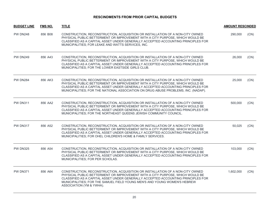| <b>BUDGET LINE</b> | <b>FMS NO.</b> | <b>TITLE</b>                                                                                                                                                                                                                                                                                                                                                | <b>AMOUNT RESCINDED</b> |      |
|--------------------|----------------|-------------------------------------------------------------------------------------------------------------------------------------------------------------------------------------------------------------------------------------------------------------------------------------------------------------------------------------------------------------|-------------------------|------|
| <b>PW DN248</b>    | 856 B08        | CONSTRUCTION, RECONSTRUCTION, ACQUISITION OR INSTALLATION OF A NON-CITY OWNED<br>PHYSICAL PUBLIC BETTERMENT OR IMPROVEMENT WITH A CITY PURPOSE, WHICH WOULD BE<br>CLASSIFIED AS A CAPITAL ASSET UNDER GENERALLY ACCEPTED ACCOUNTING PRINCIPLES FOR<br>MUNICIPALITIES; FOR LEAKE AND WATTS SERVICES, INC.                                                    | 290,000                 | (CN) |
| <b>PW DN249</b>    | 856 A43        | CONSTRUCTION, RECONSTRUCTION, ACQUISITION OR INSTALLATION OF A NON-CITY OWNED<br>PHYSICAL PUBLIC BETTERMENT OR IMPROVEMENT WITH A CITY PURPOSE, WHICH WOULD BE<br>CLASSIFIED AS A CAPITAL ASSET UNDER GENERALLY ACCEPTED ACCOUNTING PRINCIPLES FOR<br>MUNICIPALITIES; FOR THE LOWER EASTSIDE GIRLS CLUB.                                                    | 26,000                  | (CN) |
| <b>PW DN284</b>    | 856 AK3        | CONSTRUCTION, RECONSTRUCTION, ACQUISITION OR INSTALLATION OF A NON-CITY OWNED<br>PHYSICAL PUBLIC BETTERMENT OR IMPROVEMENT WITH A CITY PURPOSE, WHICH WOULD BE<br>CLASSIFIED AS A CAPITAL ASSET UNDER GENERALLY ACCEPTED ACCOUNTING PRINCIPLES FOR<br>MUNICIPALITIES; FOR THE NATIONAL ASSOCIATION ON DRUG ABUSE PROBLEMS, INC. (NADAP).                    | 25,000                  | (CN) |
| <b>PW DN311</b>    | 856 AA2        | CONSTRUCTION, RECONSTRUCTION, ACQUISITION OR INSTALLATION OF A NON-CITY OWNED<br>PHYSICAL PUBLIC BETTERMENT OR IMPROVEMENT WITH A CITY PURPOSE, WHICH WOULD BE<br>CLASSIFIED AS A CAPITAL ASSET UNDER GENERALLY ACCEPTED ACCOUNTING PRINCIPLES FOR<br>MUNICIPALITIES; FOR THE NORTHEAST QUEENS JEWISH COMMUNITY COUNCIL.                                    | 500,000                 | (CN) |
| <b>PW DN317</b>    | 856 A52        | CONSTRUCTION, RECONSTRUCTION, ACQUISITION OR INSTALLATION OF A NON-CITY OWNED<br>PHYSICAL PUBLIC BETTERMENT OR IMPROVEMENT WITH A CITY PURPOSE, WHICH WOULD BE<br>CLASSIFIED AS A CAPITAL ASSET UNDER GENERALLY ACCEPTED ACCOUNTING PRINCIPLES FOR<br>MUNICIPALITIES; FOR OHEL CHILDREN'S HOME & FAMILY SERVICES.                                           | 50,025                  | (CN) |
| <b>PW DN325</b>    | 856 A54        | CONSTRUCTION, RECONSTRUCTION, ACQUISITION OR INSTALLATION OF A NON-CITY OWNED<br>PHYSICAL PUBLIC BETTERMENT OR IMPROVEMENT WITH A CITY PURPOSE, WHICH WOULD BE<br>CLASSIFIED AS A CAPITAL ASSET UNDER GENERALLY ACCEPTED ACCOUNTING PRINCIPLES FOR<br>MUNICIPALITIES; FOR PER SCHOLAS.                                                                      | 103,000                 | (CN) |
| <b>PW DN371</b>    | 856 A64        | CONSTRUCTION, RECONSTRUCTION, ACQUISITION OR INSTALLATION OF A NON-CITY OWNED<br>PHYSICAL PUBLIC BETTERMENT OR IMPROVEMENT WITH A CITY PURPOSE, WHICH WOULD BE<br>CLASSIFIED AS A CAPITAL ASSET UNDER GENERALLY ACCEPTED ACCOUNTING PRINCIPLES FOR<br>MUNICIPALITIES; FOR THE SAMUEL FIELD YOUNG MEN'S AND YOUNG WOMEN'S HEBREW<br>ASSOCIATION (YM & YWHA). | 1,602,000               | (CN) |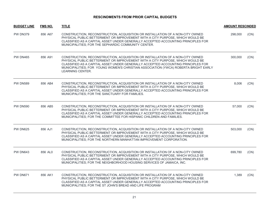| <b>BUDGET LINE</b> | FMS NO. | <b>TITLE</b>                                                                                                                                                                                                                                                                                                                                                  | <b>AMOUNT RESCINDED</b> |      |
|--------------------|---------|---------------------------------------------------------------------------------------------------------------------------------------------------------------------------------------------------------------------------------------------------------------------------------------------------------------------------------------------------------------|-------------------------|------|
| <b>PW DN379</b>    | 856 A67 | CONSTRUCTION, RECONSTRUCTION, ACQUISITION OR INSTALLATION OF A NON-CITY OWNED<br>PHYSICAL PUBLIC BETTERMENT OR IMPROVEMENT WITH A CITY PURPOSE, WHICH WOULD BE<br>CLASSIFIED AS A CAPITAL ASSET UNDER GENERALLY ACCEPTED ACCOUNTING PRINCIPLES FOR<br>MUNICIPALITIES; FOR THE SEPHARDIC COMMUNITY CENTER.                                                     | 298,000                 | (CN) |
| <b>PW DN465</b>    | 856 A91 | CONSTRUCTION, RECONSTRUCTION, ACQUISITION OR INSTALLATION OF A NON-CITY OWNED<br>PHYSICAL PUBLIC BETTERMENT OR IMPROVEMENT WITH A CITY PURPOSE, WHICH WOULD BE<br>CLASSIFIED AS A CAPITAL ASSET UNDER GENERALLY ACCEPTED ACCOUNTING PRINCIPLES FOR<br>MUNICIPALITIES; FOR YOUNG WOMEN'S CHRISTIAN ASSOCIATION (YWCA) ROBERTA BRIGHT EARLY<br>LEARNING CENTER. | 300,000                 | (CN) |
| <b>PW DN589</b>    | 856 AB4 | CONSTRUCTION, RECONSTRUCTION, ACQUISITION OR INSTALLATION OF A NON-CITY OWNED<br>PHYSICAL PUBLIC BETTERMENT OR IMPROVEMENT WITH A CITY PURPOSE, WHICH WOULD BE<br>CLASSIFIED AS A CAPITAL ASSET UNDER GENERALLY ACCEPTED ACCOUNTING PRINCIPLES FOR<br>MUNICIPALITIES; FOR THE SANCTUARY FOR FAMILIES.                                                         | 8,006                   | (CN) |
| <b>PW DN590</b>    | 856 AB5 | CONSTRUCTION, RECONSTRUCTION, ACQUISITION OR INSTALLATION OF A NON-CITY OWNED<br>PHYSICAL PUBLIC BETTERMENT OR IMPROVEMENT WITH A CITY PURPOSE, WHICH WOULD BE<br>CLASSIFIED AS A CAPITAL ASSET UNDER GENERALLY ACCEPTED ACCOUNTING PRINCIPLES FOR<br>MUNICIPALITIES; FOR THE COMMITTEE FOR HISPANIC CHILDREN AND FAMILIES.                                   | 57,000                  | (CN) |
| <b>PW DN625</b>    | 856 AJ1 | CONSTRUCTION, RECONSTRUCTION, ACQUISITION OR INSTALLATION OF A NON-CITY OWNED<br>PHYSICAL PUBLIC BETTERMENT OR IMPROVEMENT WITH A CITY PURPOSE, WHICH WOULD BE<br>CLASSIFIED AS A CAPITAL ASSET UNDER GENERALLY ACCEPTED ACCOUNTING PRINCIPLES FOR<br>MUNICIPALITIES; FOR THE NORTHERN MANHATTAN IMPROVEMENT CORPORATION.                                     | 503,000                 | (CN) |
| <b>PW DN643</b>    | 856 ALO | CONSTRUCTION, RECONSTRUCTION, ACQUISITION OR INSTALLATION OF A NON-CITY OWNED<br>PHYSICAL PUBLIC BETTERMENT OR IMPROVEMENT WITH A CITY PURPOSE, WHICH WOULD BE<br>CLASSIFIED AS A CAPITAL ASSET UNDER GENERALLY ACCEPTED ACCOUNTING PRINCIPLES FOR<br>MUNICIPALITIES: FOR THE NEIGHBORHOOD HOUSING SERVICES OF JAMAICA. INC.                                  | 699.780                 | (CN) |
| <b>PW DN671</b>    | 856 AK1 | CONSTRUCTION, RECONSTRUCTION, ACQUISITION OR INSTALLATION OF A NON-CITY OWNED<br>PHYSICAL PUBLIC BETTERMENT OR IMPROVEMENT WITH A CITY PURPOSE, WHICH WOULD BE<br>CLASSIFIED AS A CAPITAL ASSET UNDER GENERALLY ACCEPTED ACCOUNTING PRINCIPLES FOR<br>MUNICIPALITIES; FOR THE ST JOHN'S BREAD AND LIFE PROGRAM                                                | 1,389                   | (CN) |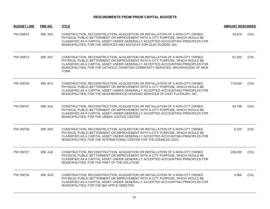| <b>BUDGET LINE</b> | <b>FMS NO.</b> | <b>TITLE</b>                                                                                                                                                                                                                                                                                                                                           | <b>AMOUNT RESCINDED</b> |      |
|--------------------|----------------|--------------------------------------------------------------------------------------------------------------------------------------------------------------------------------------------------------------------------------------------------------------------------------------------------------------------------------------------------------|-------------------------|------|
| <b>PW DN672</b>    | 856 AK2        | CONSTRUCTION, RECONSTRUCTION, ACQUISITION OR INSTALLATION OF A NON-CITY OWNED<br>PHYSICAL PUBLIC BETTERMENT OR IMPROVEMENT WITH A CITY PURPOSE, WHICH WOULD BE<br>CLASSIFIED AS A CAPITAL ASSET UNDER GENERALLY ACCEPTED ACCOUNTING PRINCIPLES FOR<br>MUNICIPALITIES; FOR THE SERVICES AND ADVOCAY FOR GLBT ELDERS, INC                                | 45,818                  | (CN) |
| <b>PW DN673</b>    | 856 AK7        | CONSTRUCTION, RECONSTRUCTION, ACQUISITION OR INSTALLATION OF A NON-CITY OWNED<br>PHYSICAL PUBLIC BETTERMENT OR IMPROVEMENT WITH A CITY PURPOSE, WHICH WOULD BE<br>CLASSIFIED AS A CAPITAL ASSET UNDER GENERALLY ACCEPTED ACCOUNTING PRINCIPLES FOR<br>MUNICIPALITIES; FOR THE CATHOLIC CHARITIES COMMUNITY SERVICES, ARCHDIOCESE OF NEW<br><b>YORK</b> | 81,000                  | (CN) |
| <b>PW DN700</b>    | 856 B13        | CONSTRUCTION, RECONSTRUCTION, ACQUISITION OR INSTALLATION OF A NON-CITY OWNED<br>PHYSICAL PUBLIC BETTERMENT OR IMPROVEMENT WITH A CITY PURPOSE, WHICH WOULD BE<br>CLASSIFIED AS A CAPITAL ASSET UNDER GENERALLY ACCEPTED ACCOUNTING PRINCIPLES FOR<br>MUNICIPALITIES; FOR THE NEIGHBORHOOD HOUSING SERVICES OF EAST FLATBUSH, INC.                     | 718,000                 | (CN) |
| <b>PW DN707</b>    | 856 AL6        | CONSTRUCTION, RECONSTRUCTION, ACQUISITION OR INSTALLATION OF A NON-CITY OWNED<br>PHYSICAL PUBLIC BETTERMENT OR IMPROVEMENT WITH A CITY PURPOSE, WHICH WOULD BE<br>CLASSIFIED AS A CAPITAL ASSET UNDER GENERALLY ACCEPTED ACCOUNTING PRINCIPLES FOR<br>MUNICIPALITIES; FOR THE URBAN JUSTICE CENTER.                                                    | 94,798                  | (CN) |
| <b>PW DN709</b>    | 856 AK5        | CONSTRUCTION, RECONSTRUCTION, ACQUISITION OR INSTALLATION OF A NON-CITY OWNED<br>PHYSICAL PUBLIC BETTERMENT OR IMPROVEMENT WITH A CITY PURPOSE, WHICH WOULD BE<br>CLASSIFIED AS A CAPITAL ASSET UNDER GENERALLY ACCEPTED ACCOUNTING PRINCIPLES FOR<br>MUNICIPALITIES; FOR THE INTERNATIONAL CENTER FOR THE DISABLED (ICD).                             | 6,235                   | (CN) |
| <b>PW DN727</b>    | 856 AJ8        | CONSTRUCTION, RECONSTRUCTION, ACQUISITION OR INSTALLATION OF A NON-CITY OWNED<br>PHYSICAL PUBLIC BETTERMENT OR IMPROVEMENT WITH A CITY PURPOSE, WHICH WOULD BE<br>CLASSIFIED AS A CAPITAL ASSET UNDER GENERALLY ACCEPTED ACCOUNTING PRINCIPLES FOR<br>MUNICIPALITIES; FOR THE PART OF THE SOLUTION.                                                    | 226,000                 | (CN) |
| <b>PW DN734</b>    | 856 AC6        | CONSTRUCTION, RECONSTRUCTION, ACQUISITION OR INSTALLATION OF A NON-CITY OWNED<br>PHYSICAL PUBLIC BETTERMENT OR IMPROVEMENT WITH A CITY PURPOSE, WHICH WOULD BE<br>CLASSIFIED AS A CAPITAL ASSET UNDER GENERALLY ACCEPTED ACCOUNTING PRINCIPLES FOR<br>MUNICIPALITIES; FOR THE BIG APPLE GREETER.                                                       | 4,966                   | (CN) |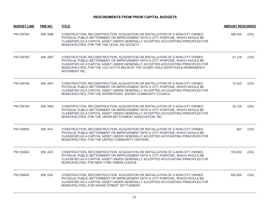| <b>BUDGET LINE</b> | <b>FMS NO.</b> | <b>TITLE</b>                                                                                                                                                                                                                                                                                                                                            | <b>AMOUNT RESCINDED</b> |      |
|--------------------|----------------|---------------------------------------------------------------------------------------------------------------------------------------------------------------------------------------------------------------------------------------------------------------------------------------------------------------------------------------------------------|-------------------------|------|
| <b>PW DN764</b>    | 856 AM6        | CONSTRUCTION, RECONSTRUCTION, ACQUISITION OR INSTALLATION OF A NON-CITY OWNED<br>PHYSICAL PUBLIC BETTERMENT OR IMPROVEMENT WITH A CITY PURPOSE, WHICH WOULD BE<br>CLASSIFIED AS A CAPITAL ASSET UNDER GENERALLY ACCEPTED ACCOUNTING PRINCIPLES FOR<br>MUNICIPALITIES; FOR THE THE LEGAL AID SOCIETY.                                                    | 386,000                 | (CN) |
| <b>PW DN765</b>    | 856 AM7        | CONSTRUCTION, RECONSTRUCTION, ACQUISITION OR INSTALLATION OF A NON-CITY OWNED<br>PHYSICAL PUBLIC BETTERMENT OR IMPROVEMENT WITH A CITY PURPOSE, WHICH WOULD BE<br>CLASSIFIED AS A CAPITAL ASSET UNDER GENERALLY ACCEPTED ACCOUNTING PRINCIPLES FOR<br>MUNICIPALITIES; FOR THE YOU GOTTA BELIEVE! THE OLDER CHILD ADOPTION & PERMANENCY<br>MOVEMENT INC. | 21,218                  | (CN) |
| <b>PW DN768</b>    | 856 AM1        | CONSTRUCTION, RECONSTRUCTION, ACQUISITION OR INSTALLATION OF A NON-CITY OWNED<br>PHYSICAL PUBLIC BETTERMENT OR IMPROVEMENT WITH A CITY PURPOSE, WHICH WOULD BE<br>CLASSIFIED AS A CAPITAL ASSET UNDER GENERALLY ACCEPTED ACCOUNTING PRINCIPLES FOR<br>MUNICIPALITIES; FOR THE SHOREFRONT JEWISH COMMUNITY COUNCIL.                                      | 10,520                  | (CN) |
| <b>PW DN780</b>    | 856 AM3        | CONSTRUCTION, RECONSTRUCTION, ACQUISITION OR INSTALLATION OF A NON-CITY OWNED<br>PHYSICAL PUBLIC BETTERMENT OR IMPROVEMENT WITH A CITY PURPOSE, WHICH WOULD BE<br>CLASSIFIED AS A CAPITAL ASSET UNDER GENERALLY ACCEPTED ACCOUNTING PRINCIPLES FOR<br>MUNICIPALITIES; FOR THE UNION SETTLEMENT ASSOCIATION, INC.                                        | 25,126                  | (CN) |
| <b>PW DN855</b>    | 856 AF4        | CONSTRUCTION, RECONSTRUCTION, ACQUISITION OR INSTALLATION OF A NON-CITY OWNED<br>PHYSICAL PUBLIC BETTERMENT OR IMPROVEMENT WITH A CITY PURPOSE, WHICH WOULD BE<br>CLASSIFIED AS A CAPITAL ASSET UNDER GENERALLY ACCEPTED ACCOUNTING PRINCIPLES FOR<br>MUNICIPALITIES; FOR THE UNITED COMMUNITY CENTERS.                                                 | 927                     | (CN) |
| <b>PW DN940</b>    | 856 AQ1        | CONSTRUCTION, RECONSTRUCTION, ACQUISITION OR INSTALLATION OF A NON-CITY OWNED<br>PHYSICAL PUBLIC BETTERMENT OR IMPROVEMENT WITH A CITY PURPOSE, WHICH WOULD BE<br>CLASSIFIED AS A CAPITAL ASSET UNDER GENERALLY ACCEPTED ACCOUNTING PRINCIPLES FOR<br>MUNICIPALITIES; FOR NEW YORK URBAN LEAGUE.                                                        | 155,000                 | (CN) |
| <b>PW DN945</b>    | 856 D04        | CONSTRUCTION, RECONSTRUCTION, ACQUISITION OR INSTALLATION OF A NON-CITY OWNED<br>PHYSICAL PUBLIC BETTERMENT OR IMPROVEMENT WITH A CITY PURPOSE, WHICH WOULD BE<br>CLASSIFIED AS A CAPITAL ASSET UNDER GENERALLY ACCEPTED ACCOUNTING PRINCIPLES FOR<br>MUNICIPALITIES; FOR GRAND STREET SETTLEMENT.                                                      | 500,000                 | (CN) |